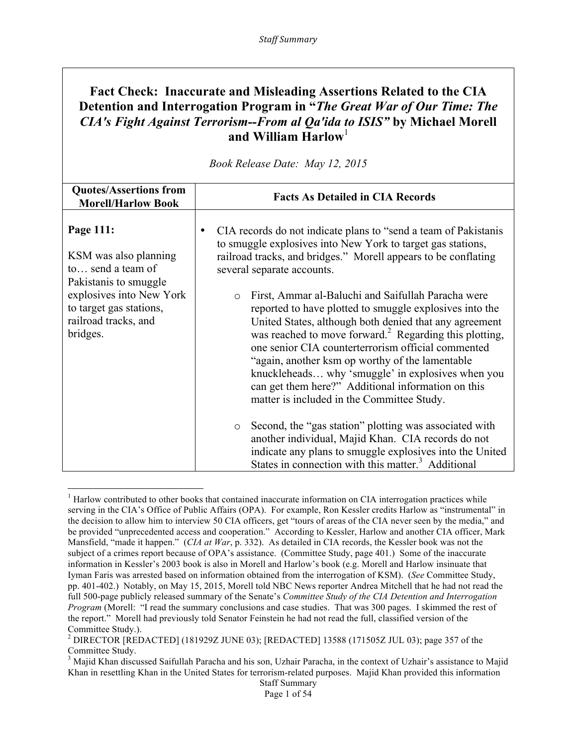# **Fact Check: Inaccurate and Misleading Assertions Related to the CIA Detention and Interrogation Program in "***The Great War of Our Time: The CIA's Fight Against Terrorism--From al Qa'ida to ISIS"* **by Michael Morell and William Harlow**<sup>1</sup>

| <b>Quotes/Assertions from</b><br><b>Morell/Harlow Book</b>                                                                                                                  | <b>Facts As Detailed in CIA Records</b>                                                                                                                                                                                                                                                                                                                                                                                                                                                                                                                                                                                                                                                                                                                                                                                                                                                                                                              |
|-----------------------------------------------------------------------------------------------------------------------------------------------------------------------------|------------------------------------------------------------------------------------------------------------------------------------------------------------------------------------------------------------------------------------------------------------------------------------------------------------------------------------------------------------------------------------------------------------------------------------------------------------------------------------------------------------------------------------------------------------------------------------------------------------------------------------------------------------------------------------------------------------------------------------------------------------------------------------------------------------------------------------------------------------------------------------------------------------------------------------------------------|
| Page 111:<br>KSM was also planning<br>to send a team of<br>Pakistanis to smuggle<br>explosives into New York<br>to target gas stations,<br>railroad tracks, and<br>bridges. | CIA records do not indicate plans to "send a team of Pakistanis"<br>to smuggle explosives into New York to target gas stations,<br>railroad tracks, and bridges." Morell appears to be conflating<br>several separate accounts.<br>First, Ammar al-Baluchi and Saifullah Paracha were<br>$\circ$<br>reported to have plotted to smuggle explosives into the<br>United States, although both denied that any agreement<br>was reached to move forward. <sup>2</sup> Regarding this plotting,<br>one senior CIA counterterrorism official commented<br>"again, another ksm op worthy of the lamentable<br>knuckleheads why 'smuggle' in explosives when you<br>can get them here?" Additional information on this<br>matter is included in the Committee Study.<br>Second, the "gas station" plotting was associated with<br>$\circ$<br>another individual, Majid Khan. CIA records do not<br>indicate any plans to smuggle explosives into the United |
|                                                                                                                                                                             | States in connection with this matter. <sup>3</sup> Additional                                                                                                                                                                                                                                                                                                                                                                                                                                                                                                                                                                                                                                                                                                                                                                                                                                                                                       |

*Book Release Date: May 12, 2015*

<sup>&</sup>lt;sup>1</sup> Harlow contributed to other books that contained inaccurate information on CIA interrogation practices while serving in the CIA's Office of Public Affairs (OPA). For example, Ron Kessler credits Harlow as "instrumental" in the decision to allow him to interview 50 CIA officers, get "tours of areas of the CIA never seen by the media," and be provided "unprecedented access and cooperation." According to Kessler, Harlow and another CIA officer, Mark Mansfield, "made it happen." (*CIA at War*, p. 332). As detailed in CIA records, the Kessler book was not the subject of a crimes report because of OPA's assistance. (Committee Study, page 401.) Some of the inaccurate information in Kessler's 2003 book is also in Morell and Harlow's book (e.g. Morell and Harlow insinuate that Iyman Faris was arrested based on information obtained from the interrogation of KSM). (*See* Committee Study, pp. 401-402.) Notably, on May 15, 2015, Morell told NBC News reporter Andrea Mitchell that he had not read the full 500-page publicly released summary of the Senate's *Committee Study of the CIA Detention and Interrogation Program* (Morell: "I read the summary conclusions and case studies. That was 300 pages. I skimmed the rest of the report." Morell had previously told Senator Feinstein he had not read the full, classified version of the Committee Study.).<br><sup>2</sup> DIRECTOR [REDACTED] (181929Z JUNE 03); [REDACTED] 13588 (171505Z JUL 03); page 357 of the

Committee Study.

<sup>&</sup>lt;sup>3</sup> Majid Khan discussed Saifullah Paracha and his son, Uzhair Paracha, in the context of Uzhair's assistance to Majid Khan in resettling Khan in the United States for terrorism-related purposes. Majid Khan provided this information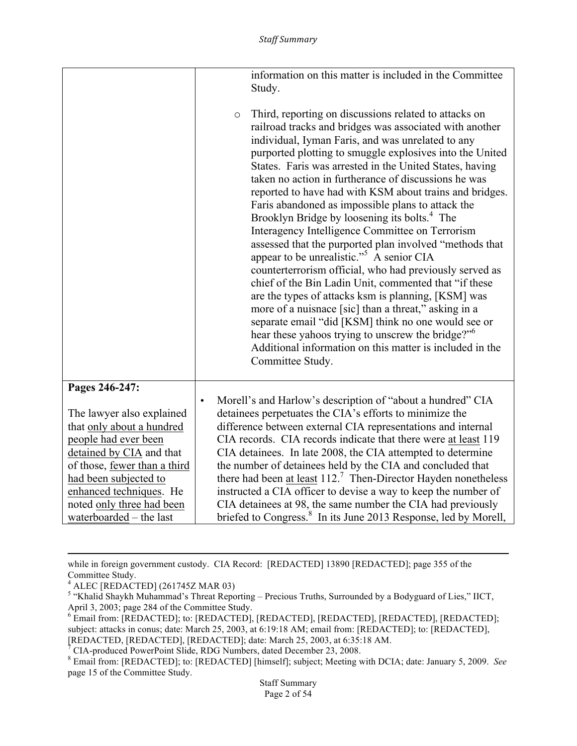|                                                        | information on this matter is included in the Committee<br>Study.                                                                                                                                                                                                                                                                                                                                                                                                                                                                                                                                                                                                                                                                                                                                                                                                                                                                                                                                                                                                                                                                                            |
|--------------------------------------------------------|--------------------------------------------------------------------------------------------------------------------------------------------------------------------------------------------------------------------------------------------------------------------------------------------------------------------------------------------------------------------------------------------------------------------------------------------------------------------------------------------------------------------------------------------------------------------------------------------------------------------------------------------------------------------------------------------------------------------------------------------------------------------------------------------------------------------------------------------------------------------------------------------------------------------------------------------------------------------------------------------------------------------------------------------------------------------------------------------------------------------------------------------------------------|
|                                                        | Third, reporting on discussions related to attacks on<br>$\circ$<br>railroad tracks and bridges was associated with another<br>individual, Iyman Faris, and was unrelated to any<br>purported plotting to smuggle explosives into the United<br>States. Faris was arrested in the United States, having<br>taken no action in furtherance of discussions he was<br>reported to have had with KSM about trains and bridges.<br>Faris abandoned as impossible plans to attack the<br>Brooklyn Bridge by loosening its bolts. <sup>4</sup> The<br>Interagency Intelligence Committee on Terrorism<br>assessed that the purported plan involved "methods that<br>appear to be unrealistic." <sup>5</sup> A senior CIA<br>counterterrorism official, who had previously served as<br>chief of the Bin Ladin Unit, commented that "if these<br>are the types of attacks ksm is planning, [KSM] was<br>more of a nuisnace [sic] than a threat," asking in a<br>separate email "did [KSM] think no one would see or<br>hear these yahoos trying to unscrew the bridge?" <sup>6</sup><br>Additional information on this matter is included in the<br>Committee Study. |
| Pages 246-247:                                         | Morell's and Harlow's description of "about a hundred" CIA<br>$\bullet$                                                                                                                                                                                                                                                                                                                                                                                                                                                                                                                                                                                                                                                                                                                                                                                                                                                                                                                                                                                                                                                                                      |
| The lawyer also explained<br>that only about a hundred | detainees perpetuates the CIA's efforts to minimize the<br>difference between external CIA representations and internal                                                                                                                                                                                                                                                                                                                                                                                                                                                                                                                                                                                                                                                                                                                                                                                                                                                                                                                                                                                                                                      |
| people had ever been                                   | CIA records. CIA records indicate that there were at least 119                                                                                                                                                                                                                                                                                                                                                                                                                                                                                                                                                                                                                                                                                                                                                                                                                                                                                                                                                                                                                                                                                               |
| detained by CIA and that                               | CIA detainees. In late 2008, the CIA attempted to determine                                                                                                                                                                                                                                                                                                                                                                                                                                                                                                                                                                                                                                                                                                                                                                                                                                                                                                                                                                                                                                                                                                  |
| of those, fewer than a third                           | the number of detainees held by the CIA and concluded that                                                                                                                                                                                                                                                                                                                                                                                                                                                                                                                                                                                                                                                                                                                                                                                                                                                                                                                                                                                                                                                                                                   |
| had been subjected to                                  | there had been at least $1127$ Then-Director Hayden nonetheless                                                                                                                                                                                                                                                                                                                                                                                                                                                                                                                                                                                                                                                                                                                                                                                                                                                                                                                                                                                                                                                                                              |
| enhanced techniques. He                                | instructed a CIA officer to devise a way to keep the number of                                                                                                                                                                                                                                                                                                                                                                                                                                                                                                                                                                                                                                                                                                                                                                                                                                                                                                                                                                                                                                                                                               |
| noted only three had been                              | CIA detainees at 98, the same number the CIA had previously                                                                                                                                                                                                                                                                                                                                                                                                                                                                                                                                                                                                                                                                                                                                                                                                                                                                                                                                                                                                                                                                                                  |
| waterboarded - the last                                | briefed to Congress. <sup>8</sup> In its June 2013 Response, led by Morell,                                                                                                                                                                                                                                                                                                                                                                                                                                                                                                                                                                                                                                                                                                                                                                                                                                                                                                                                                                                                                                                                                  |

while in foreign government custody. CIA Record: [REDACTED] 13890 [REDACTED]; page 355 of the Committee Study.

<u> 1989 - Andrea Santa Andrea Andrea Andrea Andrea Andrea Andrea Andrea Andrea Andrea Andrea Andrea Andrea Andr</u>

<sup>4</sup> ALEC [REDACTED] (261745Z MAR 03)

<sup>&</sup>lt;sup>5</sup> "Khalid Shaykh Muhammad's Threat Reporting – Precious Truths, Surrounded by a Bodyguard of Lies," IICT, April 3, 2003; page 284 of the Committee Study.

<sup>6</sup> Email from: [REDACTED]; to: [REDACTED], [REDACTED], [REDACTED], [REDACTED], [REDACTED]; subject: attacks in conus; date: March 25, 2003, at 6:19:18 AM; email from: [REDACTED]; to: [REDACTED], [REDACTED, [REDACTED], [REDACTED]; date: March 25, 2003, at 6:35:18 AM.<br><sup>7</sup> CIA-produced PowerPoint Slide, RDG Numbers, dated December 23, 2008.

<sup>&</sup>lt;sup>8</sup> Email from: [REDACTED]; to: [REDACTED] [himself]; subject; Meeting with DCIA; date: January 5, 2009. *See* page 15 of the Committee Study.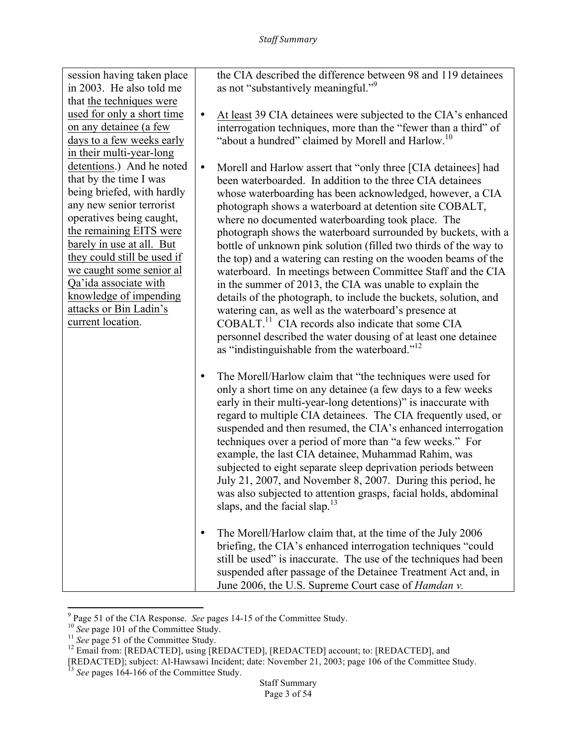| session having taken place<br>in 2003. He also told me<br>that the techniques were                                                                                                                                                                                                                                                                             |           | the CIA described the difference between 98 and 119 detainees<br>as not "substantively meaningful." <sup>9</sup>                                                                                                                                                                                                                                                                                                                                                                                                                                                                                                                                                                                                                                                                                                                                                                                                                                                       |
|----------------------------------------------------------------------------------------------------------------------------------------------------------------------------------------------------------------------------------------------------------------------------------------------------------------------------------------------------------------|-----------|------------------------------------------------------------------------------------------------------------------------------------------------------------------------------------------------------------------------------------------------------------------------------------------------------------------------------------------------------------------------------------------------------------------------------------------------------------------------------------------------------------------------------------------------------------------------------------------------------------------------------------------------------------------------------------------------------------------------------------------------------------------------------------------------------------------------------------------------------------------------------------------------------------------------------------------------------------------------|
| used for only a short time<br>on any detainee (a few<br>days to a few weeks early<br>in their multi-year-long                                                                                                                                                                                                                                                  | $\bullet$ | At least 39 CIA detainees were subjected to the CIA's enhanced<br>interrogation techniques, more than the "fewer than a third" of<br>"about a hundred" claimed by Morell and Harlow. <sup>10</sup>                                                                                                                                                                                                                                                                                                                                                                                                                                                                                                                                                                                                                                                                                                                                                                     |
| detentions.) And he noted<br>that by the time I was<br>being briefed, with hardly<br>any new senior terrorist<br>operatives being caught,<br>the remaining EITS were<br>barely in use at all. But<br>they could still be used if<br>we caught some senior al<br>Qa'ida associate with<br>knowledge of impending<br>attacks or Bin Ladin's<br>current location. | $\bullet$ | Morell and Harlow assert that "only three [CIA detainees] had<br>been waterboarded. In addition to the three CIA detainees<br>whose waterboarding has been acknowledged, however, a CIA<br>photograph shows a waterboard at detention site COBALT,<br>where no documented waterboarding took place. The<br>photograph shows the waterboard surrounded by buckets, with a<br>bottle of unknown pink solution (filled two thirds of the way to<br>the top) and a watering can resting on the wooden beams of the<br>waterboard. In meetings between Committee Staff and the CIA<br>in the summer of 2013, the CIA was unable to explain the<br>details of the photograph, to include the buckets, solution, and<br>watering can, as well as the waterboard's presence at<br>COBALT. <sup>11</sup> CIA records also indicate that some CIA<br>personnel described the water dousing of at least one detainee<br>as "indistinguishable from the waterboard." <sup>12</sup> |
|                                                                                                                                                                                                                                                                                                                                                                | $\bullet$ | The Morell/Harlow claim that "the techniques were used for<br>only a short time on any detainee (a few days to a few weeks<br>early in their multi-year-long detentions)" is inaccurate with<br>regard to multiple CIA detainees. The CIA frequently used, or<br>suspended and then resumed, the CIA's enhanced interrogation<br>techniques over a period of more than "a few weeks." For<br>example, the last CIA detainee, Muhammad Rahim, was<br>subjected to eight separate sleep deprivation periods between<br>July 21, 2007, and November 8, 2007. During this period, he<br>was also subjected to attention grasps, facial holds, abdominal<br>slaps, and the facial slap. <sup>13</sup>                                                                                                                                                                                                                                                                       |
|                                                                                                                                                                                                                                                                                                                                                                | ٠         | The Morell/Harlow claim that, at the time of the July 2006<br>briefing, the CIA's enhanced interrogation techniques "could<br>still be used" is inaccurate. The use of the techniques had been<br>suspended after passage of the Detainee Treatment Act and, in<br>June 2006, the U.S. Supreme Court case of <i>Hamdan v</i> .                                                                                                                                                                                                                                                                                                                                                                                                                                                                                                                                                                                                                                         |

<sup>&</sup>lt;u> 1989 - Johann Stein, fransk politik (d. 1989)</u>

<sup>&</sup>lt;sup>9</sup> Page 51 of the CIA Response. *See* pages 14-15 of the Committee Study.<br><sup>10</sup> *See* page 101 of the Committee Study.<br><sup>11</sup> *See* page 51 of the Committee Study.<br><sup>12</sup> Email from: [REDACTED], using [REDACTED], [REDACTED] a

<sup>[</sup>REDACTED]; subject: Al-Hawsawi Incident; date: November 21, 2003; page 106 of the Committee Study. <sup>13</sup> *See* pages 164-166 of the Committee Study.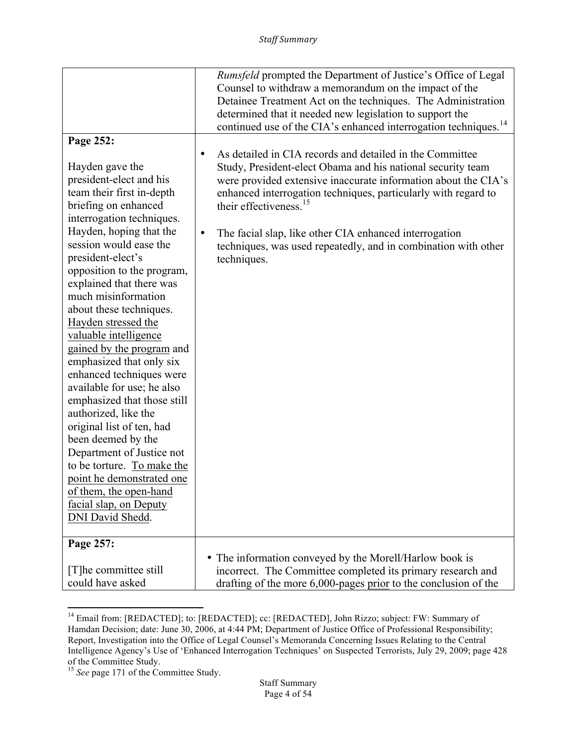|                                                                                                                                                                                                                                                                                                                                                                                                                                                                                                                                                                                                                                                                                                                                                                 | <i>Rumsfeld</i> prompted the Department of Justice's Office of Legal<br>Counsel to withdraw a memorandum on the impact of the<br>Detainee Treatment Act on the techniques. The Administration<br>determined that it needed new legislation to support the<br>continued use of the CIA's enhanced interrogation techniques. <sup>14</sup>                                                                                                                               |
|-----------------------------------------------------------------------------------------------------------------------------------------------------------------------------------------------------------------------------------------------------------------------------------------------------------------------------------------------------------------------------------------------------------------------------------------------------------------------------------------------------------------------------------------------------------------------------------------------------------------------------------------------------------------------------------------------------------------------------------------------------------------|------------------------------------------------------------------------------------------------------------------------------------------------------------------------------------------------------------------------------------------------------------------------------------------------------------------------------------------------------------------------------------------------------------------------------------------------------------------------|
| Page 252:                                                                                                                                                                                                                                                                                                                                                                                                                                                                                                                                                                                                                                                                                                                                                       |                                                                                                                                                                                                                                                                                                                                                                                                                                                                        |
| Hayden gave the<br>president-elect and his<br>team their first in-depth<br>briefing on enhanced<br>interrogation techniques.<br>Hayden, hoping that the<br>session would ease the<br>president-elect's<br>opposition to the program,<br>explained that there was<br>much misinformation<br>about these techniques.<br>Hayden stressed the<br>valuable intelligence<br>gained by the program and<br>emphasized that only six<br>enhanced techniques were<br>available for use; he also<br>emphasized that those still<br>authorized, like the<br>original list of ten, had<br>been deemed by the<br>Department of Justice not<br>to be torture. To make the<br>point he demonstrated one<br>of them, the open-hand<br>facial slap, on Deputy<br>DNI David Shedd. | As detailed in CIA records and detailed in the Committee<br>$\bullet$<br>Study, President-elect Obama and his national security team<br>were provided extensive inaccurate information about the CIA's<br>enhanced interrogation techniques, particularly with regard to<br>their effectiveness. <sup>15</sup><br>The facial slap, like other CIA enhanced interrogation<br>$\bullet$<br>techniques, was used repeatedly, and in combination with other<br>techniques. |
|                                                                                                                                                                                                                                                                                                                                                                                                                                                                                                                                                                                                                                                                                                                                                                 |                                                                                                                                                                                                                                                                                                                                                                                                                                                                        |
| Page 257:                                                                                                                                                                                                                                                                                                                                                                                                                                                                                                                                                                                                                                                                                                                                                       | • The information conveyed by the Morell/Harlow book is                                                                                                                                                                                                                                                                                                                                                                                                                |
| [T] he committee still<br>could have asked                                                                                                                                                                                                                                                                                                                                                                                                                                                                                                                                                                                                                                                                                                                      | incorrect. The Committee completed its primary research and<br>drafting of the more 6,000-pages prior to the conclusion of the                                                                                                                                                                                                                                                                                                                                         |

<sup>&</sup>lt;sup>14</sup> Email from: [REDACTED]; to: [REDACTED]; cc: [REDACTED], John Rizzo; subject: FW: Summary of Hamdan Decision; date: June 30, 2006, at 4:44 PM; Department of Justice Office of Professional Responsibility; Report, Investigation into the Office of Legal Counsel's Memoranda Concerning Issues Relating to the Central Intelligence Agency's Use of 'Enhanced Interrogation Techniques' on Suspected Terrorists, July 29, 2009; page 428 of the Committee Study.

<sup>&</sup>lt;sup>15</sup> See page 171 of the Committee Study.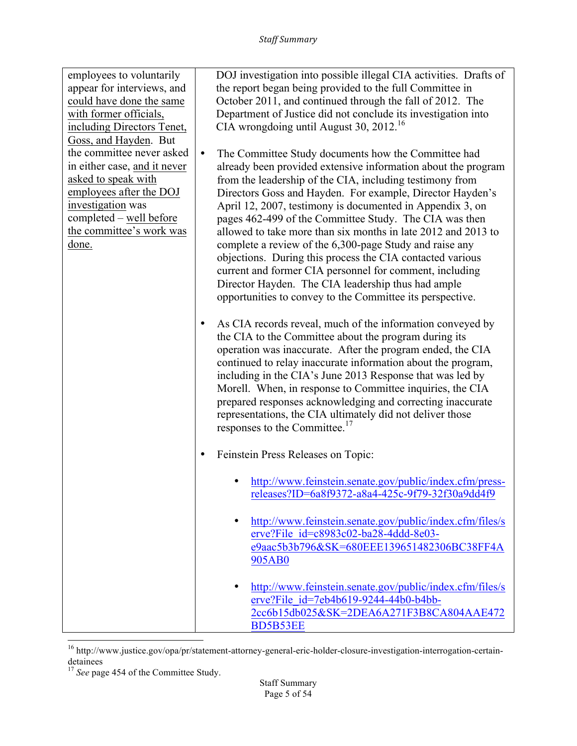| employees to voluntarily<br>appear for interviews, and<br>could have done the same<br>with former officials,<br>including Directors Tenet,<br>Goss, and Hayden. But<br>the committee never asked<br>in either case, and it never<br>asked to speak with<br>employees after the DOJ<br>investigation was<br>completed - well before<br>the committee's work was<br>done. | DOJ investigation into possible illegal CIA activities. Drafts of<br>the report began being provided to the full Committee in<br>October 2011, and continued through the fall of 2012. The<br>Department of Justice did not conclude its investigation into<br>CIA wrongdoing until August 30, 2012. <sup>16</sup><br>$\bullet$<br>The Committee Study documents how the Committee had<br>already been provided extensive information about the program<br>from the leadership of the CIA, including testimony from<br>Directors Goss and Hayden. For example, Director Hayden's<br>April 12, 2007, testimony is documented in Appendix 3, on<br>pages 462-499 of the Committee Study. The CIA was then<br>allowed to take more than six months in late 2012 and 2013 to<br>complete a review of the 6,300-page Study and raise any |
|-------------------------------------------------------------------------------------------------------------------------------------------------------------------------------------------------------------------------------------------------------------------------------------------------------------------------------------------------------------------------|-------------------------------------------------------------------------------------------------------------------------------------------------------------------------------------------------------------------------------------------------------------------------------------------------------------------------------------------------------------------------------------------------------------------------------------------------------------------------------------------------------------------------------------------------------------------------------------------------------------------------------------------------------------------------------------------------------------------------------------------------------------------------------------------------------------------------------------|
|                                                                                                                                                                                                                                                                                                                                                                         | objections. During this process the CIA contacted various<br>current and former CIA personnel for comment, including<br>Director Hayden. The CIA leadership thus had ample<br>opportunities to convey to the Committee its perspective.                                                                                                                                                                                                                                                                                                                                                                                                                                                                                                                                                                                             |
|                                                                                                                                                                                                                                                                                                                                                                         | As CIA records reveal, much of the information conveyed by<br>٠<br>the CIA to the Committee about the program during its<br>operation was inaccurate. After the program ended, the CIA<br>continued to relay inaccurate information about the program,<br>including in the CIA's June 2013 Response that was led by<br>Morell. When, in response to Committee inquiries, the CIA<br>prepared responses acknowledging and correcting inaccurate<br>representations, the CIA ultimately did not deliver those<br>responses to the Committee.                                                                                                                                                                                                                                                                                          |
|                                                                                                                                                                                                                                                                                                                                                                         | Feinstein Press Releases on Topic:                                                                                                                                                                                                                                                                                                                                                                                                                                                                                                                                                                                                                                                                                                                                                                                                  |
|                                                                                                                                                                                                                                                                                                                                                                         | http://www.feinstein.senate.gov/public/index.cfm/press-<br>releases?ID=6a8f9372-a8a4-425c-9f79-32f30a9dd4f9                                                                                                                                                                                                                                                                                                                                                                                                                                                                                                                                                                                                                                                                                                                         |
|                                                                                                                                                                                                                                                                                                                                                                         | http://www.feinstein.senate.gov/public/index.cfm/files/s<br>erve?File $id = c8983c02-ba28-4ddd-8e03-$<br>e9aac5b3b796&SK=680EEE139651482306BC38FF4A<br>905AB0                                                                                                                                                                                                                                                                                                                                                                                                                                                                                                                                                                                                                                                                       |
|                                                                                                                                                                                                                                                                                                                                                                         | http://www.feinstein.senate.gov/public/index.cfm/files/s<br>erve?File id=7eb4b619-9244-44b0-b4bb-<br>2cc6b15db025&SK=2DEA6A271F3B8CA804AAE472<br><b>BD5B53EE</b>                                                                                                                                                                                                                                                                                                                                                                                                                                                                                                                                                                                                                                                                    |

 <sup>16</sup> http://www.justice.gov/opa/pr/statement-attorney-general-eric-holder-closure-investigation-interrogation-certaindetainees

<sup>&</sup>lt;sup>17</sup> See page 454 of the Committee Study.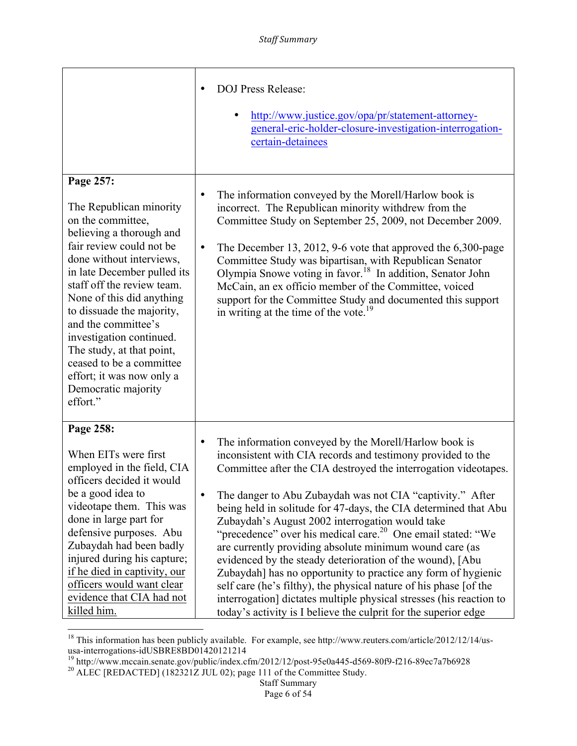|                                                                                                                                                                                                                                                                                                                                                                                                                                                  | <b>DOJ Press Release:</b><br>http://www.justice.gov/opa/pr/statement-attorney-<br>general-eric-holder-closure-investigation-interrogation-<br>certain-detainees                                                                                                                                                                                                                                                                                                                                                                                                                                                                                                                                                                                                                                                                                                                 |
|--------------------------------------------------------------------------------------------------------------------------------------------------------------------------------------------------------------------------------------------------------------------------------------------------------------------------------------------------------------------------------------------------------------------------------------------------|---------------------------------------------------------------------------------------------------------------------------------------------------------------------------------------------------------------------------------------------------------------------------------------------------------------------------------------------------------------------------------------------------------------------------------------------------------------------------------------------------------------------------------------------------------------------------------------------------------------------------------------------------------------------------------------------------------------------------------------------------------------------------------------------------------------------------------------------------------------------------------|
| Page 257:<br>The Republican minority<br>on the committee,<br>believing a thorough and<br>fair review could not be<br>done without interviews,<br>in late December pulled its<br>staff off the review team.<br>None of this did anything<br>to dissuade the majority,<br>and the committee's<br>investigation continued.<br>The study, at that point,<br>ceased to be a committee<br>effort; it was now only a<br>Democratic majority<br>effort." | The information conveyed by the Morell/Harlow book is<br>incorrect. The Republican minority withdrew from the<br>Committee Study on September 25, 2009, not December 2009.<br>The December 13, 2012, 9-6 vote that approved the $6,300$ -page<br>$\bullet$<br>Committee Study was bipartisan, with Republican Senator<br>Olympia Snowe voting in favor. <sup>18</sup> In addition, Senator John<br>McCain, an ex officio member of the Committee, voiced<br>support for the Committee Study and documented this support<br>in writing at the time of the vote. <sup>19</sup>                                                                                                                                                                                                                                                                                                    |
| Page 258:<br>When EITs were first<br>employed in the field, CIA<br>officers decided it would<br>be a good idea to<br>videotape them. This was<br>done in large part for<br>defensive purposes. Abu<br>Zubaydah had been badly<br>injured during his capture;<br>if he died in captivity, our<br>officers would want clear<br>evidence that CIA had not<br>killed him.                                                                            | The information conveyed by the Morell/Harlow book is<br>٠<br>inconsistent with CIA records and testimony provided to the<br>Committee after the CIA destroyed the interrogation videotapes.<br>The danger to Abu Zubaydah was not CIA "captivity." After<br>$\bullet$<br>being held in solitude for 47-days, the CIA determined that Abu<br>Zubaydah's August 2002 interrogation would take<br>"precedence" over his medical care. <sup>20</sup> One email stated: "We<br>are currently providing absolute minimum wound care (as<br>evidenced by the steady deterioration of the wound), [Abu<br>Zubaydah] has no opportunity to practice any form of hygienic<br>self care (he's filthy), the physical nature of his phase [of the<br>interrogation] dictates multiple physical stresses (his reaction to<br>today's activity is I believe the culprit for the superior edge |

<sup>&</sup>lt;sup>18</sup> This information has been publicly available. For example, see http://www.reuters.com/article/2012/12/14/us-

usa-interrogations-idUSBRE8BD01420121214<br><sup>19</sup> http://www.mccain.senate.gov/public/index.cfm/2012/12/post-95e0a445-d569-80f9-f216-89ec7a7b6928<br><sup>20</sup> ALEC [REDACTED] (182321Z JUL 02); page 111 of the Committee Study.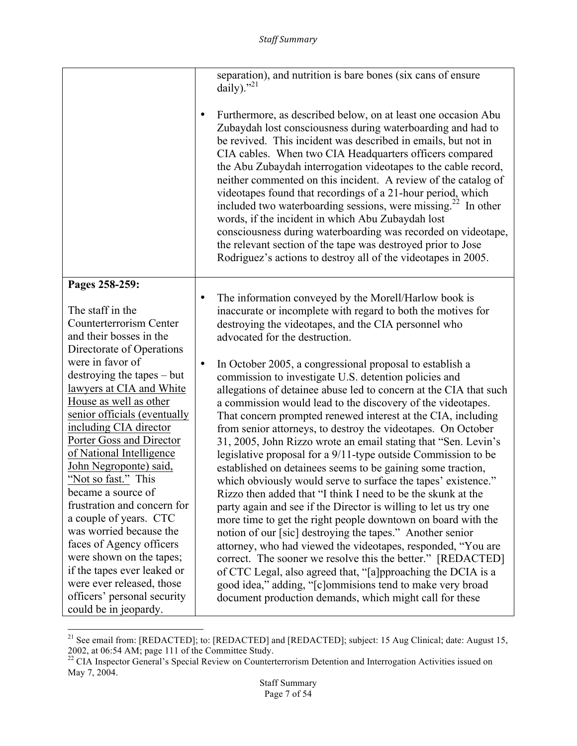|                                  | separation), and nutrition is bare bones (six cans of ensure<br>daily)." $^{21}$<br>Furthermore, as described below, on at least one occasion Abu<br>٠<br>Zubaydah lost consciousness during waterboarding and had to<br>be revived. This incident was described in emails, but not in<br>CIA cables. When two CIA Headquarters officers compared<br>the Abu Zubaydah interrogation videotapes to the cable record,<br>neither commented on this incident. A review of the catalog of<br>videotapes found that recordings of a 21-hour period, which<br>included two waterboarding sessions, were missing. <sup>22</sup> In other<br>words, if the incident in which Abu Zubaydah lost<br>consciousness during waterboarding was recorded on videotape,<br>the relevant section of the tape was destroyed prior to Jose<br>Rodriguez's actions to destroy all of the videotapes in 2005. |
|----------------------------------|------------------------------------------------------------------------------------------------------------------------------------------------------------------------------------------------------------------------------------------------------------------------------------------------------------------------------------------------------------------------------------------------------------------------------------------------------------------------------------------------------------------------------------------------------------------------------------------------------------------------------------------------------------------------------------------------------------------------------------------------------------------------------------------------------------------------------------------------------------------------------------------|
| Pages 258-259:                   | The information conveyed by the Morell/Harlow book is                                                                                                                                                                                                                                                                                                                                                                                                                                                                                                                                                                                                                                                                                                                                                                                                                                    |
| The staff in the                 | $\bullet$                                                                                                                                                                                                                                                                                                                                                                                                                                                                                                                                                                                                                                                                                                                                                                                                                                                                                |
| <b>Counterterrorism Center</b>   | inaccurate or incomplete with regard to both the motives for                                                                                                                                                                                                                                                                                                                                                                                                                                                                                                                                                                                                                                                                                                                                                                                                                             |
| and their bosses in the          | destroying the videotapes, and the CIA personnel who                                                                                                                                                                                                                                                                                                                                                                                                                                                                                                                                                                                                                                                                                                                                                                                                                                     |
| Directorate of Operations        | advocated for the destruction.                                                                                                                                                                                                                                                                                                                                                                                                                                                                                                                                                                                                                                                                                                                                                                                                                                                           |
| were in favor of                 | In October 2005, a congressional proposal to establish a                                                                                                                                                                                                                                                                                                                                                                                                                                                                                                                                                                                                                                                                                                                                                                                                                                 |
| $d$ destroying the tapes $-$ but | $\bullet$                                                                                                                                                                                                                                                                                                                                                                                                                                                                                                                                                                                                                                                                                                                                                                                                                                                                                |
| lawyers at CIA and White         | commission to investigate U.S. detention policies and                                                                                                                                                                                                                                                                                                                                                                                                                                                                                                                                                                                                                                                                                                                                                                                                                                    |
| House as well as other           | allegations of detainee abuse led to concern at the CIA that such                                                                                                                                                                                                                                                                                                                                                                                                                                                                                                                                                                                                                                                                                                                                                                                                                        |
| senior officials (eventually     | a commission would lead to the discovery of the videotapes.                                                                                                                                                                                                                                                                                                                                                                                                                                                                                                                                                                                                                                                                                                                                                                                                                              |
| including CIA director           | That concern prompted renewed interest at the CIA, including                                                                                                                                                                                                                                                                                                                                                                                                                                                                                                                                                                                                                                                                                                                                                                                                                             |
| Porter Goss and Director         | from senior attorneys, to destroy the videotapes. On October                                                                                                                                                                                                                                                                                                                                                                                                                                                                                                                                                                                                                                                                                                                                                                                                                             |
| of National Intelligence         | 31, 2005, John Rizzo wrote an email stating that "Sen. Levin's                                                                                                                                                                                                                                                                                                                                                                                                                                                                                                                                                                                                                                                                                                                                                                                                                           |
| John Negroponte) said,           | legislative proposal for a 9/11-type outside Commission to be                                                                                                                                                                                                                                                                                                                                                                                                                                                                                                                                                                                                                                                                                                                                                                                                                            |
| "Not so fast." This              | established on detainees seems to be gaining some traction,                                                                                                                                                                                                                                                                                                                                                                                                                                                                                                                                                                                                                                                                                                                                                                                                                              |
| became a source of               | which obviously would serve to surface the tapes' existence."                                                                                                                                                                                                                                                                                                                                                                                                                                                                                                                                                                                                                                                                                                                                                                                                                            |
| frustration and concern for      | Rizzo then added that "I think I need to be the skunk at the                                                                                                                                                                                                                                                                                                                                                                                                                                                                                                                                                                                                                                                                                                                                                                                                                             |
| a couple of years. CTC           | party again and see if the Director is willing to let us try one                                                                                                                                                                                                                                                                                                                                                                                                                                                                                                                                                                                                                                                                                                                                                                                                                         |
| was worried because the          | more time to get the right people downtown on board with the                                                                                                                                                                                                                                                                                                                                                                                                                                                                                                                                                                                                                                                                                                                                                                                                                             |
| faces of Agency officers         | notion of our [sic] destroying the tapes." Another senior                                                                                                                                                                                                                                                                                                                                                                                                                                                                                                                                                                                                                                                                                                                                                                                                                                |
| were shown on the tapes;         | attorney, who had viewed the videotapes, responded, "You are                                                                                                                                                                                                                                                                                                                                                                                                                                                                                                                                                                                                                                                                                                                                                                                                                             |
| if the tapes ever leaked or      | correct. The sooner we resolve this the better." [REDACTED]                                                                                                                                                                                                                                                                                                                                                                                                                                                                                                                                                                                                                                                                                                                                                                                                                              |
| were ever released, those        | of CTC Legal, also agreed that, "[a]pproaching the DCIA is a                                                                                                                                                                                                                                                                                                                                                                                                                                                                                                                                                                                                                                                                                                                                                                                                                             |
| officers' personal security      | good idea," adding, "[c]ommisions tend to make very broad                                                                                                                                                                                                                                                                                                                                                                                                                                                                                                                                                                                                                                                                                                                                                                                                                                |
| could be in jeopardy.            | document production demands, which might call for these                                                                                                                                                                                                                                                                                                                                                                                                                                                                                                                                                                                                                                                                                                                                                                                                                                  |

<sup>&</sup>lt;sup>21</sup> See email from: [REDACTED]; to: [REDACTED] and [REDACTED]; subject: 15 Aug Clinical; date: August 15, 2002, at 06:54 AM; page 111 of the Committee Study.<br><sup>22</sup> CIA Inspector General's Special Review on Counterterrorism Detention and Interrogation Activities issued on

May 7, 2004.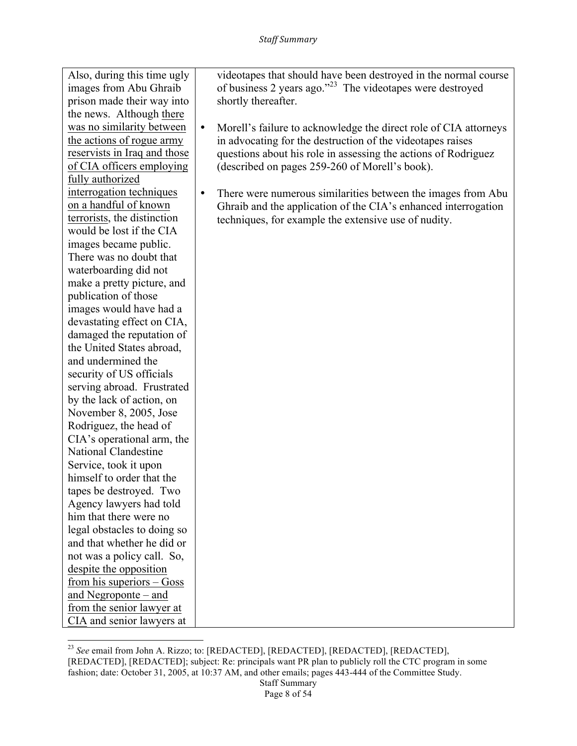Also, during this time ugly images from Abu Ghraib prison made their way into the news. Although there was no similarity between the actions of rogue army reservists in Iraq and those of CIA officers employing fully authorized interrogation techniques on a handful of known terrorists, the distinction would be lost if the CIA images became public. There was no doubt that waterboarding did not make a pretty picture, and publication of those images would have had a devastating effect on CIA, damaged the reputation of the United States abroad, and undermined the security of US officials serving abroad. Frustrated by the lack of action, on November 8, 2005, Jose Rodriguez, the head of CIA's operational arm, the National Clandestine Service, took it upon himself to order that the tapes be destroyed. Two Agency lawyers had told him that there were no legal obstacles to doing so and that whether he did or not was a policy call. So, despite the opposition from his superiors – Goss and Negroponte – and from the senior lawyer at CIA and senior lawyers at

videotapes that should have been destroyed in the normal course of business 2 years ago."23 The videotapes were destroyed shortly thereafter.

- Morell's failure to acknowledge the direct role of CIA attorneys in advocating for the destruction of the videotapes raises questions about his role in assessing the actions of Rodriguez (described on pages 259-260 of Morell's book).
- There were numerous similarities between the images from Abu Ghraib and the application of the CIA's enhanced interrogation techniques, for example the extensive use of nudity.

 <sup>23</sup> *See* email from John A. Rizzo; to: [REDACTED], [REDACTED], [REDACTED], [REDACTED], [REDACTED], [REDACTED]; subject: Re: principals want PR plan to publicly roll the CTC program in some fashion; date: October 31, 2005, at 10:37 AM, and other emails; pages 443-444 of the Committee Study.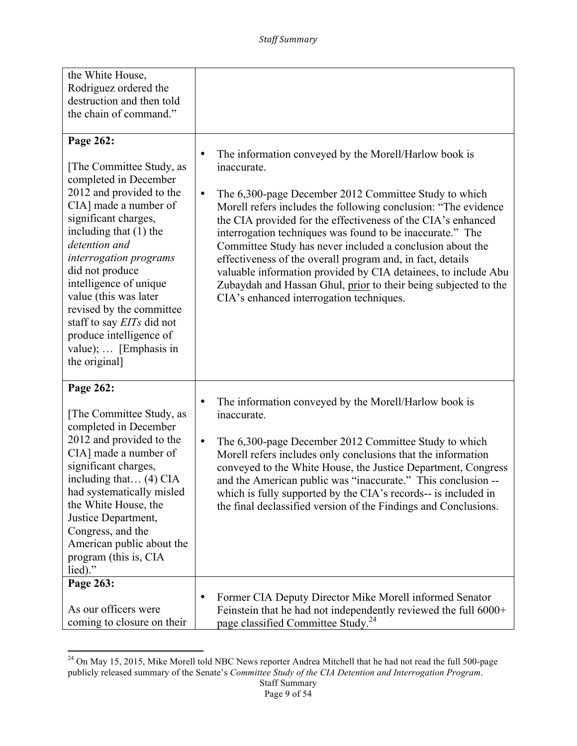| the White House,<br>Rodriguez ordered the<br>destruction and then told<br>the chain of command."                                                                                                                                                                                                                                                                                                                              |                                                                                                                                                                                                                                                                                                                                                                                                                                                                                                                                                                                                                                                                    |
|-------------------------------------------------------------------------------------------------------------------------------------------------------------------------------------------------------------------------------------------------------------------------------------------------------------------------------------------------------------------------------------------------------------------------------|--------------------------------------------------------------------------------------------------------------------------------------------------------------------------------------------------------------------------------------------------------------------------------------------------------------------------------------------------------------------------------------------------------------------------------------------------------------------------------------------------------------------------------------------------------------------------------------------------------------------------------------------------------------------|
| Page 262:<br>[The Committee Study, as<br>completed in December<br>2012 and provided to the<br>CIA] made a number of<br>significant charges,<br>including that $(1)$ the<br>detention and<br>interrogation programs<br>did not produce<br>intelligence of unique<br>value (this was later<br>revised by the committee<br>staff to say <i>EITs</i> did not<br>produce intelligence of<br>value);  [Emphasis in<br>the original] | The information conveyed by the Morell/Harlow book is<br>$\bullet$<br>inaccurate.<br>The 6,300-page December 2012 Committee Study to which<br>$\bullet$<br>Morell refers includes the following conclusion: "The evidence<br>the CIA provided for the effectiveness of the CIA's enhanced<br>interrogation techniques was found to be inaccurate." The<br>Committee Study has never included a conclusion about the<br>effectiveness of the overall program and, in fact, details<br>valuable information provided by CIA detainees, to include Abu<br>Zubaydah and Hassan Ghul, prior to their being subjected to the<br>CIA's enhanced interrogation techniques. |
| Page 262:<br>[The Committee Study, as<br>completed in December<br>2012 and provided to the<br>CIA] made a number of<br>significant charges,<br>including that $(4)$ CIA<br>had systematically misled<br>the White House, the<br>Justice Department,<br>Congress, and the<br>American public about the<br>program (this is, CIA<br>lied)."                                                                                     | The information conveyed by the Morell/Harlow book is<br>٠<br>inaccurate.<br>The 6,300-page December 2012 Committee Study to which<br>$\bullet$<br>Morell refers includes only conclusions that the information<br>conveyed to the White House, the Justice Department, Congress<br>and the American public was "inaccurate." This conclusion --<br>which is fully supported by the CIA's records-- is included in<br>the final declassified version of the Findings and Conclusions.                                                                                                                                                                              |
| Page 263:<br>As our officers were<br>coming to closure on their                                                                                                                                                                                                                                                                                                                                                               | Former CIA Deputy Director Mike Morell informed Senator<br>٠<br>Feinstein that he had not independently reviewed the full 6000+<br>page classified Committee Study. <sup>24</sup>                                                                                                                                                                                                                                                                                                                                                                                                                                                                                  |

 $^{24}$  On May 15, 2015, Mike Morell told NBC News reporter Andrea Mitchell that he had not read the full 500-page publicly released summary of the Senate's *Committee Study of the CIA Detention and Interrogation Program*.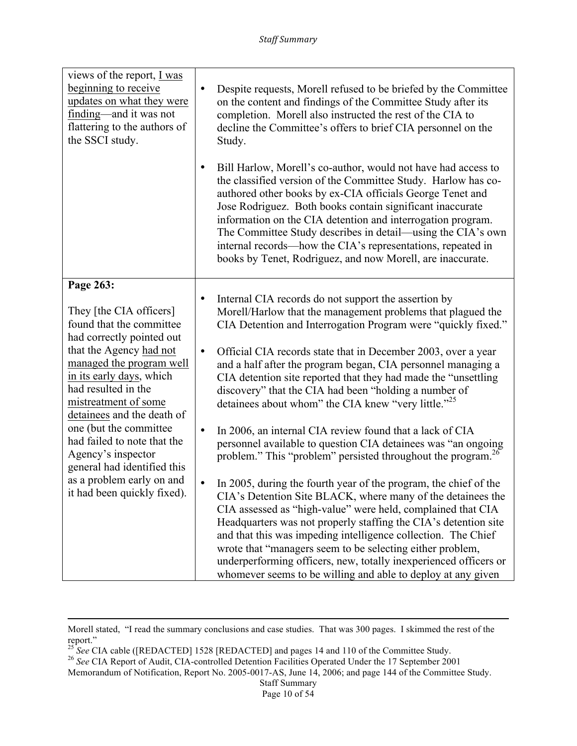| views of the report, $I was$<br>beginning to receive<br>updates on what they were<br>finding—and it was not<br>flattering to the authors of<br>the SSCI study.                                                                                                                                              |                        | Despite requests, Morell refused to be briefed by the Committee<br>on the content and findings of the Committee Study after its<br>completion. Morell also instructed the rest of the CIA to<br>decline the Committee's offers to brief CIA personnel on the<br>Study.                                                                                                                                                                                                                                                              |
|-------------------------------------------------------------------------------------------------------------------------------------------------------------------------------------------------------------------------------------------------------------------------------------------------------------|------------------------|-------------------------------------------------------------------------------------------------------------------------------------------------------------------------------------------------------------------------------------------------------------------------------------------------------------------------------------------------------------------------------------------------------------------------------------------------------------------------------------------------------------------------------------|
|                                                                                                                                                                                                                                                                                                             |                        | Bill Harlow, Morell's co-author, would not have had access to<br>the classified version of the Committee Study. Harlow has co-<br>authored other books by ex-CIA officials George Tenet and<br>Jose Rodriguez. Both books contain significant inaccurate<br>information on the CIA detention and interrogation program.<br>The Committee Study describes in detail—using the CIA's own<br>internal records—how the CIA's representations, repeated in<br>books by Tenet, Rodriguez, and now Morell, are inaccurate.                 |
| Page 263:                                                                                                                                                                                                                                                                                                   |                        |                                                                                                                                                                                                                                                                                                                                                                                                                                                                                                                                     |
| They [the CIA officers]<br>found that the committee<br>had correctly pointed out<br>that the Agency had not                                                                                                                                                                                                 | $\bullet$<br>$\bullet$ | Internal CIA records do not support the assertion by<br>Morell/Harlow that the management problems that plagued the<br>CIA Detention and Interrogation Program were "quickly fixed."<br>Official CIA records state that in December 2003, over a year                                                                                                                                                                                                                                                                               |
| managed the program well<br>in its early days, which<br>had resulted in the<br>mistreatment of some<br>detainees and the death of<br>one (but the committee<br>had failed to note that the<br>Agency's inspector<br>general had identified this<br>as a problem early on and<br>it had been quickly fixed). |                        | and a half after the program began, CIA personnel managing a<br>CIA detention site reported that they had made the "unsettling"<br>discovery" that the CIA had been "holding a number of<br>detainees about whom" the CIA knew "very little." <sup>25</sup>                                                                                                                                                                                                                                                                         |
|                                                                                                                                                                                                                                                                                                             | $\bullet$              | In 2006, an internal CIA review found that a lack of CIA<br>personnel available to question CIA detainees was "an ongoing<br>problem." This "problem" persisted throughout the program. <sup>26</sup>                                                                                                                                                                                                                                                                                                                               |
|                                                                                                                                                                                                                                                                                                             | $\bullet$              | In 2005, during the fourth year of the program, the chief of the<br>CIA's Detention Site BLACK, where many of the detainees the<br>CIA assessed as "high-value" were held, complained that CIA<br>Headquarters was not properly staffing the CIA's detention site<br>and that this was impeding intelligence collection. The Chief<br>wrote that "managers seem to be selecting either problem,<br>underperforming officers, new, totally inexperienced officers or<br>whomever seems to be willing and able to deploy at any given |

<u> 1989 - Andrea Santa Andrea Andrea Andrea Andrea Andrea Andrea Andrea Andrea Andrea Andrea Andrea Andrea Andr</u>

Morell stated, "I read the summary conclusions and case studies. That was 300 pages. I skimmed the rest of the report."

<sup>&</sup>lt;sup>25</sup> *See* CIA cable ([REDACTED] 1528 [REDACTED] and pages 14 and 110 of the Committee Study.<br><sup>26</sup> *See* CIA Report of Audit, CIA-controlled Detention Facilities Operated Under the 17 September 2001

Memorandum of Notification, Report No. 2005-0017-AS, June 14, 2006; and page 144 of the Committee Study.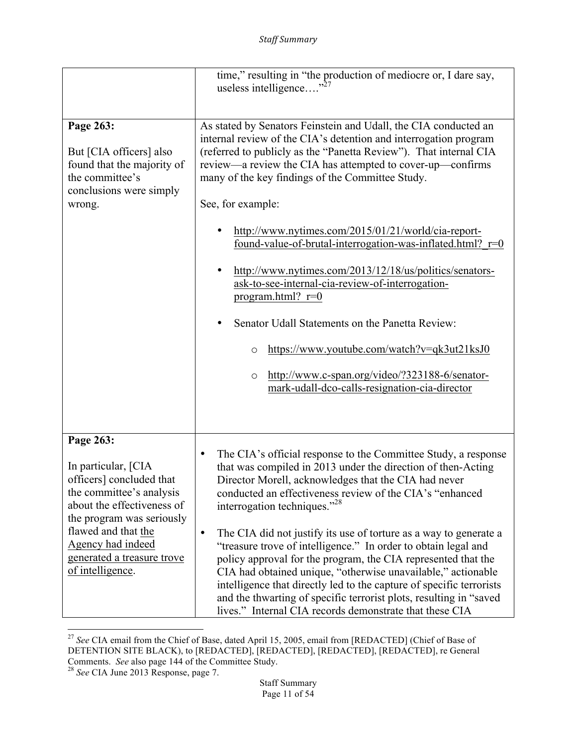|                                                                                                                                                                                                                                                   | time," resulting in "the production of mediocre or, I dare say,<br>useless intelligence                                                                                                                                                                                                                                                                                                                                                                                                                                                                                                                                                                                                                                                                                                                                           |
|---------------------------------------------------------------------------------------------------------------------------------------------------------------------------------------------------------------------------------------------------|-----------------------------------------------------------------------------------------------------------------------------------------------------------------------------------------------------------------------------------------------------------------------------------------------------------------------------------------------------------------------------------------------------------------------------------------------------------------------------------------------------------------------------------------------------------------------------------------------------------------------------------------------------------------------------------------------------------------------------------------------------------------------------------------------------------------------------------|
| Page 263:<br>But [CIA officers] also<br>found that the majority of<br>the committee's<br>conclusions were simply<br>wrong.                                                                                                                        | As stated by Senators Feinstein and Udall, the CIA conducted an<br>internal review of the CIA's detention and interrogation program<br>(referred to publicly as the "Panetta Review"). That internal CIA<br>review—a review the CIA has attempted to cover-up—confirms<br>many of the key findings of the Committee Study.<br>See, for example:<br>http://www.nytimes.com/2015/01/21/world/cia-report-<br>found-value-of-brutal-interrogation-was-inflated.html? $r=0$<br>http://www.nytimes.com/2013/12/18/us/politics/senators-<br>ask-to-see-internal-cia-review-of-interrogation-<br>program.html? $r=0$<br>Senator Udall Statements on the Panetta Review:<br>https://www.youtube.com/watch?v=qk3ut21ksJ0<br>O<br>http://www.c-span.org/video/?323188-6/senator-<br>$\circ$<br>mark-udall-dco-calls-resignation-cia-director |
| Page 263:<br>In particular, [CIA<br>officers] concluded that<br>the committee's analysis<br>about the effectiveness of<br>the program was seriously<br>flawed and that the<br>Agency had indeed<br>generated a treasure trove<br>of intelligence. | The CIA's official response to the Committee Study, a response<br>that was compiled in 2013 under the direction of then-Acting<br>Director Morell, acknowledges that the CIA had never<br>conducted an effectiveness review of the CIA's "enhanced<br>interrogation techniques." <sup>28</sup><br>The CIA did not justify its use of torture as a way to generate a<br>$\bullet$<br>"treasure trove of intelligence." In order to obtain legal and<br>policy approval for the program, the CIA represented that the<br>CIA had obtained unique, "otherwise unavailable," actionable<br>intelligence that directly led to the capture of specific terrorists<br>and the thwarting of specific terrorist plots, resulting in "saved<br>lives." Internal CIA records demonstrate that these CIA                                      |

<sup>&</sup>lt;u> 1989 - Johann Stein, fransk politik (d. 1989)</u> <sup>27</sup> *See* CIA email from the Chief of Base, dated April 15, 2005, email from [REDACTED] (Chief of Base of DETENTION SITE BLACK), to [REDACTED], [REDACTED], [REDACTED], [REDACTED], re General Comments. *See* also page 144 of the Committee Study. <sup>28</sup> *See* CIA June 2013 Response, page 7.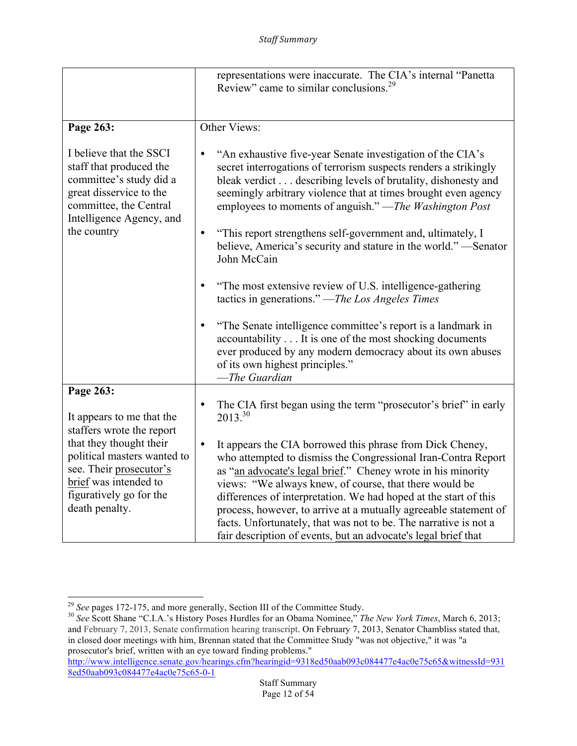|                                                                                                                                                                                                                   | representations were inaccurate. The CIA's internal "Panetta"<br>Review" came to similar conclusions. <sup>29</sup>                                                                                                                                                                                                                                                                                                                                                                                                                             |
|-------------------------------------------------------------------------------------------------------------------------------------------------------------------------------------------------------------------|-------------------------------------------------------------------------------------------------------------------------------------------------------------------------------------------------------------------------------------------------------------------------------------------------------------------------------------------------------------------------------------------------------------------------------------------------------------------------------------------------------------------------------------------------|
| Page 263:                                                                                                                                                                                                         | Other Views:                                                                                                                                                                                                                                                                                                                                                                                                                                                                                                                                    |
| I believe that the SSCI<br>staff that produced the<br>committee's study did a<br>great disservice to the<br>committee, the Central<br>Intelligence Agency, and<br>the country                                     | "An exhaustive five-year Senate investigation of the CIA's<br>secret interrogations of terrorism suspects renders a strikingly<br>bleak verdict describing levels of brutality, dishonesty and<br>seemingly arbitrary violence that at times brought even agency<br>employees to moments of anguish." -The Washington Post                                                                                                                                                                                                                      |
|                                                                                                                                                                                                                   | "This report strengthens self-government and, ultimately, I<br>$\bullet$<br>believe, America's security and stature in the world."—Senator<br>John McCain                                                                                                                                                                                                                                                                                                                                                                                       |
|                                                                                                                                                                                                                   | "The most extensive review of U.S. intelligence-gathering<br>tactics in generations." — The Los Angeles Times                                                                                                                                                                                                                                                                                                                                                                                                                                   |
|                                                                                                                                                                                                                   | "The Senate intelligence committee's report is a landmark in<br>accountability It is one of the most shocking documents<br>ever produced by any modern democracy about its own abuses<br>of its own highest principles."<br>-The Guardian                                                                                                                                                                                                                                                                                                       |
| Page 263:                                                                                                                                                                                                         |                                                                                                                                                                                                                                                                                                                                                                                                                                                                                                                                                 |
| It appears to me that the<br>staffers wrote the report<br>that they thought their<br>political masters wanted to<br>see. Their prosecutor's<br>brief was intended to<br>figuratively go for the<br>death penalty. | The CIA first began using the term "prosecutor's brief" in early<br>٠<br>$2013^{30}$                                                                                                                                                                                                                                                                                                                                                                                                                                                            |
|                                                                                                                                                                                                                   | It appears the CIA borrowed this phrase from Dick Cheney,<br>$\bullet$<br>who attempted to dismiss the Congressional Iran-Contra Report<br>as "an advocate's legal brief." Cheney wrote in his minority<br>views: "We always knew, of course, that there would be<br>differences of interpretation. We had hoped at the start of this<br>process, however, to arrive at a mutually agreeable statement of<br>facts. Unfortunately, that was not to be. The narrative is not a<br>fair description of events, but an advocate's legal brief that |

http://www.intelligence.senate.gov/hearings.cfm?hearingid=9318ed50aab093c084477e4ac0e75c65&witnessId=931 8ed50aab093c084477e4ac0e75c65-0-1

<sup>&</sup>lt;sup>29</sup> See pages 172-175, and more generally, Section III of the Committee Study.

<sup>&</sup>lt;sup>30</sup> See Scott Shane "C.I.A.'s History Poses Hurdles for an Obama Nominee," *The New York Times*, March 6, 2013; and February 7, 2013, Senate confirmation hearing transcript. On February 7, 2013, Senator Chambliss stated that, in closed door meetings with him, Brennan stated that the Committee Study "was not objective," it was "a prosecutor's brief, written with an eye toward finding problems."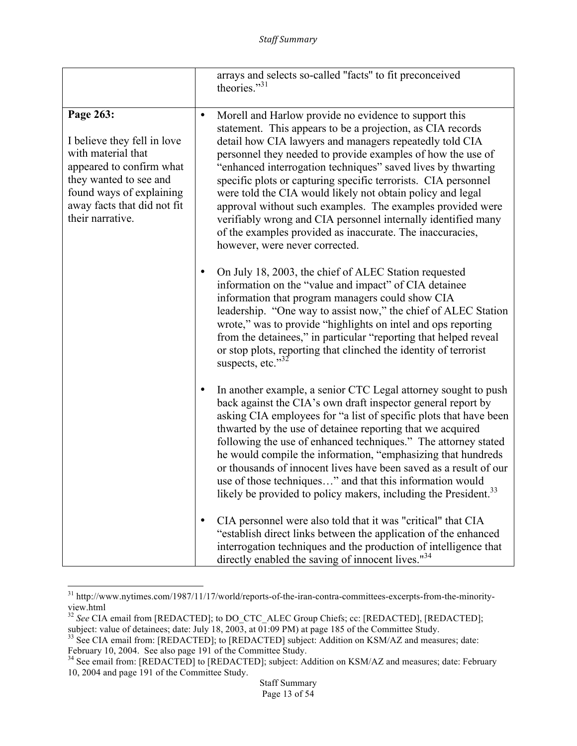|                                                                                                                                                                                                     |           | arrays and selects so-called "facts" to fit preconceived<br>theories."31                                                                                                                                                                                                                                                                                                                                                                                                                                                                                                                                                                                                    |
|-----------------------------------------------------------------------------------------------------------------------------------------------------------------------------------------------------|-----------|-----------------------------------------------------------------------------------------------------------------------------------------------------------------------------------------------------------------------------------------------------------------------------------------------------------------------------------------------------------------------------------------------------------------------------------------------------------------------------------------------------------------------------------------------------------------------------------------------------------------------------------------------------------------------------|
| Page 263:<br>I believe they fell in love<br>with material that<br>appeared to confirm what<br>they wanted to see and<br>found ways of explaining<br>away facts that did not fit<br>their narrative. | $\bullet$ | Morell and Harlow provide no evidence to support this<br>statement. This appears to be a projection, as CIA records<br>detail how CIA lawyers and managers repeatedly told CIA<br>personnel they needed to provide examples of how the use of<br>"enhanced interrogation techniques" saved lives by thwarting<br>specific plots or capturing specific terrorists. CIA personnel<br>were told the CIA would likely not obtain policy and legal<br>approval without such examples. The examples provided were<br>verifiably wrong and CIA personnel internally identified many<br>of the examples provided as inaccurate. The inaccuracies,<br>however, were never corrected. |
|                                                                                                                                                                                                     |           | On July 18, 2003, the chief of ALEC Station requested<br>information on the "value and impact" of CIA detainee<br>information that program managers could show CIA<br>leadership. "One way to assist now," the chief of ALEC Station<br>wrote," was to provide "highlights on intel and ops reporting<br>from the detainees," in particular "reporting that helped reveal<br>or stop plots, reporting that clinched the identity of terrorist<br>suspects, etc."32                                                                                                                                                                                                          |
|                                                                                                                                                                                                     | ٠         | In another example, a senior CTC Legal attorney sought to push<br>back against the CIA's own draft inspector general report by<br>asking CIA employees for "a list of specific plots that have been<br>thwarted by the use of detainee reporting that we acquired<br>following the use of enhanced techniques." The attorney stated<br>he would compile the information, "emphasizing that hundreds"<br>or thousands of innocent lives have been saved as a result of our<br>use of those techniques" and that this information would<br>likely be provided to policy makers, including the President. <sup>33</sup>                                                        |
|                                                                                                                                                                                                     | $\bullet$ | CIA personnel were also told that it was "critical" that CIA<br>"establish direct links between the application of the enhanced<br>interrogation techniques and the production of intelligence that<br>directly enabled the saving of innocent lives." <sup>34</sup>                                                                                                                                                                                                                                                                                                                                                                                                        |

<sup>&</sup>lt;sup>31</sup> http://www.nytimes.com/1987/11/17/world/reports-of-the-iran-contra-committees-excerpts-from-the-minorityview.html

<sup>&</sup>lt;sup>32</sup> See CIA email from [REDACTED]; to DO\_CTC\_ALEC Group Chiefs; cc: [REDACTED], [REDACTED]; subject: value of detainees; date: July 18, 2003, at 01:09 PM) at page 185 of the Committee Study.

<sup>&</sup>lt;sup>33</sup> See CIA email from: [REDACTED]; to [REDACTED] subject: Addition on KSM/AZ and measures; date:

February 10, 2004. See also page 191 of the Committee Study.<br><sup>34</sup> See email from: [REDACTED] to [REDACTED]; subject: Addition on KSM/AZ and measures; date: February 10, 2004 and page 191 of the Committee Study.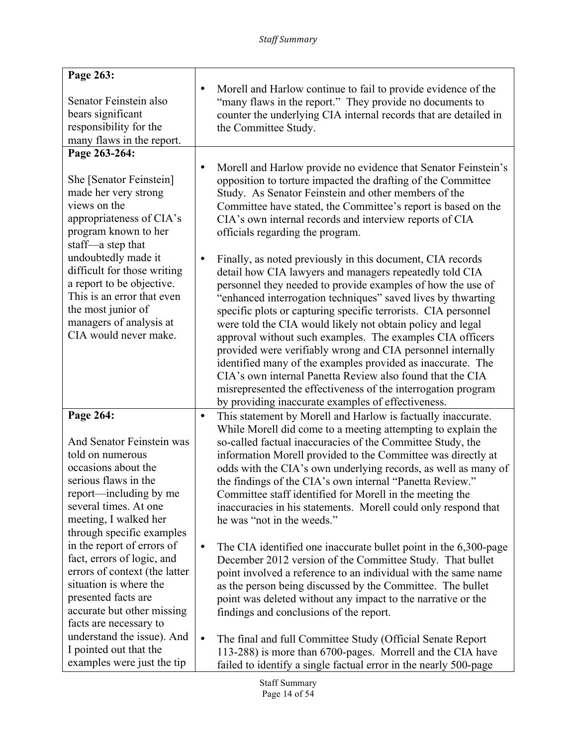| Page 263:                                                                                                                                                                                             |           |                                                                                                                                                                                                                                                                                                                                                                                                                                                                                                                                                                                                                                                                                                                                                                     |
|-------------------------------------------------------------------------------------------------------------------------------------------------------------------------------------------------------|-----------|---------------------------------------------------------------------------------------------------------------------------------------------------------------------------------------------------------------------------------------------------------------------------------------------------------------------------------------------------------------------------------------------------------------------------------------------------------------------------------------------------------------------------------------------------------------------------------------------------------------------------------------------------------------------------------------------------------------------------------------------------------------------|
| Senator Feinstein also<br>bears significant<br>responsibility for the<br>many flaws in the report.                                                                                                    | $\bullet$ | Morell and Harlow continue to fail to provide evidence of the<br>"many flaws in the report." They provide no documents to<br>counter the underlying CIA internal records that are detailed in<br>the Committee Study.                                                                                                                                                                                                                                                                                                                                                                                                                                                                                                                                               |
| Page 263-264:                                                                                                                                                                                         |           |                                                                                                                                                                                                                                                                                                                                                                                                                                                                                                                                                                                                                                                                                                                                                                     |
| She [Senator Feinstein]<br>made her very strong<br>views on the<br>appropriateness of CIA's<br>program known to her<br>staff—a step that                                                              | $\bullet$ | Morell and Harlow provide no evidence that Senator Feinstein's<br>opposition to torture impacted the drafting of the Committee<br>Study. As Senator Feinstein and other members of the<br>Committee have stated, the Committee's report is based on the<br>CIA's own internal records and interview reports of CIA<br>officials regarding the program.                                                                                                                                                                                                                                                                                                                                                                                                              |
| undoubtedly made it<br>difficult for those writing<br>a report to be objective.<br>This is an error that even<br>the most junior of<br>managers of analysis at<br>CIA would never make.               |           | Finally, as noted previously in this document, CIA records<br>detail how CIA lawyers and managers repeatedly told CIA<br>personnel they needed to provide examples of how the use of<br>"enhanced interrogation techniques" saved lives by thwarting<br>specific plots or capturing specific terrorists. CIA personnel<br>were told the CIA would likely not obtain policy and legal<br>approval without such examples. The examples CIA officers<br>provided were verifiably wrong and CIA personnel internally<br>identified many of the examples provided as inaccurate. The<br>CIA's own internal Panetta Review also found that the CIA<br>misrepresented the effectiveness of the interrogation program<br>by providing inaccurate examples of effectiveness. |
| Page 264:                                                                                                                                                                                             | $\bullet$ | This statement by Morell and Harlow is factually inaccurate.                                                                                                                                                                                                                                                                                                                                                                                                                                                                                                                                                                                                                                                                                                        |
| And Senator Feinstein was<br>told on numerous<br>occasions about the<br>serious flaws in the<br>report—including by me<br>several times. At one<br>meeting, I walked her<br>through specific examples |           | While Morell did come to a meeting attempting to explain the<br>so-called factual inaccuracies of the Committee Study, the<br>information Morell provided to the Committee was directly at<br>odds with the CIA's own underlying records, as well as many of<br>the findings of the CIA's own internal "Panetta Review."<br>Committee staff identified for Morell in the meeting the<br>inaccuracies in his statements. Morell could only respond that<br>he was "not in the weeds."                                                                                                                                                                                                                                                                                |
| in the report of errors of<br>fact, errors of logic, and<br>errors of context (the latter<br>situation is where the<br>presented facts are<br>accurate but other missing<br>facts are necessary to    | $\bullet$ | The CIA identified one inaccurate bullet point in the 6,300-page<br>December 2012 version of the Committee Study. That bullet<br>point involved a reference to an individual with the same name<br>as the person being discussed by the Committee. The bullet<br>point was deleted without any impact to the narrative or the<br>findings and conclusions of the report.                                                                                                                                                                                                                                                                                                                                                                                            |
| understand the issue). And<br>I pointed out that the<br>examples were just the tip                                                                                                                    | $\bullet$ | The final and full Committee Study (Official Senate Report<br>113-288) is more than 6700-pages. Morrell and the CIA have<br>failed to identify a single factual error in the nearly 500-page                                                                                                                                                                                                                                                                                                                                                                                                                                                                                                                                                                        |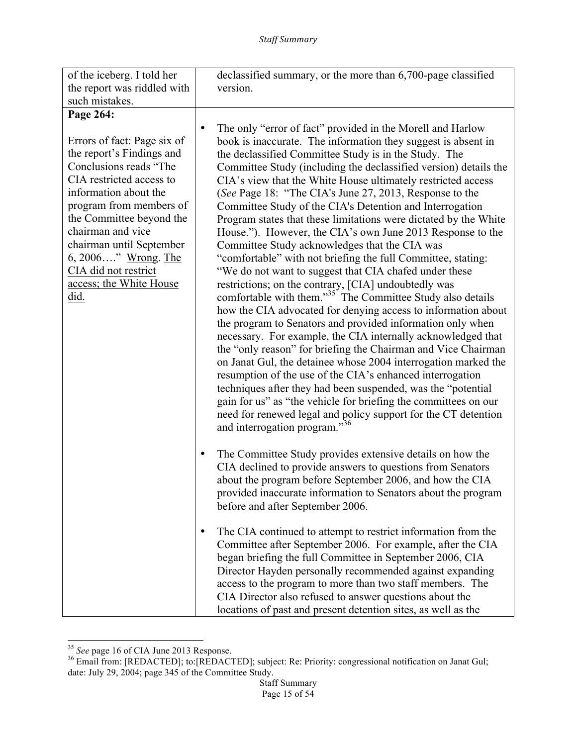<sup>&</sup>lt;sup>35</sup> *See* page 16 of CIA June 2013 Response.<br><sup>36</sup> Email from: [REDACTED]; to:[REDACTED]; subject: Re: Priority: congressional notification on Janat Gul; date: July 29, 2004; page 345 of the Committee Study.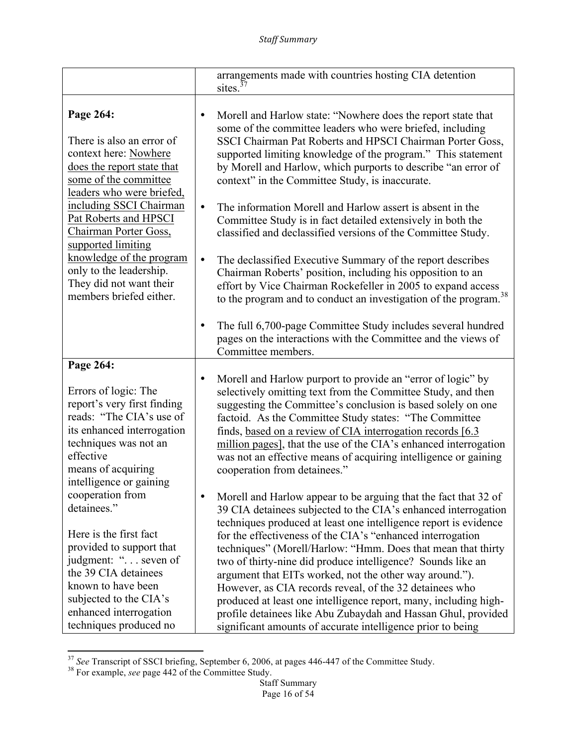|                                                                                                                                                                                                        |           | arrangements made with countries hosting CIA detention<br>sites. $37$                                                                                                                                                                                                                                                                                                                                                                                                                                               |
|--------------------------------------------------------------------------------------------------------------------------------------------------------------------------------------------------------|-----------|---------------------------------------------------------------------------------------------------------------------------------------------------------------------------------------------------------------------------------------------------------------------------------------------------------------------------------------------------------------------------------------------------------------------------------------------------------------------------------------------------------------------|
|                                                                                                                                                                                                        |           |                                                                                                                                                                                                                                                                                                                                                                                                                                                                                                                     |
| Page 264:<br>There is also an error of<br>context here: Nowhere<br>does the report state that<br>some of the committee<br>leaders who were briefed,                                                    | ٠         | Morell and Harlow state: "Nowhere does the report state that<br>some of the committee leaders who were briefed, including<br>SSCI Chairman Pat Roberts and HPSCI Chairman Porter Goss,<br>supported limiting knowledge of the program." This statement<br>by Morell and Harlow, which purports to describe "an error of<br>context" in the Committee Study, is inaccurate.                                                                                                                                          |
| including SSCI Chairman<br>Pat Roberts and HPSCI<br>Chairman Porter Goss,<br>supported limiting                                                                                                        | $\bullet$ | The information Morell and Harlow assert is absent in the<br>Committee Study is in fact detailed extensively in both the<br>classified and declassified versions of the Committee Study.                                                                                                                                                                                                                                                                                                                            |
| knowledge of the program<br>only to the leadership.<br>They did not want their<br>members briefed either.                                                                                              | $\bullet$ | The declassified Executive Summary of the report describes<br>Chairman Roberts' position, including his opposition to an<br>effort by Vice Chairman Rockefeller in 2005 to expand access<br>to the program and to conduct an investigation of the program. <sup>38</sup>                                                                                                                                                                                                                                            |
|                                                                                                                                                                                                        | ٠         | The full 6,700-page Committee Study includes several hundred<br>pages on the interactions with the Committee and the views of<br>Committee members.                                                                                                                                                                                                                                                                                                                                                                 |
| Page 264:                                                                                                                                                                                              |           |                                                                                                                                                                                                                                                                                                                                                                                                                                                                                                                     |
| Errors of logic: The<br>report's very first finding<br>reads: "The CIA's use of<br>its enhanced interrogation<br>techniques was not an<br>effective<br>means of acquiring<br>intelligence or gaining   |           | Morell and Harlow purport to provide an "error of logic" by<br>selectively omitting text from the Committee Study, and then<br>suggesting the Committee's conclusion is based solely on one<br>factoid. As the Committee Study states: "The Committee<br>finds, based on a review of CIA interrogation records [6.3]<br>million pages], that the use of the CIA's enhanced interrogation<br>was not an effective means of acquiring intelligence or gaining<br>cooperation from detainees."                         |
| cooperation from<br>detainees."                                                                                                                                                                        | ٠         | Morell and Harlow appear to be arguing that the fact that 32 of<br>39 CIA detainees subjected to the CIA's enhanced interrogation<br>techniques produced at least one intelligence report is evidence                                                                                                                                                                                                                                                                                                               |
| Here is the first fact<br>provided to support that<br>judgment: " seven of<br>the 39 CIA detainees<br>known to have been<br>subjected to the CIA's<br>enhanced interrogation<br>techniques produced no |           | for the effectiveness of the CIA's "enhanced interrogation<br>techniques" (Morell/Harlow: "Hmm. Does that mean that thirty<br>two of thirty-nine did produce intelligence? Sounds like an<br>argument that EITs worked, not the other way around.").<br>However, as CIA records reveal, of the 32 detainees who<br>produced at least one intelligence report, many, including high-<br>profile detainees like Abu Zubaydah and Hassan Ghul, provided<br>significant amounts of accurate intelligence prior to being |

<sup>&</sup>lt;u> 1989 - Johann Stein, fransk politik (d. 1989)</u> <sup>37</sup> *See* Transcript of SSCI briefing, September 6, 2006, at pages 446-447 of the Committee Study. <sup>38</sup> For example, *see* page 442 of the Committee Study.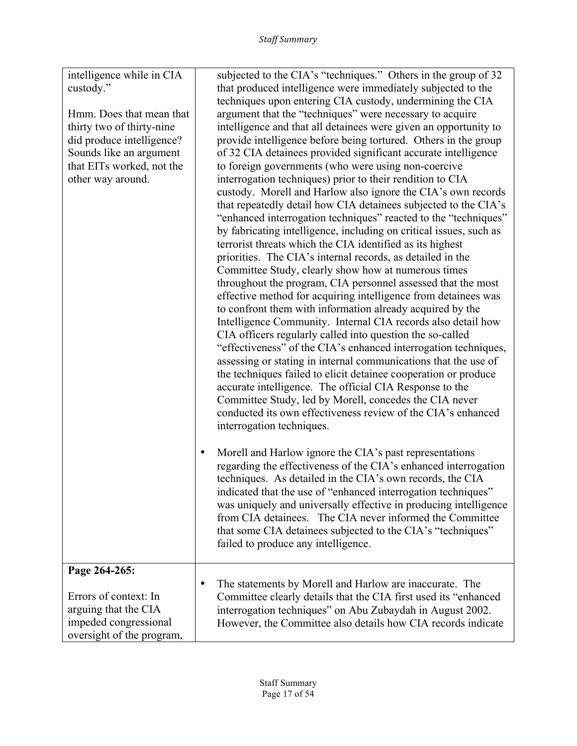| intelligence while in CIA<br>custody."        | subjected to the CIA's "techniques." Others in the group of 32<br>that produced intelligence were immediately subjected to the |
|-----------------------------------------------|--------------------------------------------------------------------------------------------------------------------------------|
|                                               | techniques upon entering CIA custody, undermining the CIA                                                                      |
| Hmm. Does that mean that                      | argument that the "techniques" were necessary to acquire                                                                       |
| thirty two of thirty-nine                     | intelligence and that all detainees were given an opportunity to                                                               |
| did produce intelligence?                     | provide intelligence before being tortured. Others in the group                                                                |
| Sounds like an argument                       | of 32 CIA detainees provided significant accurate intelligence                                                                 |
| that EITs worked, not the                     | to foreign governments (who were using non-coercive                                                                            |
| other way around.                             | interrogation techniques) prior to their rendition to CIA                                                                      |
|                                               | custody. Morell and Harlow also ignore the CIA's own records                                                                   |
|                                               | that repeatedly detail how CIA detainees subjected to the CIA's                                                                |
|                                               | "enhanced interrogation techniques" reacted to the "techniques"                                                                |
|                                               | by fabricating intelligence, including on critical issues, such as                                                             |
|                                               | terrorist threats which the CIA identified as its highest                                                                      |
|                                               | priorities. The CIA's internal records, as detailed in the                                                                     |
|                                               | Committee Study, clearly show how at numerous times                                                                            |
|                                               | throughout the program, CIA personnel assessed that the most                                                                   |
|                                               | effective method for acquiring intelligence from detainees was                                                                 |
|                                               | to confront them with information already acquired by the                                                                      |
|                                               | Intelligence Community. Internal CIA records also detail how                                                                   |
|                                               | CIA officers regularly called into question the so-called                                                                      |
|                                               | "effectiveness" of the CIA's enhanced interrogation techniques,                                                                |
|                                               | assessing or stating in internal communications that the use of                                                                |
|                                               | the techniques failed to elicit detainee cooperation or produce                                                                |
|                                               | accurate intelligence. The official CIA Response to the                                                                        |
|                                               | Committee Study, led by Morell, concedes the CIA never                                                                         |
|                                               | conducted its own effectiveness review of the CIA's enhanced                                                                   |
|                                               | interrogation techniques.                                                                                                      |
|                                               |                                                                                                                                |
|                                               | Morell and Harlow ignore the CIA's past representations<br>٠                                                                   |
|                                               | regarding the effectiveness of the CIA's enhanced interrogation                                                                |
|                                               | techniques. As detailed in the CIA's own records, the CIA                                                                      |
|                                               | indicated that the use of "enhanced interrogation techniques"                                                                  |
|                                               | was uniquely and universally effective in producing intelligence                                                               |
|                                               | from CIA detainees. The CIA never informed the Committee                                                                       |
|                                               | that some CIA detainees subjected to the CIA's "techniques"                                                                    |
|                                               | failed to produce any intelligence.                                                                                            |
| Page 264-265:                                 |                                                                                                                                |
|                                               | The statements by Morell and Harlow are inaccurate. The<br>٠                                                                   |
| Errors of context: In                         | Committee clearly details that the CIA first used its "enhanced"                                                               |
|                                               |                                                                                                                                |
|                                               |                                                                                                                                |
| oversight of the program,                     |                                                                                                                                |
| arguing that the CIA<br>impeded congressional | interrogation techniques" on Abu Zubaydah in August 2002.<br>However, the Committee also details how CIA records indicate      |
|                                               |                                                                                                                                |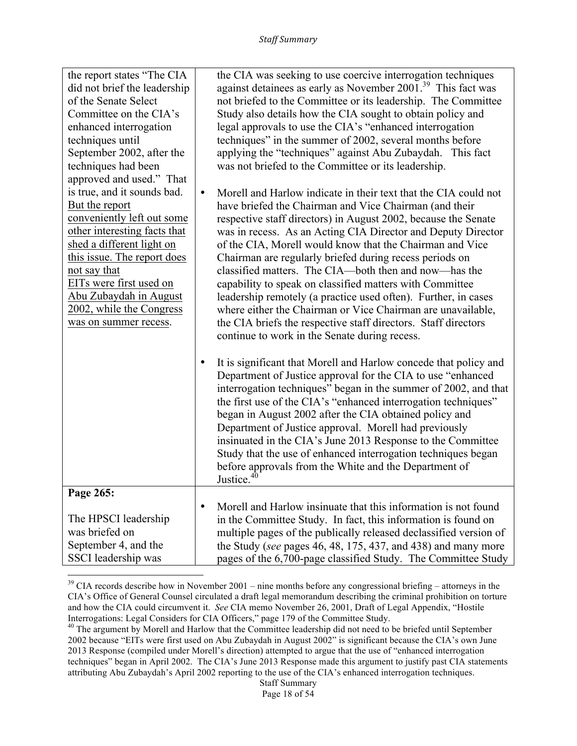| the report states "The CIA"<br>did not brief the leadership |           | the CIA was seeking to use coercive interrogation techniques<br>against detainees as early as November 2001. <sup>39</sup> This fact was |
|-------------------------------------------------------------|-----------|------------------------------------------------------------------------------------------------------------------------------------------|
| of the Senate Select                                        |           | not briefed to the Committee or its leadership. The Committee                                                                            |
| Committee on the CIA's                                      |           | Study also details how the CIA sought to obtain policy and                                                                               |
| enhanced interrogation                                      |           | legal approvals to use the CIA's "enhanced interrogation                                                                                 |
| techniques until                                            |           | techniques" in the summer of 2002, several months before                                                                                 |
| September 2002, after the                                   |           | applying the "techniques" against Abu Zubaydah. This fact                                                                                |
| techniques had been                                         |           | was not briefed to the Committee or its leadership.                                                                                      |
|                                                             |           |                                                                                                                                          |
| approved and used." That                                    |           |                                                                                                                                          |
| is true, and it sounds bad.                                 | $\bullet$ | Morell and Harlow indicate in their text that the CIA could not                                                                          |
| But the report                                              |           | have briefed the Chairman and Vice Chairman (and their                                                                                   |
| conveniently left out some                                  |           | respective staff directors) in August 2002, because the Senate                                                                           |
| other interesting facts that<br>shed a different light on   |           | was in recess. As an Acting CIA Director and Deputy Director                                                                             |
| this issue. The report does                                 |           | of the CIA, Morell would know that the Chairman and Vice                                                                                 |
|                                                             |           | Chairman are regularly briefed during recess periods on                                                                                  |
| not say that<br>EITs were first used on                     |           | classified matters. The CIA—both then and now—has the                                                                                    |
|                                                             |           | capability to speak on classified matters with Committee                                                                                 |
| Abu Zubaydah in August                                      |           | leadership remotely (a practice used often). Further, in cases                                                                           |
| 2002, while the Congress                                    |           | where either the Chairman or Vice Chairman are unavailable,                                                                              |
| was on summer recess.                                       |           | the CIA briefs the respective staff directors. Staff directors                                                                           |
|                                                             |           | continue to work in the Senate during recess.                                                                                            |
|                                                             |           | It is significant that Morell and Harlow concede that policy and                                                                         |
|                                                             |           | Department of Justice approval for the CIA to use "enhanced                                                                              |
|                                                             |           | interrogation techniques" began in the summer of 2002, and that                                                                          |
|                                                             |           | the first use of the CIA's "enhanced interrogation techniques"                                                                           |
|                                                             |           | began in August 2002 after the CIA obtained policy and                                                                                   |
|                                                             |           | Department of Justice approval. Morell had previously                                                                                    |
|                                                             |           | insinuated in the CIA's June 2013 Response to the Committee                                                                              |
|                                                             |           | Study that the use of enhanced interrogation techniques began                                                                            |
|                                                             |           | before approvals from the White and the Department of                                                                                    |
|                                                             |           | Justice. <sup>40</sup>                                                                                                                   |
| Page 265:                                                   |           |                                                                                                                                          |
|                                                             | ٠         | Morell and Harlow insinuate that this information is not found                                                                           |
| The HPSCI leadership                                        |           | in the Committee Study. In fact, this information is found on                                                                            |
| was briefed on                                              |           | multiple pages of the publically released declassified version of                                                                        |
| September 4, and the                                        |           | the Study (see pages 46, 48, 175, 437, and 438) and many more                                                                            |
| SSCI leadership was                                         |           | pages of the 6,700-page classified Study. The Committee Study                                                                            |

 $39$  CIA records describe how in November 2001 – nine months before any congressional briefing – attorneys in the CIA's Office of General Counsel circulated a draft legal memorandum describing the criminal prohibition on torture and how the CIA could circumvent it. *See* CIA memo November 26, 2001, Draft of Legal Appendix, "Hostile Interrogations: Legal Considers for CIA Officers," page 179 of the Committee Study.<br><sup>40</sup> The argument by Morell and Harlow that the Committee leadership did not need to be briefed until September

 

<sup>2002</sup> because "EITs were first used on Abu Zubaydah in August 2002" is significant because the CIA's own June 2013 Response (compiled under Morell's direction) attempted to argue that the use of "enhanced interrogation techniques" began in April 2002. The CIA's June 2013 Response made this argument to justify past CIA statements attributing Abu Zubaydah's April 2002 reporting to the use of the CIA's enhanced interrogation techniques.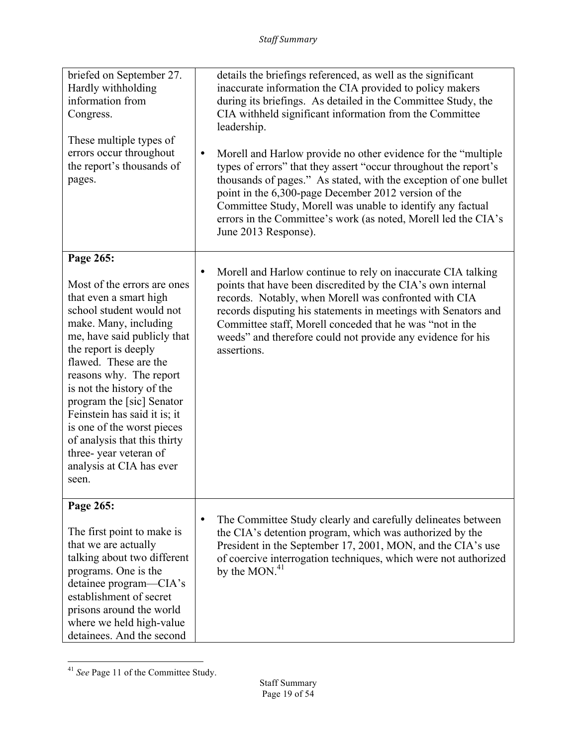| briefed on September 27.<br>Hardly withholding<br>information from<br>Congress.<br>These multiple types of<br>errors occur throughout<br>the report's thousands of<br>pages.                                                                                                                                                                                                                                                                | details the briefings referenced, as well as the significant<br>inaccurate information the CIA provided to policy makers<br>during its briefings. As detailed in the Committee Study, the<br>CIA withheld significant information from the Committee<br>leadership.<br>Morell and Harlow provide no other evidence for the "multiple"<br>$\bullet$<br>types of errors" that they assert "occur throughout the report's<br>thousands of pages." As stated, with the exception of one bullet<br>point in the 6,300-page December 2012 version of the<br>Committee Study, Morell was unable to identify any factual<br>errors in the Committee's work (as noted, Morell led the CIA's<br>June 2013 Response). |
|---------------------------------------------------------------------------------------------------------------------------------------------------------------------------------------------------------------------------------------------------------------------------------------------------------------------------------------------------------------------------------------------------------------------------------------------|------------------------------------------------------------------------------------------------------------------------------------------------------------------------------------------------------------------------------------------------------------------------------------------------------------------------------------------------------------------------------------------------------------------------------------------------------------------------------------------------------------------------------------------------------------------------------------------------------------------------------------------------------------------------------------------------------------|
| Page 265:                                                                                                                                                                                                                                                                                                                                                                                                                                   | $\bullet$                                                                                                                                                                                                                                                                                                                                                                                                                                                                                                                                                                                                                                                                                                  |
| Most of the errors are ones<br>that even a smart high<br>school student would not<br>make. Many, including<br>me, have said publicly that<br>the report is deeply<br>flawed. These are the<br>reasons why. The report<br>is not the history of the<br>program the [sic] Senator<br>Feinstein has said it is; it<br>is one of the worst pieces<br>of analysis that this thirty<br>three-year veteran of<br>analysis at CIA has ever<br>seen. | Morell and Harlow continue to rely on inaccurate CIA talking<br>points that have been discredited by the CIA's own internal<br>records. Notably, when Morell was confronted with CIA<br>records disputing his statements in meetings with Senators and<br>Committee staff, Morell conceded that he was "not in the<br>weeds" and therefore could not provide any evidence for his<br>assertions.                                                                                                                                                                                                                                                                                                           |
| Page 265:                                                                                                                                                                                                                                                                                                                                                                                                                                   | The Committee Study clearly and carefully delineates between                                                                                                                                                                                                                                                                                                                                                                                                                                                                                                                                                                                                                                               |
| The first point to make is<br>that we are actually<br>talking about two different<br>programs. One is the<br>detainee program—CIA's<br>establishment of secret<br>prisons around the world<br>where we held high-value<br>detainees. And the second                                                                                                                                                                                         | the CIA's detention program, which was authorized by the<br>President in the September 17, 2001, MON, and the CIA's use<br>of coercive interrogation techniques, which were not authorized<br>by the $MON.^{41}$                                                                                                                                                                                                                                                                                                                                                                                                                                                                                           |

<sup>&</sup>lt;u> 1989 - Johann Stein, fransk politik (d. 1989)</u> <sup>41</sup> *See* Page 11 of the Committee Study.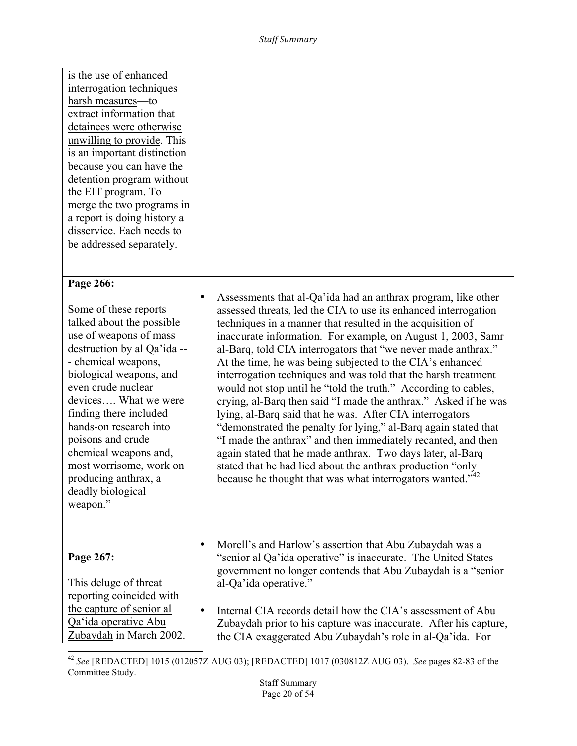| is the use of enhanced<br>interrogation techniques—<br>harsh measures-to<br>extract information that<br>detainees were otherwise<br>unwilling to provide. This<br>is an important distinction<br>because you can have the<br>detention program without<br>the EIT program. To<br>merge the two programs in<br>a report is doing history a<br>disservice. Each needs to<br>be addressed separately.             |                                                                                                                                                                                                                                                                                                                                                                                                                                                                                                                                                                                                                                                                                                                                                                                                                                                                                                                                                                                                                      |
|----------------------------------------------------------------------------------------------------------------------------------------------------------------------------------------------------------------------------------------------------------------------------------------------------------------------------------------------------------------------------------------------------------------|----------------------------------------------------------------------------------------------------------------------------------------------------------------------------------------------------------------------------------------------------------------------------------------------------------------------------------------------------------------------------------------------------------------------------------------------------------------------------------------------------------------------------------------------------------------------------------------------------------------------------------------------------------------------------------------------------------------------------------------------------------------------------------------------------------------------------------------------------------------------------------------------------------------------------------------------------------------------------------------------------------------------|
| Page 266:<br>Some of these reports<br>talked about the possible<br>use of weapons of mass<br>destruction by al Qa'ida --<br>- chemical weapons,<br>biological weapons, and<br>even crude nuclear<br>devices What we were<br>finding there included<br>hands-on research into<br>poisons and crude<br>chemical weapons and,<br>most worrisome, work on<br>producing anthrax, a<br>deadly biological<br>weapon." | Assessments that al-Qa'ida had an anthrax program, like other<br>$\bullet$<br>assessed threats, led the CIA to use its enhanced interrogation<br>techniques in a manner that resulted in the acquisition of<br>inaccurate information. For example, on August 1, 2003, Samr<br>al-Barq, told CIA interrogators that "we never made anthrax."<br>At the time, he was being subjected to the CIA's enhanced<br>interrogation techniques and was told that the harsh treatment<br>would not stop until he "told the truth." According to cables,<br>crying, al-Barq then said "I made the anthrax." Asked if he was<br>lying, al-Barq said that he was. After CIA interrogators<br>"demonstrated the penalty for lying," al-Barq again stated that<br>"I made the anthrax" and then immediately recanted, and then<br>again stated that he made anthrax. Two days later, al-Barq<br>stated that he had lied about the anthrax production "only<br>because he thought that was what interrogators wanted." <sup>42</sup> |
| Page 267:<br>This deluge of threat<br>reporting coincided with<br>the capture of senior al<br>Qa'ida operative Abu<br>Zubaydah in March 2002.                                                                                                                                                                                                                                                                  | Morell's and Harlow's assertion that Abu Zubaydah was a<br>"senior al Qa'ida operative" is inaccurate. The United States<br>government no longer contends that Abu Zubaydah is a "senior<br>al-Qa'ida operative."<br>Internal CIA records detail how the CIA's assessment of Abu<br>Zubaydah prior to his capture was inaccurate. After his capture,<br>the CIA exaggerated Abu Zubaydah's role in al-Qa'ida. For                                                                                                                                                                                                                                                                                                                                                                                                                                                                                                                                                                                                    |

<sup>&</sup>lt;u> 1989 - Johann Stein, fransk politik (d. 1989)</u> <sup>42</sup> *See* [REDACTED] 1015 (012057Z AUG 03); [REDACTED] 1017 (030812Z AUG 03). *See* pages 82-83 of the Committee Study.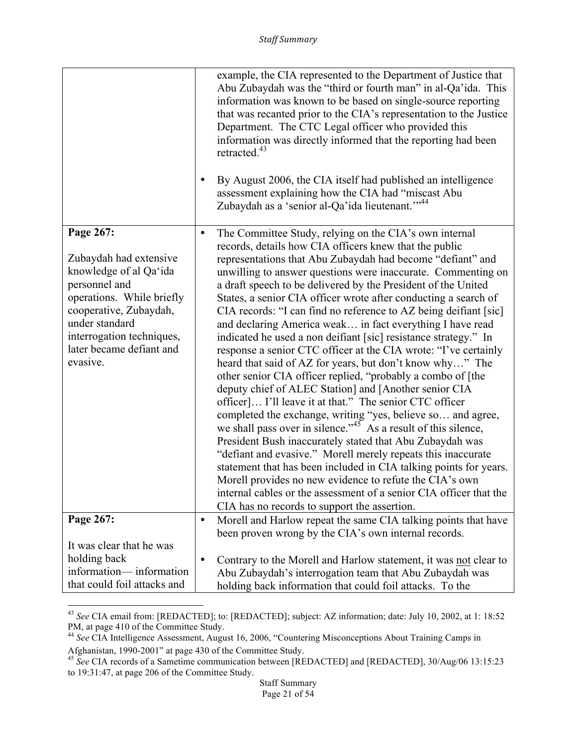|                                                                                                                                                                                                                              |           | example, the CIA represented to the Department of Justice that<br>Abu Zubaydah was the "third or fourth man" in al-Qa'ida. This<br>information was known to be based on single-source reporting<br>that was recanted prior to the CIA's representation to the Justice<br>Department. The CTC Legal officer who provided this<br>information was directly informed that the reporting had been<br>retracted. <sup>43</sup><br>By August 2006, the CIA itself had published an intelligence<br>assessment explaining how the CIA had "miscast Abu<br>Zubaydah as a 'senior al-Qa'ida lieutenant." <sup>44</sup>                                                                                                                                                                                                                                                                                                                                                                                                                                                                                                                                                                                                                                                                                                                                                                                                                           |
|------------------------------------------------------------------------------------------------------------------------------------------------------------------------------------------------------------------------------|-----------|-----------------------------------------------------------------------------------------------------------------------------------------------------------------------------------------------------------------------------------------------------------------------------------------------------------------------------------------------------------------------------------------------------------------------------------------------------------------------------------------------------------------------------------------------------------------------------------------------------------------------------------------------------------------------------------------------------------------------------------------------------------------------------------------------------------------------------------------------------------------------------------------------------------------------------------------------------------------------------------------------------------------------------------------------------------------------------------------------------------------------------------------------------------------------------------------------------------------------------------------------------------------------------------------------------------------------------------------------------------------------------------------------------------------------------------------|
| Page 267:<br>Zubaydah had extensive<br>knowledge of al Qa'ida<br>personnel and<br>operations. While briefly<br>cooperative, Zubaydah,<br>under standard<br>interrogation techniques,<br>later became defiant and<br>evasive. | ٠         | The Committee Study, relying on the CIA's own internal<br>records, details how CIA officers knew that the public<br>representations that Abu Zubaydah had become "defiant" and<br>unwilling to answer questions were inaccurate. Commenting on<br>a draft speech to be delivered by the President of the United<br>States, a senior CIA officer wrote after conducting a search of<br>CIA records: "I can find no reference to AZ being deifiant [sic]<br>and declaring America weak in fact everything I have read<br>indicated he used a non deifiant [sic] resistance strategy." In<br>response a senior CTC officer at the CIA wrote: "I've certainly<br>heard that said of AZ for years, but don't know why" The<br>other senior CIA officer replied, "probably a combo of [the<br>deputy chief of ALEC Station] and [Another senior CIA<br>officer] I'll leave it at that." The senior CTC officer<br>completed the exchange, writing "yes, believe so and agree,<br>we shall pass over in silence." <sup>45</sup> As a result of this silence,<br>President Bush inaccurately stated that Abu Zubaydah was<br>"defiant and evasive." Morell merely repeats this inaccurate<br>statement that has been included in CIA talking points for years.<br>Morell provides no new evidence to refute the CIA's own<br>internal cables or the assessment of a senior CIA officer that the<br>CIA has no records to support the assertion. |
| Page 267:                                                                                                                                                                                                                    | $\bullet$ | Morell and Harlow repeat the same CIA talking points that have                                                                                                                                                                                                                                                                                                                                                                                                                                                                                                                                                                                                                                                                                                                                                                                                                                                                                                                                                                                                                                                                                                                                                                                                                                                                                                                                                                          |
| It was clear that he was<br>holding back<br>information—information<br>that could foil attacks and                                                                                                                           | ٠         | been proven wrong by the CIA's own internal records.<br>Contrary to the Morell and Harlow statement, it was not clear to<br>Abu Zubaydah's interrogation team that Abu Zubaydah was<br>holding back information that could foil attacks. To the                                                                                                                                                                                                                                                                                                                                                                                                                                                                                                                                                                                                                                                                                                                                                                                                                                                                                                                                                                                                                                                                                                                                                                                         |

<sup>43</sup> *See* CIA email from: [REDACTED]; to: [REDACTED]; subject: AZ information; date: July 10, 2002, at 1: 18:52

PM, at page 410 of the Committee Study.<br><sup>44</sup> *See* CIA Intelligence Assessment, August 16, 2006, "Countering Misconceptions About Training Camps in Afghanistan, 1990-2001" at page 430 of the Committee Study.

<sup>45</sup> *See* CIA records of a Sametime communication between [REDACTED] and [REDACTED], 30/Aug/06 13:15:23 to 19:31:47, at page 206 of the Committee Study.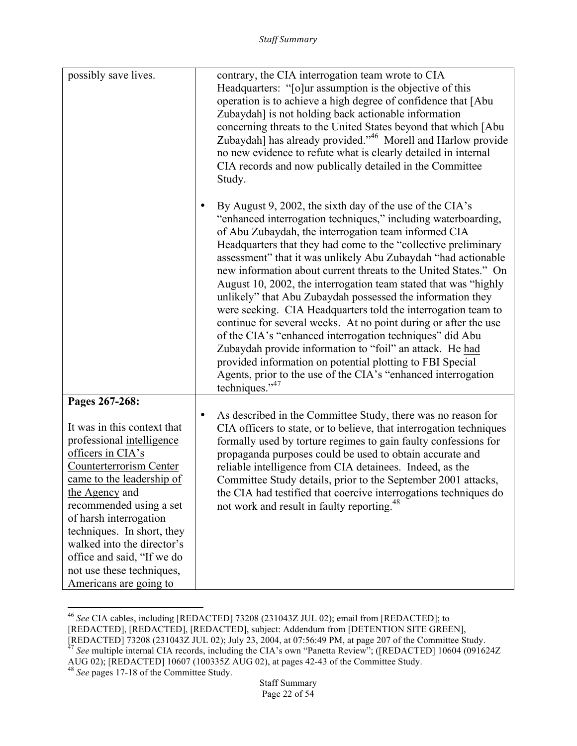| possibly save lives.                                                                                                                                                                                                                                                                                                                                  | contrary, the CIA interrogation team wrote to CIA                                                                                                                                                                                                                                                                                                                                                                                                                                                                                                                                                                                                                                                                                                                                                                                                                                                                                         |
|-------------------------------------------------------------------------------------------------------------------------------------------------------------------------------------------------------------------------------------------------------------------------------------------------------------------------------------------------------|-------------------------------------------------------------------------------------------------------------------------------------------------------------------------------------------------------------------------------------------------------------------------------------------------------------------------------------------------------------------------------------------------------------------------------------------------------------------------------------------------------------------------------------------------------------------------------------------------------------------------------------------------------------------------------------------------------------------------------------------------------------------------------------------------------------------------------------------------------------------------------------------------------------------------------------------|
|                                                                                                                                                                                                                                                                                                                                                       | Headquarters: "[o]ur assumption is the objective of this<br>operation is to achieve a high degree of confidence that [Abu<br>Zubaydah] is not holding back actionable information<br>concerning threats to the United States beyond that which [Abu<br>Zubaydah] has already provided." <sup>46</sup> Morell and Harlow provide<br>no new evidence to refute what is clearly detailed in internal<br>CIA records and now publically detailed in the Committee<br>Study.                                                                                                                                                                                                                                                                                                                                                                                                                                                                   |
|                                                                                                                                                                                                                                                                                                                                                       | By August 9, 2002, the sixth day of the use of the CIA's<br>٠<br>"enhanced interrogation techniques," including waterboarding,<br>of Abu Zubaydah, the interrogation team informed CIA<br>Headquarters that they had come to the "collective preliminary<br>assessment" that it was unlikely Abu Zubaydah "had actionable<br>new information about current threats to the United States." On<br>August 10, 2002, the interrogation team stated that was "highly<br>unlikely" that Abu Zubaydah possessed the information they<br>were seeking. CIA Headquarters told the interrogation team to<br>continue for several weeks. At no point during or after the use<br>of the CIA's "enhanced interrogation techniques" did Abu<br>Zubaydah provide information to "foil" an attack. He had<br>provided information on potential plotting to FBI Special<br>Agents, prior to the use of the CIA's "enhanced interrogation<br>techniques."47 |
| Pages 267-268:<br>It was in this context that<br>professional intelligence<br>officers in CIA's<br>Counterterrorism Center<br>came to the leadership of<br>the Agency and<br>recommended using a set<br>of harsh interrogation<br>techniques. In short, they<br>walked into the director's<br>office and said, "If we do<br>not use these techniques, | As described in the Committee Study, there was no reason for<br>$\bullet$<br>CIA officers to state, or to believe, that interrogation techniques<br>formally used by torture regimes to gain faulty confessions for<br>propaganda purposes could be used to obtain accurate and<br>reliable intelligence from CIA detainees. Indeed, as the<br>Committee Study details, prior to the September 2001 attacks,<br>the CIA had testified that coercive interrogations techniques do<br>not work and result in faulty reporting. <sup>48</sup>                                                                                                                                                                                                                                                                                                                                                                                                |
| Americans are going to                                                                                                                                                                                                                                                                                                                                |                                                                                                                                                                                                                                                                                                                                                                                                                                                                                                                                                                                                                                                                                                                                                                                                                                                                                                                                           |

<sup>46</sup> *See* CIA cables, including [REDACTED] 73208 (231043Z JUL 02); email from [REDACTED]; to

<sup>[</sup>REDACTED], [REDACTED], [REDACTED], subject: Addendum from [DETENTION SITE GREEN],

<sup>[</sup>REDACTED] 73208 (231043Z JUL 02); July 23, 2004, at 07:56:49 PM, at page 207 of the Committee Study. 47 *See* multiple internal CIA records, including the CIA's own "Panetta Review"; ([REDACTED] 10604 (091624Z

AUG 02); [REDACTED] 10607 (100335Z AUG 02), at pages 42-43 of the Committee Study. <sup>48</sup> *See* pages 17-18 of the Committee Study.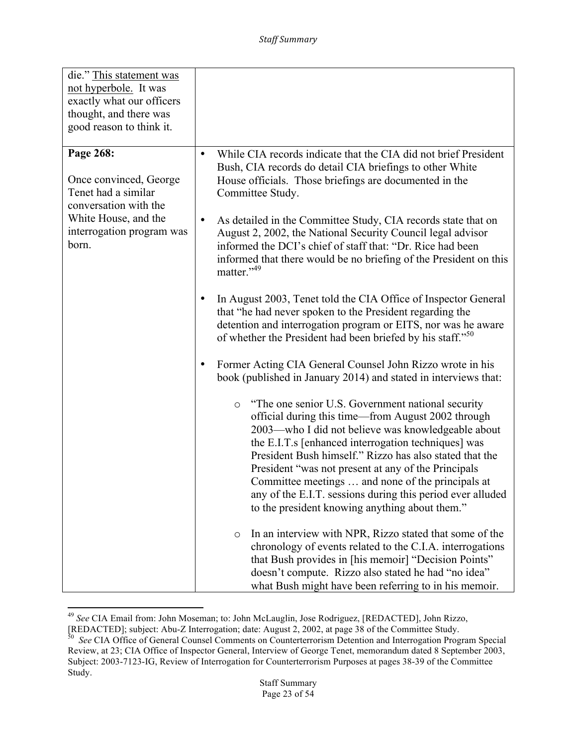| die." This statement was<br>not hyperbole. It was<br>exactly what our officers<br>thought, and there was<br>good reason to think it.              |                                                                                                                                                                                                                                                                                                                                                                                                                                                                                                                         |
|---------------------------------------------------------------------------------------------------------------------------------------------------|-------------------------------------------------------------------------------------------------------------------------------------------------------------------------------------------------------------------------------------------------------------------------------------------------------------------------------------------------------------------------------------------------------------------------------------------------------------------------------------------------------------------------|
| Page 268:<br>Once convinced, George<br>Tenet had a similar<br>conversation with the<br>White House, and the<br>interrogation program was<br>born. | While CIA records indicate that the CIA did not brief President<br>$\bullet$<br>Bush, CIA records do detail CIA briefings to other White<br>House officials. Those briefings are documented in the<br>Committee Study.<br>As detailed in the Committee Study, CIA records state that on<br>$\bullet$                                                                                                                                                                                                                    |
|                                                                                                                                                   | August 2, 2002, the National Security Council legal advisor<br>informed the DCI's chief of staff that: "Dr. Rice had been<br>informed that there would be no briefing of the President on this<br>matter." <sup>49</sup>                                                                                                                                                                                                                                                                                                |
|                                                                                                                                                   | In August 2003, Tenet told the CIA Office of Inspector General<br>٠<br>that "he had never spoken to the President regarding the<br>detention and interrogation program or EITS, nor was he aware<br>of whether the President had been briefed by his staff." <sup>50</sup>                                                                                                                                                                                                                                              |
|                                                                                                                                                   | Former Acting CIA General Counsel John Rizzo wrote in his<br>$\bullet$<br>book (published in January 2014) and stated in interviews that:                                                                                                                                                                                                                                                                                                                                                                               |
|                                                                                                                                                   | "The one senior U.S. Government national security"<br>$\circ$<br>official during this time—from August 2002 through<br>2003—who I did not believe was knowledgeable about<br>the E.I.T.s [enhanced interrogation techniques] was<br>President Bush himself." Rizzo has also stated that the<br>President "was not present at any of the Principals<br>Committee meetings  and none of the principals at<br>any of the E.I.T. sessions during this period ever alluded<br>to the president knowing anything about them." |
|                                                                                                                                                   | In an interview with NPR, Rizzo stated that some of the<br>$\circ$<br>chronology of events related to the C.I.A. interrogations<br>that Bush provides in [his memoir] "Decision Points"<br>doesn't compute. Rizzo also stated he had "no idea"<br>what Bush might have been referring to in his memoir.                                                                                                                                                                                                                 |

<sup>49</sup> *See* CIA Email from: John Moseman; to: John McLauglin, Jose Rodriguez, [REDACTED], John Rizzo,

<sup>[</sup>REDACTED]; subject: Abu-Z Interrogation; date: August 2, 2002, at page 38 of the Committee Study.<br><sup>50</sup> See CIA Office of General Counsel Comments on Counterterrorism Detention and Interrogation Program Special Review, at 23; CIA Office of Inspector General, Interview of George Tenet, memorandum dated 8 September 2003, Subject: 2003-7123-IG, Review of Interrogation for Counterterrorism Purposes at pages 38-39 of the Committee Study.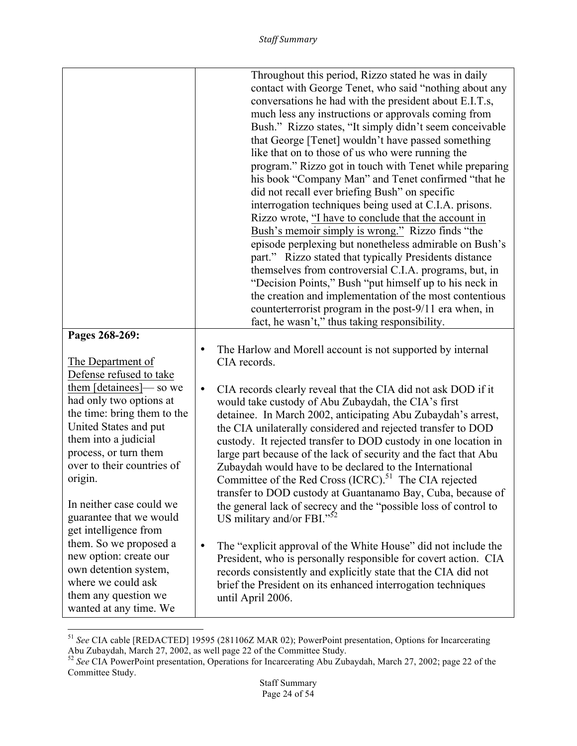|                                                                                                                                                                                                       | Throughout this period, Rizzo stated he was in daily<br>contact with George Tenet, who said "nothing about any<br>conversations he had with the president about E.I.T.s,<br>much less any instructions or approvals coming from<br>Bush." Rizzo states, "It simply didn't seem conceivable<br>that George [Tenet] wouldn't have passed something<br>like that on to those of us who were running the<br>program." Rizzo got in touch with Tenet while preparing<br>his book "Company Man" and Tenet confirmed "that he<br>did not recall ever briefing Bush" on specific<br>interrogation techniques being used at C.I.A. prisons.<br>Rizzo wrote, "I have to conclude that the account in<br>Bush's memoir simply is wrong." Rizzo finds "the<br>episode perplexing but nonetheless admirable on Bush's<br>part." Rizzo stated that typically Presidents distance<br>themselves from controversial C.I.A. programs, but, in<br>"Decision Points," Bush "put himself up to his neck in<br>the creation and implementation of the most contentious<br>counterterrorist program in the post-9/11 era when, in<br>fact, he wasn't," thus taking responsibility. |
|-------------------------------------------------------------------------------------------------------------------------------------------------------------------------------------------------------|--------------------------------------------------------------------------------------------------------------------------------------------------------------------------------------------------------------------------------------------------------------------------------------------------------------------------------------------------------------------------------------------------------------------------------------------------------------------------------------------------------------------------------------------------------------------------------------------------------------------------------------------------------------------------------------------------------------------------------------------------------------------------------------------------------------------------------------------------------------------------------------------------------------------------------------------------------------------------------------------------------------------------------------------------------------------------------------------------------------------------------------------------------------|
| Pages 268-269:                                                                                                                                                                                        |                                                                                                                                                                                                                                                                                                                                                                                                                                                                                                                                                                                                                                                                                                                                                                                                                                                                                                                                                                                                                                                                                                                                                              |
| The Department of<br>Defense refused to take<br>them [detainees]— so we                                                                                                                               | The Harlow and Morell account is not supported by internal<br>$\bullet$<br>CIA records.<br>CIA records clearly reveal that the CIA did not ask DOD if it<br>$\bullet$                                                                                                                                                                                                                                                                                                                                                                                                                                                                                                                                                                                                                                                                                                                                                                                                                                                                                                                                                                                        |
| had only two options at<br>the time: bring them to the<br>United States and put<br>them into a judicial<br>process, or turn them<br>over to their countries of<br>origin.<br>In neither case could we | would take custody of Abu Zubaydah, the CIA's first<br>detainee. In March 2002, anticipating Abu Zubaydah's arrest,<br>the CIA unilaterally considered and rejected transfer to DOD<br>custody. It rejected transfer to DOD custody in one location in<br>large part because of the lack of security and the fact that Abu<br>Zubaydah would have to be declared to the International<br>Committee of the Red Cross (ICRC). <sup>51</sup> The CIA rejected<br>transfer to DOD custody at Guantanamo Bay, Cuba, because of<br>the general lack of secrecy and the "possible loss of control to                                                                                                                                                                                                                                                                                                                                                                                                                                                                                                                                                                |
| guarantee that we would<br>get intelligence from                                                                                                                                                      | US military and/or FBI." <sup>52</sup>                                                                                                                                                                                                                                                                                                                                                                                                                                                                                                                                                                                                                                                                                                                                                                                                                                                                                                                                                                                                                                                                                                                       |
| them. So we proposed a<br>new option: create our<br>own detention system,<br>where we could ask<br>them any question we<br>wanted at any time. We                                                     | The "explicit approval of the White House" did not include the<br>$\bullet$<br>President, who is personally responsible for covert action. CIA<br>records consistently and explicitly state that the CIA did not<br>brief the President on its enhanced interrogation techniques<br>until April 2006.                                                                                                                                                                                                                                                                                                                                                                                                                                                                                                                                                                                                                                                                                                                                                                                                                                                        |

<sup>51</sup> *See* CIA cable [REDACTED] 19595 (281106Z MAR 02); PowerPoint presentation, Options for Incarcerating Abu Zubaydah, March 27, 2002, as well page 22 of the Committee Study.

<sup>52</sup> *See* CIA PowerPoint presentation, Operations for Incarcerating Abu Zubaydah, March 27, 2002; page 22 of the Committee Study.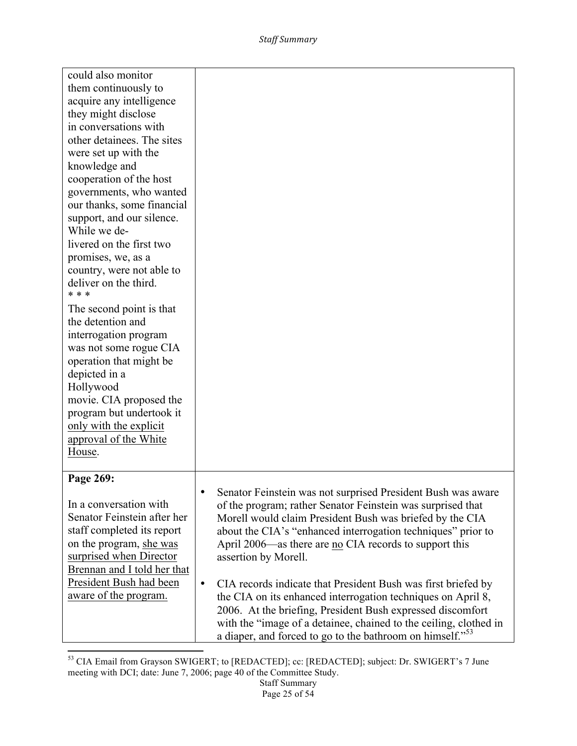| could also monitor          |                                                                            |
|-----------------------------|----------------------------------------------------------------------------|
| them continuously to        |                                                                            |
| acquire any intelligence    |                                                                            |
| they might disclose         |                                                                            |
| in conversations with       |                                                                            |
| other detainees. The sites  |                                                                            |
| were set up with the        |                                                                            |
| knowledge and               |                                                                            |
| cooperation of the host     |                                                                            |
| governments, who wanted     |                                                                            |
| our thanks, some financial  |                                                                            |
| support, and our silence.   |                                                                            |
| While we de-                |                                                                            |
| livered on the first two    |                                                                            |
| promises, we, as a          |                                                                            |
| country, were not able to   |                                                                            |
| deliver on the third.       |                                                                            |
| * * *                       |                                                                            |
| The second point is that    |                                                                            |
| the detention and           |                                                                            |
| interrogation program       |                                                                            |
| was not some rogue CIA      |                                                                            |
| operation that might be     |                                                                            |
| depicted in a               |                                                                            |
| Hollywood                   |                                                                            |
| movie. CIA proposed the     |                                                                            |
| program but undertook it    |                                                                            |
| only with the explicit      |                                                                            |
| approval of the White       |                                                                            |
| House.                      |                                                                            |
|                             |                                                                            |
| Page 269:                   |                                                                            |
|                             | Senator Feinstein was not surprised President Bush was aware               |
| In a conversation with      | of the program; rather Senator Feinstein was surprised that                |
| Senator Feinstein after her | Morell would claim President Bush was briefed by the CIA                   |
| staff completed its report  | about the CIA's "enhanced interrogation techniques" prior to               |
| on the program, she was     | April 2006—as there are no CIA records to support this                     |
| surprised when Director     | assertion by Morell.                                                       |
| Brennan and I told her that |                                                                            |
| President Bush had been     | CIA records indicate that President Bush was first briefed by<br>$\bullet$ |
| aware of the program.       | the CIA on its enhanced interrogation techniques on April 8,               |
|                             | 2006. At the briefing, President Bush expressed discomfort                 |
|                             | with the "image of a detainee, chained to the ceiling, clothed in          |
|                             | a diaper, and forced to go to the bathroom on himself." <sup>53</sup>      |

<sup>&</sup>lt;u> 1989 - Johann Stein, markin film yn y breninn y breninn y breninn y breninn y breninn y breninn y breninn y b</u> <sup>53</sup> CIA Email from Grayson SWIGERT; to [REDACTED]; cc: [REDACTED]; subject: Dr. SWIGERT's 7 June meeting with DCI; date: June 7, 2006; page 40 of the Committee Study.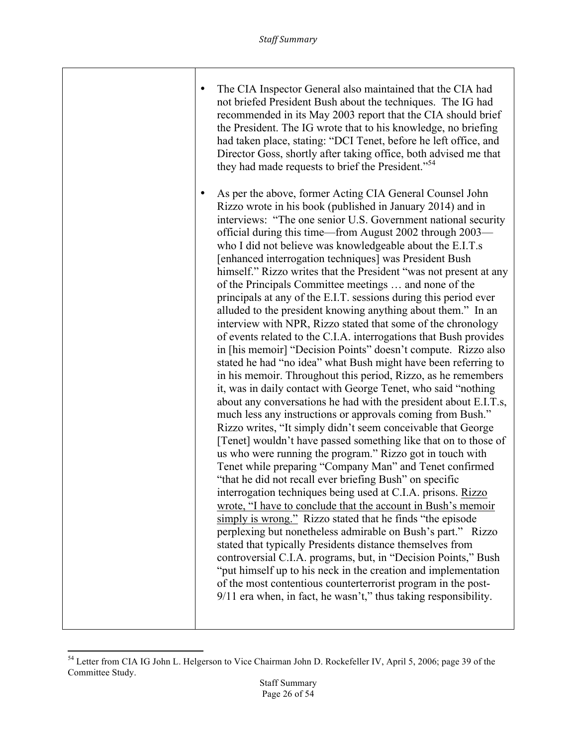| ٠ | The CIA Inspector General also maintained that the CIA had<br>not briefed President Bush about the techniques. The IG had<br>recommended in its May 2003 report that the CIA should brief<br>the President. The IG wrote that to his knowledge, no briefing<br>had taken place, stating: "DCI Tenet, before he left office, and<br>Director Goss, shortly after taking office, both advised me that<br>they had made requests to brief the President." <sup>54</sup>                                                                                                                                                                                                                                                                                                                                                                                                                                                                                                                                                                                                                                                                                                                                                                                                                                                                                                                                                                                                                                                                                                                                                                                                                                                                                                                                                                                                                                                                                                                                                                                                                                              |
|---|-------------------------------------------------------------------------------------------------------------------------------------------------------------------------------------------------------------------------------------------------------------------------------------------------------------------------------------------------------------------------------------------------------------------------------------------------------------------------------------------------------------------------------------------------------------------------------------------------------------------------------------------------------------------------------------------------------------------------------------------------------------------------------------------------------------------------------------------------------------------------------------------------------------------------------------------------------------------------------------------------------------------------------------------------------------------------------------------------------------------------------------------------------------------------------------------------------------------------------------------------------------------------------------------------------------------------------------------------------------------------------------------------------------------------------------------------------------------------------------------------------------------------------------------------------------------------------------------------------------------------------------------------------------------------------------------------------------------------------------------------------------------------------------------------------------------------------------------------------------------------------------------------------------------------------------------------------------------------------------------------------------------------------------------------------------------------------------------------------------------|
|   | As per the above, former Acting CIA General Counsel John<br>Rizzo wrote in his book (published in January 2014) and in<br>interviews: "The one senior U.S. Government national security<br>official during this time—from August 2002 through 2003—<br>who I did not believe was knowledgeable about the E.I.T.s<br>[enhanced interrogation techniques] was President Bush<br>himself." Rizzo writes that the President "was not present at any<br>of the Principals Committee meetings  and none of the<br>principals at any of the E.I.T. sessions during this period ever<br>alluded to the president knowing anything about them." In an<br>interview with NPR, Rizzo stated that some of the chronology<br>of events related to the C.I.A. interrogations that Bush provides<br>in [his memoir] "Decision Points" doesn't compute. Rizzo also<br>stated he had "no idea" what Bush might have been referring to<br>in his memoir. Throughout this period, Rizzo, as he remembers<br>it, was in daily contact with George Tenet, who said "nothing<br>about any conversations he had with the president about E.I.T.s,<br>much less any instructions or approvals coming from Bush."<br>Rizzo writes, "It simply didn't seem conceivable that George<br>[Tenet] wouldn't have passed something like that on to those of<br>us who were running the program." Rizzo got in touch with<br>Tenet while preparing "Company Man" and Tenet confirmed<br>"that he did not recall ever briefing Bush" on specific<br>interrogation techniques being used at C.I.A. prisons. Rizzo<br>wrote, "I have to conclude that the account in Bush's memoir<br>simply is wrong." Rizzo stated that he finds "the episode<br>perplexing but nonetheless admirable on Bush's part." Rizzo<br>stated that typically Presidents distance themselves from<br>controversial C.I.A. programs, but, in "Decision Points," Bush<br>"put himself up to his neck in the creation and implementation<br>of the most contentious counterterrorist program in the post-<br>$9/11$ era when, in fact, he wasn't," thus taking responsibility. |
|   |                                                                                                                                                                                                                                                                                                                                                                                                                                                                                                                                                                                                                                                                                                                                                                                                                                                                                                                                                                                                                                                                                                                                                                                                                                                                                                                                                                                                                                                                                                                                                                                                                                                                                                                                                                                                                                                                                                                                                                                                                                                                                                                   |

<sup>&</sup>lt;sup>54</sup> Letter from CIA IG John L. Helgerson to Vice Chairman John D. Rockefeller IV, April 5, 2006; page 39 of the Committee Study.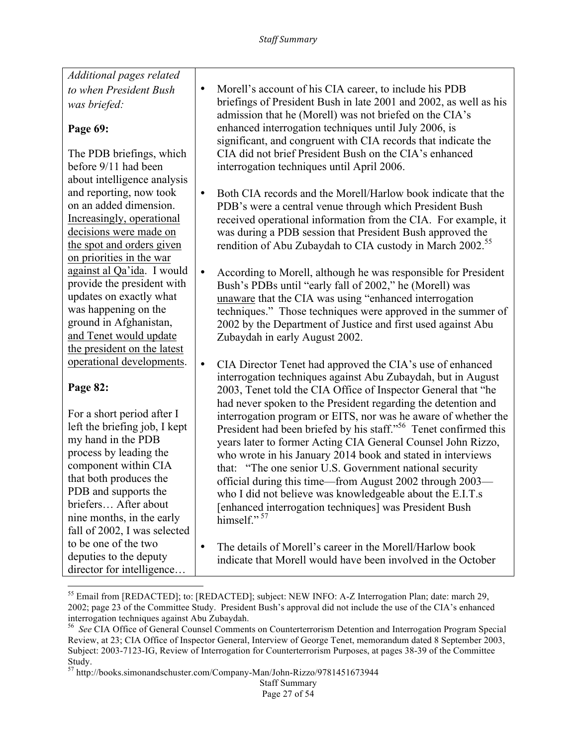*Additional pages related to when President Bush was briefed:*

#### **Page 69:**

The PDB briefings, which before 9/11 had been about intelligence analysis and reporting, now took on an added dimension. Increasingly, operational decisions were made on the spot and orders given on priorities in the war against al Qa'ida. I would provide the president with updates on exactly what was happening on the ground in Afghanistan, and Tenet would update the president on the latest operational developments.

### **Page 82:**

For a short period after I left the briefing job, I kept my hand in the PDB process by leading the component within CIA that both produces the PDB and supports the briefers… After about nine months, in the early fall of 2002, I was selected to be one of the two deputies to the deputy director for intelligence…

- Morell's account of his CIA career, to include his PDB briefings of President Bush in late 2001 and 2002, as well as his admission that he (Morell) was not briefed on the CIA's enhanced interrogation techniques until July 2006, is significant, and congruent with CIA records that indicate the CIA did not brief President Bush on the CIA's enhanced interrogation techniques until April 2006.
- Both CIA records and the Morell/Harlow book indicate that the PDB's were a central venue through which President Bush received operational information from the CIA. For example, it was during a PDB session that President Bush approved the rendition of Abu Zubaydah to CIA custody in March 2002.<sup>55</sup>
- According to Morell, although he was responsible for President Bush's PDBs until "early fall of 2002," he (Morell) was unaware that the CIA was using "enhanced interrogation techniques." Those techniques were approved in the summer of 2002 by the Department of Justice and first used against Abu Zubaydah in early August 2002.
- CIA Director Tenet had approved the CIA's use of enhanced interrogation techniques against Abu Zubaydah, but in August 2003, Tenet told the CIA Office of Inspector General that "he had never spoken to the President regarding the detention and interrogation program or EITS, nor was he aware of whether the President had been briefed by his staff."<sup>56</sup> Tenet confirmed this years later to former Acting CIA General Counsel John Rizzo, who wrote in his January 2014 book and stated in interviews that: "The one senior U.S. Government national security official during this time—from August 2002 through 2003 who I did not believe was knowledgeable about the E.I.T.s [enhanced interrogation techniques] was President Bush himself $"$ <sup>57</sup>
- The details of Morell's career in the Morell/Harlow book indicate that Morell would have been involved in the October

<sup>&</sup>lt;sup>55</sup> Email from [REDACTED]; to: [REDACTED]; subject: NEW INFO: A-Z Interrogation Plan; date: march 29, 2002; page 23 of the Committee Study. President Bush's approval did not include the use of the CIA's enhanced interrogation techniques against Abu Zubaydah.

<sup>56</sup> *See* CIA Office of General Counsel Comments on Counterterrorism Detention and Interrogation Program Special Review, at 23; CIA Office of Inspector General, Interview of George Tenet, memorandum dated 8 September 2003, Subject: 2003-7123-IG, Review of Interrogation for Counterterrorism Purposes, at pages 38-39 of the Committee Study.

<sup>57</sup> http://books.simonandschuster.com/Company-Man/John-Rizzo/9781451673944

Staff Summary Page 27 of 54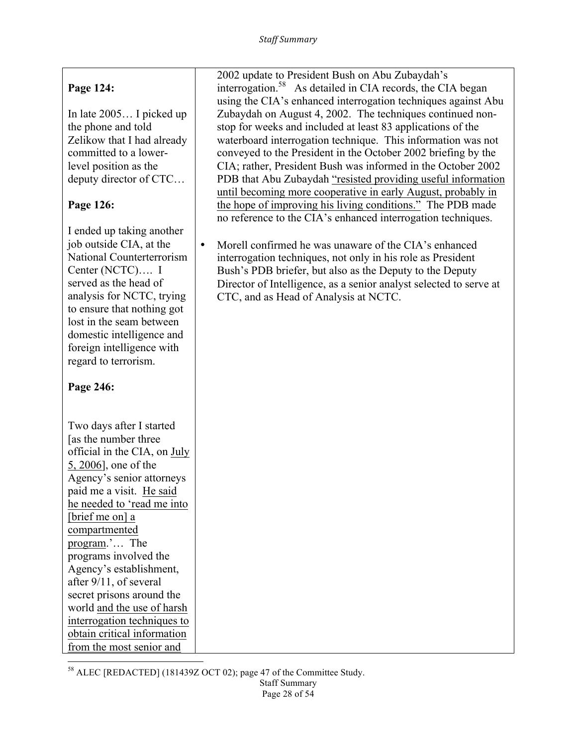## **Page 124:**

In late 2005… I picked up the phone and told Zelikow that I had already committed to a lowerlevel position as the deputy director of CTC…

### **Page 126:**

I ended up taking another job outside CIA, at the National Counterterrorism Center (NCTC)…. I served as the head of analysis for NCTC, trying to ensure that nothing got lost in the seam between domestic intelligence and foreign intelligence with regard to terrorism.

### **Page 246:**

Two days after I started [as the number three official in the CIA, on July 5, 2006], one of the Agency's senior attorneys paid me a visit. He said he needed to 'read me into [brief me on] a compartmented program.'… The programs involved the Agency's establishment, after 9/11, of several secret prisons around the world and the use of harsh interrogation techniques to obtain critical information from the most senior and

<u> 1989 - Johann Stein, markin film yn y breninn y breninn y breninn y breninn y breninn y breninn y breninn y b</u>

2002 update to President Bush on Abu Zubaydah's interrogation.58 As detailed in CIA records, the CIA began using the CIA's enhanced interrogation techniques against Abu Zubaydah on August 4, 2002. The techniques continued nonstop for weeks and included at least 83 applications of the waterboard interrogation technique. This information was not conveyed to the President in the October 2002 briefing by the CIA; rather, President Bush was informed in the October 2002 PDB that Abu Zubaydah "resisted providing useful information until becoming more cooperative in early August, probably in the hope of improving his living conditions." The PDB made no reference to the CIA's enhanced interrogation techniques.

• Morell confirmed he was unaware of the CIA's enhanced interrogation techniques, not only in his role as President Bush's PDB briefer, but also as the Deputy to the Deputy Director of Intelligence, as a senior analyst selected to serve at CTC, and as Head of Analysis at NCTC.

<sup>58</sup> ALEC [REDACTED] (181439Z OCT 02); page 47 of the Committee Study.

Staff Summary Page 28 of 54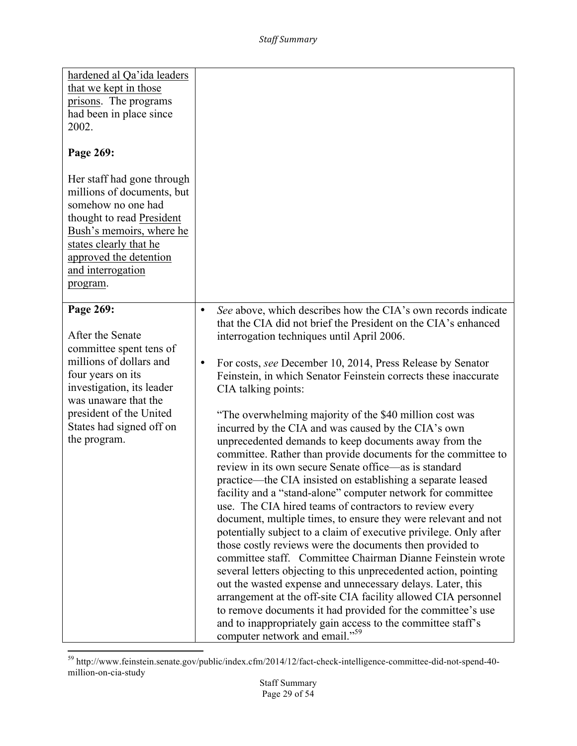| hardened al Qa'ida leaders<br>that we kept in those<br>prisons. The programs<br>had been in place since<br>2002.<br>Page 269:<br>Her staff had gone through<br>millions of documents, but<br>somehow no one had<br>thought to read President<br>Bush's memoirs, where he<br>states clearly that he |                                                                                                                                                                                                                                                                                                                                                                                                                                                                                                                                                                                                                                                                                                                                                                                                                                                                                                                                                                                                                                                                                                                                                                                                                                                                                                                                                                                                                                                                                                                |
|----------------------------------------------------------------------------------------------------------------------------------------------------------------------------------------------------------------------------------------------------------------------------------------------------|----------------------------------------------------------------------------------------------------------------------------------------------------------------------------------------------------------------------------------------------------------------------------------------------------------------------------------------------------------------------------------------------------------------------------------------------------------------------------------------------------------------------------------------------------------------------------------------------------------------------------------------------------------------------------------------------------------------------------------------------------------------------------------------------------------------------------------------------------------------------------------------------------------------------------------------------------------------------------------------------------------------------------------------------------------------------------------------------------------------------------------------------------------------------------------------------------------------------------------------------------------------------------------------------------------------------------------------------------------------------------------------------------------------------------------------------------------------------------------------------------------------|
| approved the detention<br>and interrogation<br>program.                                                                                                                                                                                                                                            |                                                                                                                                                                                                                                                                                                                                                                                                                                                                                                                                                                                                                                                                                                                                                                                                                                                                                                                                                                                                                                                                                                                                                                                                                                                                                                                                                                                                                                                                                                                |
| Page 269:<br>After the Senate<br>committee spent tens of<br>millions of dollars and<br>four years on its<br>investigation, its leader<br>was unaware that the<br>president of the United<br>States had signed off on<br>the program.                                                               | See above, which describes how the CIA's own records indicate<br>$\bullet$<br>that the CIA did not brief the President on the CIA's enhanced<br>interrogation techniques until April 2006.<br>For costs, see December 10, 2014, Press Release by Senator<br>$\bullet$<br>Feinstein, in which Senator Feinstein corrects these inaccurate<br>CIA talking points:<br>"The overwhelming majority of the \$40 million cost was<br>incurred by the CIA and was caused by the CIA's own<br>unprecedented demands to keep documents away from the<br>committee. Rather than provide documents for the committee to<br>review in its own secure Senate office—as is standard<br>practice—the CIA insisted on establishing a separate leased<br>facility and a "stand-alone" computer network for committee<br>use. The CIA hired teams of contractors to review every<br>document, multiple times, to ensure they were relevant and not<br>potentially subject to a claim of executive privilege. Only after<br>those costly reviews were the documents then provided to<br>committee staff. Committee Chairman Dianne Feinstein wrote<br>several letters objecting to this unprecedented action, pointing<br>out the wasted expense and unnecessary delays. Later, this<br>arrangement at the off-site CIA facility allowed CIA personnel<br>to remove documents it had provided for the committee's use<br>and to inappropriately gain access to the committee staff's<br>computer network and email." <sup>59</sup> |

<sup>&</sup>lt;sup>59</sup> http://www.feinstein.senate.gov/public/index.cfm/2014/12/fact-check-intelligence-committee-did-not-spend-40million-on-cia-study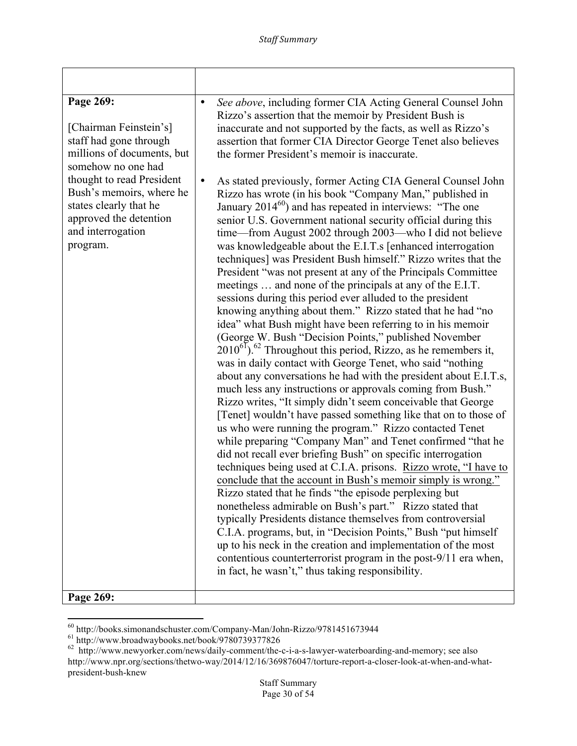| Page 269:<br>[Chairman Feinstein's]<br>staff had gone through<br>millions of documents, but<br>somehow no one had<br>thought to read President<br>Bush's memoirs, where he<br>states clearly that he<br>approved the detention<br>and interrogation<br>program.<br>Page 269: | See above, including former CIA Acting General Counsel John<br>$\bullet$<br>Rizzo's assertion that the memoir by President Bush is<br>inaccurate and not supported by the facts, as well as Rizzo's<br>assertion that former CIA Director George Tenet also believes<br>the former President's memoir is inaccurate.<br>As stated previously, former Acting CIA General Counsel John<br>$\bullet$<br>Rizzo has wrote (in his book "Company Man," published in<br>January $2014^{60}$ ) and has repeated in interviews: "The one<br>senior U.S. Government national security official during this<br>time-from August 2002 through 2003-who I did not believe<br>was knowledgeable about the E.I.T.s [enhanced interrogation<br>techniques] was President Bush himself." Rizzo writes that the<br>President "was not present at any of the Principals Committee<br>meetings  and none of the principals at any of the E.I.T.<br>sessions during this period ever alluded to the president<br>knowing anything about them." Rizzo stated that he had "no<br>idea" what Bush might have been referring to in his memoir<br>(George W. Bush "Decision Points," published November<br>$2010^{61}$ . <sup>62</sup> Throughout this period, Rizzo, as he remembers it,<br>was in daily contact with George Tenet, who said "nothing<br>about any conversations he had with the president about E.I.T.s,<br>much less any instructions or approvals coming from Bush."<br>Rizzo writes, "It simply didn't seem conceivable that George<br>[Tenet] wouldn't have passed something like that on to those of<br>us who were running the program." Rizzo contacted Tenet<br>while preparing "Company Man" and Tenet confirmed "that he<br>did not recall ever briefing Bush" on specific interrogation<br>techniques being used at C.I.A. prisons. Rizzo wrote, "I have to<br>conclude that the account in Bush's memoir simply is wrong."<br>Rizzo stated that he finds "the episode perplexing but<br>nonetheless admirable on Bush's part." Rizzo stated that<br>typically Presidents distance themselves from controversial<br>C.I.A. programs, but, in "Decision Points," Bush "put himself<br>up to his neck in the creation and implementation of the most<br>contentious counterterrorist program in the post-9/11 era when,<br>in fact, he wasn't," thus taking responsibility. |
|------------------------------------------------------------------------------------------------------------------------------------------------------------------------------------------------------------------------------------------------------------------------------|------------------------------------------------------------------------------------------------------------------------------------------------------------------------------------------------------------------------------------------------------------------------------------------------------------------------------------------------------------------------------------------------------------------------------------------------------------------------------------------------------------------------------------------------------------------------------------------------------------------------------------------------------------------------------------------------------------------------------------------------------------------------------------------------------------------------------------------------------------------------------------------------------------------------------------------------------------------------------------------------------------------------------------------------------------------------------------------------------------------------------------------------------------------------------------------------------------------------------------------------------------------------------------------------------------------------------------------------------------------------------------------------------------------------------------------------------------------------------------------------------------------------------------------------------------------------------------------------------------------------------------------------------------------------------------------------------------------------------------------------------------------------------------------------------------------------------------------------------------------------------------------------------------------------------------------------------------------------------------------------------------------------------------------------------------------------------------------------------------------------------------------------------------------------------------------------------------------------------------------------------------------------------------------------------------------------------------------------------------------------------|

<sup>&</sup>lt;sup>60</sup> http://books.simonandschuster.com/Company-Man/John-Rizzo/9781451673944<br><sup>61</sup> http://www.broadwaybooks.net/book/9780739377826<br><sup>62</sup> http://www.newyorker.com/news/daily-comment/the-c-i-a-s-lawyer-waterboarding-and-memory; http://www.npr.org/sections/thetwo-way/2014/12/16/369876047/torture-report-a-closer-look-at-when-and-whatpresident-bush-knew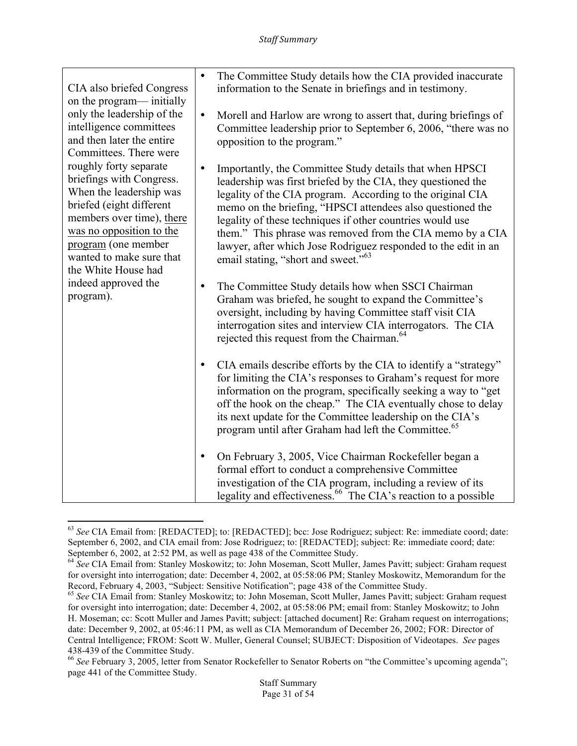|                                                                                                                                                                                                                                                                                                                                                                                                                               | $\bullet$ | The Committee Study details how the CIA provided inaccurate                                                                                                                                                                                                                                                                                                                                                                                                                                         |
|-------------------------------------------------------------------------------------------------------------------------------------------------------------------------------------------------------------------------------------------------------------------------------------------------------------------------------------------------------------------------------------------------------------------------------|-----------|-----------------------------------------------------------------------------------------------------------------------------------------------------------------------------------------------------------------------------------------------------------------------------------------------------------------------------------------------------------------------------------------------------------------------------------------------------------------------------------------------------|
| CIA also briefed Congress                                                                                                                                                                                                                                                                                                                                                                                                     |           | information to the Senate in briefings and in testimony.                                                                                                                                                                                                                                                                                                                                                                                                                                            |
| on the program— initially<br>only the leadership of the<br>intelligence committees<br>and then later the entire<br>Committees. There were<br>roughly forty separate<br>briefings with Congress.<br>When the leadership was<br>briefed (eight different<br>members over time), there<br>was no opposition to the<br>program (one member<br>wanted to make sure that<br>the White House had<br>indeed approved the<br>program). | $\bullet$ | Morell and Harlow are wrong to assert that, during briefings of<br>Committee leadership prior to September 6, 2006, "there was no<br>opposition to the program."                                                                                                                                                                                                                                                                                                                                    |
|                                                                                                                                                                                                                                                                                                                                                                                                                               | $\bullet$ | Importantly, the Committee Study details that when HPSCI<br>leadership was first briefed by the CIA, they questioned the<br>legality of the CIA program. According to the original CIA<br>memo on the briefing, "HPSCI attendees also questioned the<br>legality of these techniques if other countries would use<br>them." This phrase was removed from the CIA memo by a CIA<br>lawyer, after which Jose Rodriguez responded to the edit in an<br>email stating, "short and sweet." <sup>63</sup> |
|                                                                                                                                                                                                                                                                                                                                                                                                                               |           | The Committee Study details how when SSCI Chairman<br>Graham was briefed, he sought to expand the Committee's<br>oversight, including by having Committee staff visit CIA<br>interrogation sites and interview CIA interrogators. The CIA<br>rejected this request from the Chairman. <sup>64</sup>                                                                                                                                                                                                 |
|                                                                                                                                                                                                                                                                                                                                                                                                                               | $\bullet$ | CIA emails describe efforts by the CIA to identify a "strategy"<br>for limiting the CIA's responses to Graham's request for more<br>information on the program, specifically seeking a way to "get<br>off the hook on the cheap." The CIA eventually chose to delay<br>its next update for the Committee leadership on the CIA's<br>program until after Graham had left the Committee. <sup>65</sup>                                                                                                |
|                                                                                                                                                                                                                                                                                                                                                                                                                               | $\bullet$ | On February 3, 2005, Vice Chairman Rockefeller began a<br>formal effort to conduct a comprehensive Committee<br>investigation of the CIA program, including a review of its<br>legality and effectiveness. <sup>66</sup> The CIA's reaction to a possible                                                                                                                                                                                                                                           |

 <sup>63</sup> *See* CIA Email from: [REDACTED]; to: [REDACTED]; bcc: Jose Rodriguez; subject: Re: immediate coord; date: September 6, 2002, and CIA email from: Jose Rodriguez; to: [REDACTED]; subject: Re: immediate coord; date: September 6, 2002, at 2:52 PM, as well as page 438 of the Committee Study.

<sup>&</sup>lt;sup>64</sup> See CIA Email from: Stanley Moskowitz; to: John Moseman, Scott Muller, James Pavitt; subject: Graham request for oversight into interrogation; date: December 4, 2002, at 05:58:06 PM; Stanley Moskowitz, Memorandum for the Record, February 4, 2003, "Subject: Sensitive Notification"; page 438 of the Committee Study.

<sup>&</sup>lt;sup>65</sup> See CIA Email from: Stanley Moskowitz; to: John Moseman, Scott Muller, James Pavitt; subject: Graham request for oversight into interrogation; date: December 4, 2002, at 05:58:06 PM; email from: Stanley Moskowitz; to John H. Moseman; cc: Scott Muller and James Pavitt; subject: [attached document] Re: Graham request on interrogations; date: December 9, 2002, at 05:46:11 PM, as well as CIA Memorandum of December 26, 2002; FOR: Director of Central Intelligence; FROM: Scott W. Muller, General Counsel; SUBJECT: Disposition of Videotapes. *See* pages 438-439 of the Committee Study.<br><sup>66</sup> *See* February 3, 2005, letter from Senator Rockefeller to Senator Roberts on "the Committee's upcoming agenda";

page 441 of the Committee Study.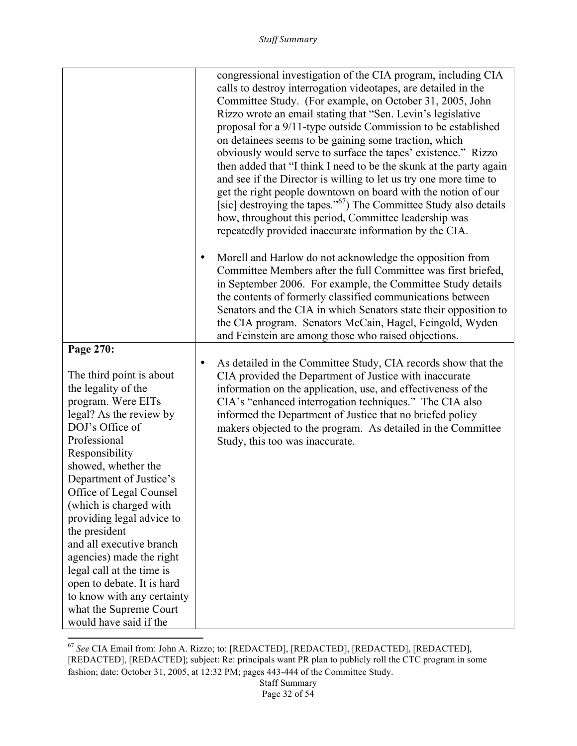|                                                                                                                                                                                                                                                                                                                                                                                                                                                                                                                              |           | congressional investigation of the CIA program, including CIA<br>calls to destroy interrogation videotapes, are detailed in the<br>Committee Study. (For example, on October 31, 2005, John<br>Rizzo wrote an email stating that "Sen. Levin's legislative<br>proposal for a 9/11-type outside Commission to be established<br>on detainees seems to be gaining some traction, which<br>obviously would serve to surface the tapes' existence." Rizzo<br>then added that "I think I need to be the skunk at the party again<br>and see if the Director is willing to let us try one more time to<br>get the right people downtown on board with the notion of our<br>[sic] destroying the tapes." <sup>67</sup> ) The Committee Study also details |
|------------------------------------------------------------------------------------------------------------------------------------------------------------------------------------------------------------------------------------------------------------------------------------------------------------------------------------------------------------------------------------------------------------------------------------------------------------------------------------------------------------------------------|-----------|----------------------------------------------------------------------------------------------------------------------------------------------------------------------------------------------------------------------------------------------------------------------------------------------------------------------------------------------------------------------------------------------------------------------------------------------------------------------------------------------------------------------------------------------------------------------------------------------------------------------------------------------------------------------------------------------------------------------------------------------------|
|                                                                                                                                                                                                                                                                                                                                                                                                                                                                                                                              | $\bullet$ | how, throughout this period, Committee leadership was<br>repeatedly provided inaccurate information by the CIA.<br>Morell and Harlow do not acknowledge the opposition from<br>Committee Members after the full Committee was first briefed,<br>in September 2006. For example, the Committee Study details<br>the contents of formerly classified communications between                                                                                                                                                                                                                                                                                                                                                                          |
|                                                                                                                                                                                                                                                                                                                                                                                                                                                                                                                              |           | Senators and the CIA in which Senators state their opposition to<br>the CIA program. Senators McCain, Hagel, Feingold, Wyden<br>and Feinstein are among those who raised objections.                                                                                                                                                                                                                                                                                                                                                                                                                                                                                                                                                               |
| Page 270:<br>The third point is about<br>the legality of the<br>program. Were EITs<br>legal? As the review by<br>DOJ's Office of<br>Professional<br>Responsibility<br>showed, whether the<br>Department of Justice's<br>Office of Legal Counsel<br>(which is charged with<br>providing legal advice to<br>the president<br>and all executive branch<br>agencies) made the right<br>legal call at the time is<br>open to debate. It is hard<br>to know with any certainty<br>what the Supreme Court<br>would have said if the | $\bullet$ | As detailed in the Committee Study, CIA records show that the<br>CIA provided the Department of Justice with inaccurate<br>information on the application, use, and effectiveness of the<br>CIA's "enhanced interrogation techniques." The CIA also<br>informed the Department of Justice that no briefed policy<br>makers objected to the program. As detailed in the Committee<br>Study, this too was inaccurate.                                                                                                                                                                                                                                                                                                                                |

<sup>67</sup> *See* CIA Email from: John A. Rizzo; to: [REDACTED], [REDACTED], [REDACTED], [REDACTED], [REDACTED], [REDACTED]; subject: Re: principals want PR plan to publicly roll the CTC program in some fashion; date: October 31, 2005, at 12:32 PM; pages 443-444 of the Committee Study.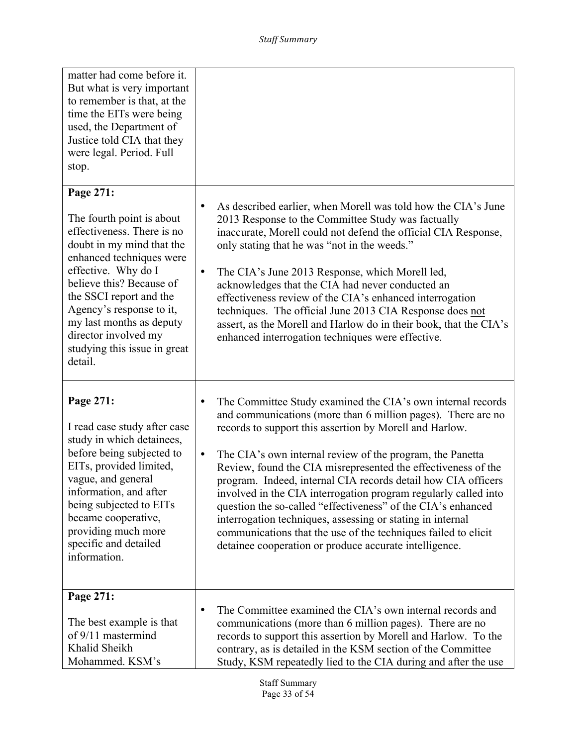| matter had come before it.<br>But what is very important<br>to remember is that, at the<br>time the EITs were being<br>used, the Department of<br>Justice told CIA that they<br>were legal. Period. Full<br>stop.                                                                                                         |                                                                                                                                                                                                                                                                                                                                                                                                                                                                                                                                                                                                                          |
|---------------------------------------------------------------------------------------------------------------------------------------------------------------------------------------------------------------------------------------------------------------------------------------------------------------------------|--------------------------------------------------------------------------------------------------------------------------------------------------------------------------------------------------------------------------------------------------------------------------------------------------------------------------------------------------------------------------------------------------------------------------------------------------------------------------------------------------------------------------------------------------------------------------------------------------------------------------|
| Page 271:                                                                                                                                                                                                                                                                                                                 |                                                                                                                                                                                                                                                                                                                                                                                                                                                                                                                                                                                                                          |
| The fourth point is about<br>effectiveness. There is no<br>doubt in my mind that the<br>enhanced techniques were<br>effective. Why do I<br>believe this? Because of<br>the SSCI report and the<br>Agency's response to it,<br>my last months as deputy<br>director involved my<br>studying this issue in great<br>detail. | As described earlier, when Morell was told how the CIA's June<br>$\bullet$<br>2013 Response to the Committee Study was factually<br>inaccurate, Morell could not defend the official CIA Response,<br>only stating that he was "not in the weeds."<br>The CIA's June 2013 Response, which Morell led,<br>$\bullet$<br>acknowledges that the CIA had never conducted an<br>effectiveness review of the CIA's enhanced interrogation<br>techniques. The official June 2013 CIA Response does not<br>assert, as the Morell and Harlow do in their book, that the CIA's<br>enhanced interrogation techniques were effective. |
| Page 271:                                                                                                                                                                                                                                                                                                                 | The Committee Study examined the CIA's own internal records<br>and communications (more than 6 million pages). There are no                                                                                                                                                                                                                                                                                                                                                                                                                                                                                              |
| I read case study after case                                                                                                                                                                                                                                                                                              | records to support this assertion by Morell and Harlow.                                                                                                                                                                                                                                                                                                                                                                                                                                                                                                                                                                  |
| study in which detainees,<br>before being subjected to<br>EITs, provided limited,<br>vague, and general<br>information, and after<br>being subjected to EITs<br>became cooperative,<br>providing much more<br>specific and detailed<br>information.                                                                       | The CIA's own internal review of the program, the Panetta<br>$\bullet$<br>Review, found the CIA misrepresented the effectiveness of the<br>program. Indeed, internal CIA records detail how CIA officers<br>involved in the CIA interrogation program regularly called into<br>question the so-called "effectiveness" of the CIA's enhanced<br>interrogation techniques, assessing or stating in internal<br>communications that the use of the techniques failed to elicit<br>detainee cooperation or produce accurate intelligence.                                                                                    |
| Page 271:                                                                                                                                                                                                                                                                                                                 |                                                                                                                                                                                                                                                                                                                                                                                                                                                                                                                                                                                                                          |
| The best example is that<br>of 9/11 mastermind<br>Khalid Sheikh<br>Mohammed. KSM's                                                                                                                                                                                                                                        | The Committee examined the CIA's own internal records and<br>$\bullet$<br>communications (more than 6 million pages). There are no<br>records to support this assertion by Morell and Harlow. To the<br>contrary, as is detailed in the KSM section of the Committee<br>Study, KSM repeatedly lied to the CIA during and after the use                                                                                                                                                                                                                                                                                   |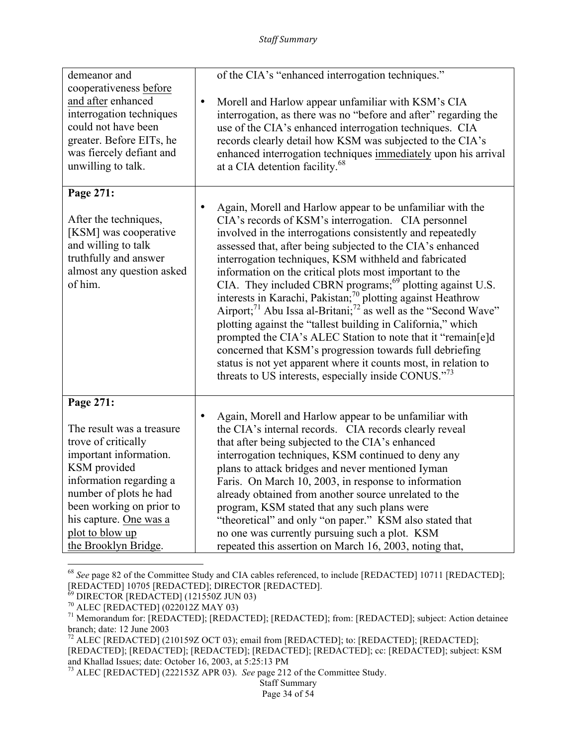| demeanor and              | of the CIA's "enhanced interrogation techniques."                                      |
|---------------------------|----------------------------------------------------------------------------------------|
| cooperativeness before    |                                                                                        |
| and after enhanced        | Morell and Harlow appear unfamiliar with KSM's CIA<br>$\bullet$                        |
| interrogation techniques  | interrogation, as there was no "before and after" regarding the                        |
| could not have been       | use of the CIA's enhanced interrogation techniques. CIA                                |
| greater. Before EITs, he  | records clearly detail how KSM was subjected to the CIA's                              |
| was fiercely defiant and  | enhanced interrogation techniques immediately upon his arrival                         |
| unwilling to talk.        | at a CIA detention facility. <sup>68</sup>                                             |
| Page 271:                 |                                                                                        |
|                           | Again, Morell and Harlow appear to be unfamiliar with the<br>$\bullet$                 |
| After the techniques,     | CIA's records of KSM's interrogation. CIA personnel                                    |
| [KSM] was cooperative     | involved in the interrogations consistently and repeatedly                             |
| and willing to talk       | assessed that, after being subjected to the CIA's enhanced                             |
| truthfully and answer     | interrogation techniques, KSM withheld and fabricated                                  |
| almost any question asked | information on the critical plots most important to the                                |
| of him.                   | CIA. They included CBRN programs; <sup>69</sup> plotting against U.S.                  |
|                           | interests in Karachi, Pakistan; <sup>70</sup> plotting against Heathrow                |
|                           | Airport; <sup>71</sup> Abu Issa al-Britani; <sup>72</sup> as well as the "Second Wave" |
|                           | plotting against the "tallest building in California," which                           |
|                           | prompted the CIA's ALEC Station to note that it "remain[e]d                            |
|                           | concerned that KSM's progression towards full debriefing                               |
|                           | status is not yet apparent where it counts most, in relation to                        |
|                           | threats to US interests, especially inside CONUS." <sup>73</sup>                       |
|                           |                                                                                        |
| Page 271:                 |                                                                                        |
|                           | Again, Morell and Harlow appear to be unfamiliar with<br>$\bullet$                     |
| The result was a treasure | the CIA's internal records. CIA records clearly reveal                                 |
| trove of critically       | that after being subjected to the CIA's enhanced                                       |
| important information.    | interrogation techniques, KSM continued to deny any                                    |
| KSM provided              | plans to attack bridges and never mentioned Iyman                                      |
| information regarding a   | Faris. On March 10, 2003, in response to information                                   |
| number of plots he had    | already obtained from another source unrelated to the                                  |
| been working on prior to  | program, KSM stated that any such plans were                                           |
| his capture. One was a    | "theoretical" and only "on paper." KSM also stated that                                |
| plot to blow up           | no one was currently pursuing such a plot. KSM                                         |
| the Brooklyn Bridge.      | repeated this assertion on March 16, 2003, noting that,                                |

<sup>68</sup> *See* page 82 of the Committee Study and CIA cables referenced, to include [REDACTED] 10711 [REDACTED]; [REDACTED] 10705 [REDACTED]; DIRECTOR [REDACTED].

<sup>&</sup>lt;sup>69</sup> DIRECTOR [REDACTED] (121550Z JUN 03)<br><sup>70</sup> ALEC [REDACTED] (022012Z MAY 03)<br><sup>71</sup> Memorandum for: [REDACTED]; [REDACTED]; [REDACTED]; from: [REDACTED]; subject: Action detainee branch; date: 12 June 2003

<sup>&</sup>lt;sup>72</sup> ALEC [REDACTED] (210159Z OCT 03); email from [REDACTED]; to: [REDACTED]; [REDACTED]; [REDACTED]; [REDACTED]; [REDACTED]; [REDACTED]; [REDACTED]; cc: [REDACTED]; subject: KSM and Khallad Issues; date: October 16, 2003, at 5:25:13 PM

<sup>73</sup> ALEC [REDACTED] (222153Z APR 03). *See* page 212 of the Committee Study.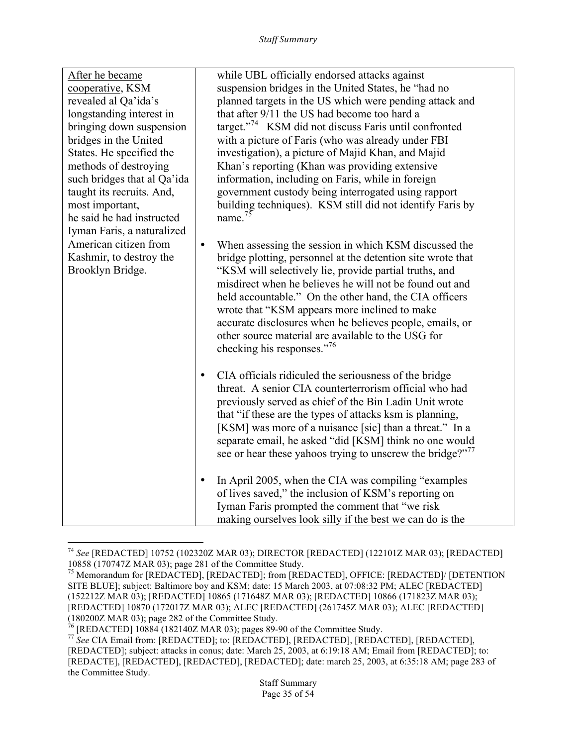| After he became<br>cooperative, KSM<br>revealed al Qa'ida's<br>longstanding interest in<br>bringing down suspension<br>bridges in the United<br>States. He specified the<br>methods of destroying<br>such bridges that al Qa'ida<br>taught its recruits. And,<br>most important,<br>he said he had instructed<br>Iyman Faris, a naturalized<br>American citizen from<br>Kashmir, to destroy the<br>Brooklyn Bridge. | while UBL officially endorsed attacks against<br>suspension bridges in the United States, he "had no<br>planned targets in the US which were pending attack and<br>that after 9/11 the US had become too hard a<br>target." <sup>74</sup> KSM did not discuss Faris until confronted<br>with a picture of Faris (who was already under FBI<br>investigation), a picture of Majid Khan, and Majid<br>Khan's reporting (Khan was providing extensive<br>information, including on Faris, while in foreign<br>government custody being interrogated using rapport<br>building techniques). KSM still did not identify Faris by<br>name. $^{75}$ |
|---------------------------------------------------------------------------------------------------------------------------------------------------------------------------------------------------------------------------------------------------------------------------------------------------------------------------------------------------------------------------------------------------------------------|----------------------------------------------------------------------------------------------------------------------------------------------------------------------------------------------------------------------------------------------------------------------------------------------------------------------------------------------------------------------------------------------------------------------------------------------------------------------------------------------------------------------------------------------------------------------------------------------------------------------------------------------|
|                                                                                                                                                                                                                                                                                                                                                                                                                     | When assessing the session in which KSM discussed the<br>$\bullet$<br>bridge plotting, personnel at the detention site wrote that<br>"KSM will selectively lie, provide partial truths, and<br>misdirect when he believes he will not be found out and<br>held accountable." On the other hand, the CIA officers<br>wrote that "KSM appears more inclined to make<br>accurate disclosures when he believes people, emails, or<br>other source material are available to the USG for<br>checking his responses."76                                                                                                                            |
|                                                                                                                                                                                                                                                                                                                                                                                                                     | CIA officials ridiculed the seriousness of the bridge<br>$\bullet$<br>threat. A senior CIA counterterrorism official who had<br>previously served as chief of the Bin Ladin Unit wrote<br>that "if these are the types of attacks ksm is planning,<br>[KSM] was more of a nuisance [sic] than a threat." In a<br>separate email, he asked "did [KSM] think no one would<br>see or hear these yahoos trying to unscrew the bridge?" <sup>77</sup>                                                                                                                                                                                             |
|                                                                                                                                                                                                                                                                                                                                                                                                                     | In April 2005, when the CIA was compiling "examples"<br>$\bullet$<br>of lives saved," the inclusion of KSM's reporting on<br>Iyman Faris prompted the comment that "we risk<br>making ourselves look silly if the best we can do is the                                                                                                                                                                                                                                                                                                                                                                                                      |

<sup>74</sup> *See* [REDACTED] 10752 (102320Z MAR 03); DIRECTOR [REDACTED] (122101Z MAR 03); [REDACTED] 10858 (170747Z MAR 03); page 281 of the Committee Study. <sup>75</sup> Memorandum for [REDACTED], [REDACTED]; from [REDACTED], OFFICE: [REDACTED]/ [DETENTION

SITE BLUE]; subject: Baltimore boy and KSM; date: 15 March 2003, at 07:08:32 PM; ALEC [REDACTED] (152212Z MAR 03); [REDACTED] 10865 (171648Z MAR 03); [REDACTED] 10866 (171823Z MAR 03); [REDACTED] 10870 (172017Z MAR 03); ALEC [REDACTED] (261745Z MAR 03); ALEC [REDACTED] (180200Z MAR 03); page 282 of the Committee Study.<br> $^{76}$  [REDACTED] 10884 (182140Z MAR 03); pages 89-90 of the Committee Study.

<sup>77</sup> See CIA Email from: [REDACTED]; to: [REDACTED], [REDACTED], [REDACTED], [REDACTED], [<sup>77</sup> See CIA Email from: [REDACTED]; [REDACTED]; subject: attacks in conus; date: March 25, 2003, at 6:19:18 AM; Email from [REDACTED]; to: [REDACTE], [REDACTED], [REDACTED], [REDACTED]; date: march 25, 2003, at 6:35:18 AM; page 283 of the Committee Study.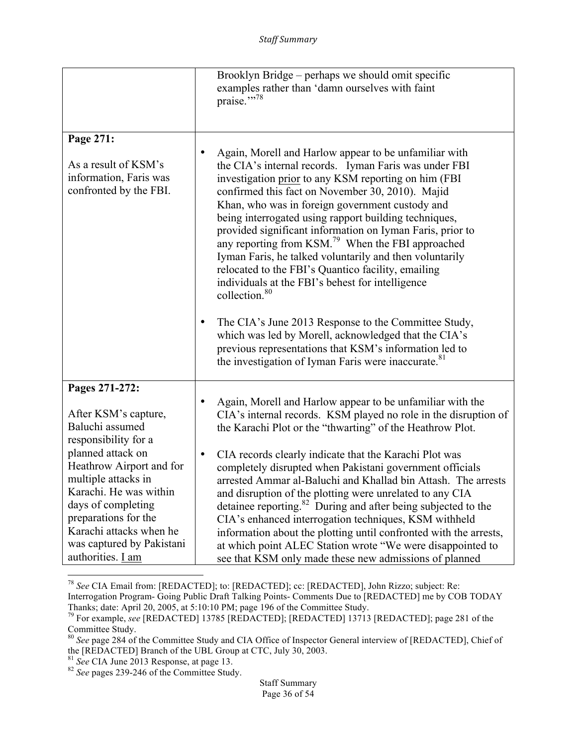|                                                                                                                                                                                                                                                                                                                | Brooklyn Bridge – perhaps we should omit specific<br>examples rather than 'damn ourselves with faint<br>praise."78                                                                                                                                                                                                                                                                                                                                                                                                                                                                                                                                                                                                                                                                                                                                                                                                       |
|----------------------------------------------------------------------------------------------------------------------------------------------------------------------------------------------------------------------------------------------------------------------------------------------------------------|--------------------------------------------------------------------------------------------------------------------------------------------------------------------------------------------------------------------------------------------------------------------------------------------------------------------------------------------------------------------------------------------------------------------------------------------------------------------------------------------------------------------------------------------------------------------------------------------------------------------------------------------------------------------------------------------------------------------------------------------------------------------------------------------------------------------------------------------------------------------------------------------------------------------------|
| Page 271:<br>As a result of KSM's<br>information, Faris was<br>confronted by the FBI.                                                                                                                                                                                                                          | Again, Morell and Harlow appear to be unfamiliar with<br>the CIA's internal records. Iyman Faris was under FBI<br>investigation prior to any KSM reporting on him (FBI<br>confirmed this fact on November 30, 2010). Majid<br>Khan, who was in foreign government custody and<br>being interrogated using rapport building techniques,<br>provided significant information on Iyman Faris, prior to<br>any reporting from KSM. <sup>79</sup> When the FBI approached<br>Iyman Faris, he talked voluntarily and then voluntarily<br>relocated to the FBI's Quantico facility, emailing<br>individuals at the FBI's behest for intelligence<br>collection. <sup>80</sup><br>The CIA's June 2013 Response to the Committee Study,<br>٠<br>which was led by Morell, acknowledged that the CIA's<br>previous representations that KSM's information led to<br>the investigation of Iyman Faris were inaccurate. <sup>81</sup> |
| Pages 271-272:<br>After KSM's capture,<br>Baluchi assumed<br>responsibility for a<br>planned attack on<br>Heathrow Airport and for<br>multiple attacks in<br>Karachi. He was within<br>days of completing<br>preparations for the<br>Karachi attacks when he<br>was captured by Pakistani<br>authorities. I am | Again, Morell and Harlow appear to be unfamiliar with the<br>CIA's internal records. KSM played no role in the disruption of<br>the Karachi Plot or the "thwarting" of the Heathrow Plot.<br>CIA records clearly indicate that the Karachi Plot was<br>$\bullet$<br>completely disrupted when Pakistani government officials<br>arrested Ammar al-Baluchi and Khallad bin Attash. The arrests<br>and disruption of the plotting were unrelated to any CIA<br>detainee reporting. <sup>82</sup> During and after being subjected to the<br>CIA's enhanced interrogation techniques, KSM withheld<br>information about the plotting until confronted with the arrests,<br>at which point ALEC Station wrote "We were disappointed to<br>see that KSM only made these new admissions of planned                                                                                                                             |

<sup>78</sup> *See* CIA Email from: [REDACTED]; to: [REDACTED]; cc: [REDACTED], John Rizzo; subject: Re: Interrogation Program- Going Public Draft Talking Points- Comments Due to [REDACTED] me by COB TODAY Thanks; date: April 20, 2005, at 5:10:10 PM; page 196 of the Committee Study.

 

<sup>79</sup> For example, *see* [REDACTED] 13785 [REDACTED]; [REDACTED] 13713 [REDACTED]; page 281 of the Committee Study.

<sup>80</sup> *See* page 284 of the Committee Study and CIA Office of Inspector General interview of [REDACTED], Chief of the [REDACTED] Branch of the UBL Group at CTC, July 30, 2003.

<sup>81</sup> *See* CIA June 2013 Response, at page 13. <sup>82</sup> *See* pages 239-246 of the Committee Study.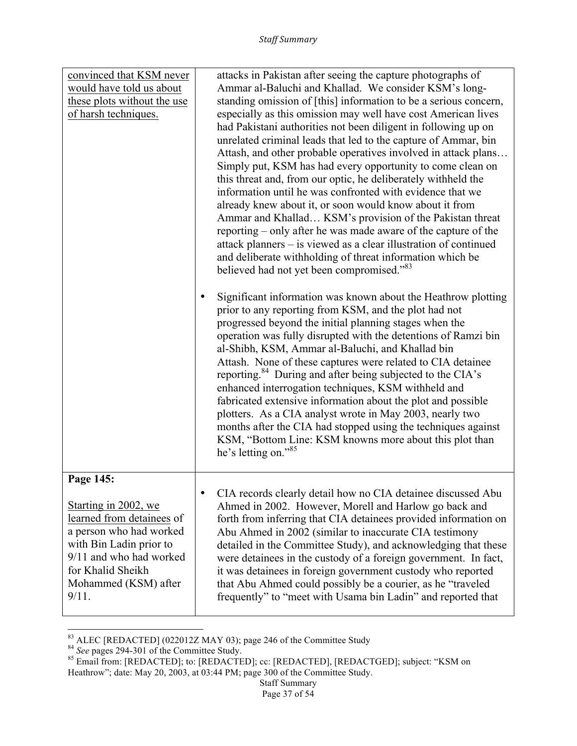| convinced that KSM never<br>would have told us about<br>these plots without the use<br>of harsh techniques.                                                                                           | attacks in Pakistan after seeing the capture photographs of<br>Ammar al-Baluchi and Khallad. We consider KSM's long-<br>standing omission of [this] information to be a serious concern,<br>especially as this omission may well have cost American lives<br>had Pakistani authorities not been diligent in following up on<br>unrelated criminal leads that led to the capture of Ammar, bin<br>Attash, and other probable operatives involved in attack plans<br>Simply put, KSM has had every opportunity to come clean on                                                                                                                                                                                                                                                                     |
|-------------------------------------------------------------------------------------------------------------------------------------------------------------------------------------------------------|---------------------------------------------------------------------------------------------------------------------------------------------------------------------------------------------------------------------------------------------------------------------------------------------------------------------------------------------------------------------------------------------------------------------------------------------------------------------------------------------------------------------------------------------------------------------------------------------------------------------------------------------------------------------------------------------------------------------------------------------------------------------------------------------------|
|                                                                                                                                                                                                       | this threat and, from our optic, he deliberately withheld the<br>information until he was confronted with evidence that we<br>already knew about it, or soon would know about it from<br>Ammar and Khallad KSM's provision of the Pakistan threat<br>reporting – only after he was made aware of the capture of the<br>attack planners – is viewed as a clear illustration of continued<br>and deliberate withholding of threat information which be<br>believed had not yet been compromised." <sup>83</sup>                                                                                                                                                                                                                                                                                     |
|                                                                                                                                                                                                       | Significant information was known about the Heathrow plotting<br>prior to any reporting from KSM, and the plot had not<br>progressed beyond the initial planning stages when the<br>operation was fully disrupted with the detentions of Ramzi bin<br>al-Shibh, KSM, Ammar al-Baluchi, and Khallad bin<br>Attash. None of these captures were related to CIA detainee<br>reporting. <sup>84</sup> During and after being subjected to the CIA's<br>enhanced interrogation techniques, KSM withheld and<br>fabricated extensive information about the plot and possible<br>plotters. As a CIA analyst wrote in May 2003, nearly two<br>months after the CIA had stopped using the techniques against<br>KSM, "Bottom Line: KSM knowns more about this plot than<br>he's letting on." <sup>85</sup> |
| Page 145:<br>Starting in 2002, we<br>learned from detainees of<br>a person who had worked<br>with Bin Ladin prior to<br>9/11 and who had worked<br>for Khalid Sheikh<br>Mohammed (KSM) after<br>9/11. | CIA records clearly detail how no CIA detainee discussed Abu<br>$\bullet$<br>Ahmed in 2002. However, Morell and Harlow go back and<br>forth from inferring that CIA detainees provided information on<br>Abu Ahmed in 2002 (similar to inaccurate CIA testimony<br>detailed in the Committee Study), and acknowledging that these<br>were detainees in the custody of a foreign government. In fact,<br>it was detainees in foreign government custody who reported<br>that Abu Ahmed could possibly be a courier, as he "traveled<br>frequently" to "meet with Usama bin Ladin" and reported that                                                                                                                                                                                                |

<sup>&</sup>lt;u> 1989 - Johann Stein, markin film yn y breninn y breninn y breninn y breninn y breninn y breninn y breninn y b</u>

<sup>&</sup>lt;sup>83</sup> ALEC [REDACTED] (022012Z MAY 03); page 246 of the Committee Study<br><sup>84</sup> *See* pages 294-301 of the Committee Study.<br><sup>85</sup> Email from: [REDACTED]; to: [REDACTED]; cc: [REDACTED], [REDACTGED]; subject: "KSM on Heathrow"; date: May 20, 2003, at 03:44 PM; page 300 of the Committee Study.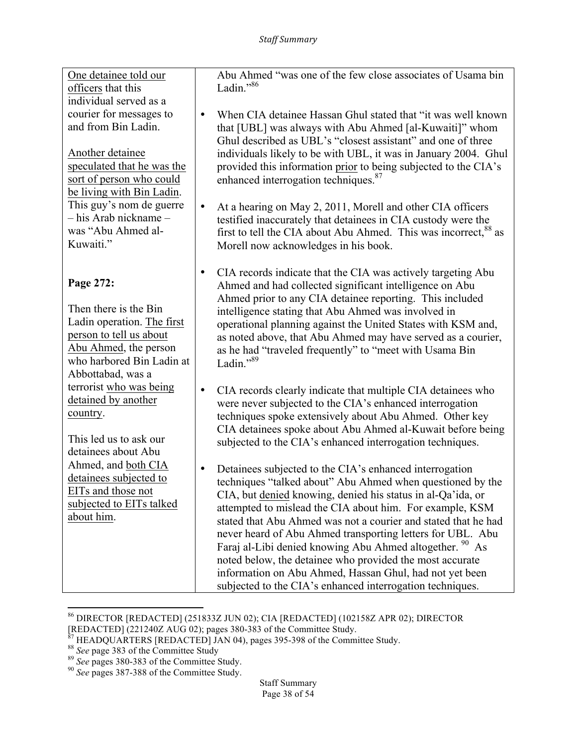One detainee told our officers that this individual served as a courier for messages to and from Bin Ladin.

Another detainee speculated that he was the sort of person who could be living with Bin Ladin. This guy's nom de guerre – his Arab nickname – was "Abu Ahmed al-Kuwaiti."

**Page 272:**

Then there is the Bin Ladin operation. The first person to tell us about Abu Ahmed, the person who harbored Bin Ladin at Abbottabad, was a terrorist who was being detained by another country.

This led us to ask our detainees about Abu Ahmed, and both CIA detainees subjected to EITs and those not subjected to EITs talked about him.

Abu Ahmed "was one of the few close associates of Usama bin Ladin $^{1,86}$ 

- When CIA detainee Hassan Ghul stated that "it was well known that [UBL] was always with Abu Ahmed [al-Kuwaiti]" whom Ghul described as UBL's "closest assistant" and one of three individuals likely to be with UBL, it was in January 2004. Ghul provided this information prior to being subjected to the CIA's enhanced interrogation techniques.<sup>87</sup>
- At a hearing on May 2, 2011, Morell and other CIA officers testified inaccurately that detainees in CIA custody were the first to tell the CIA about Abu Ahmed. This was incorrect,<sup>88</sup> as Morell now acknowledges in his book.
- CIA records indicate that the CIA was actively targeting Abu Ahmed and had collected significant intelligence on Abu Ahmed prior to any CIA detainee reporting. This included intelligence stating that Abu Ahmed was involved in operational planning against the United States with KSM and, as noted above, that Abu Ahmed may have served as a courier, as he had "traveled frequently" to "meet with Usama Bin Ladin."<sup>89</sup>
- CIA records clearly indicate that multiple CIA detainees who were never subjected to the CIA's enhanced interrogation techniques spoke extensively about Abu Ahmed. Other key CIA detainees spoke about Abu Ahmed al-Kuwait before being subjected to the CIA's enhanced interrogation techniques.
- Detainees subjected to the CIA's enhanced interrogation techniques "talked about" Abu Ahmed when questioned by the CIA, but denied knowing, denied his status in al-Qa'ida, or attempted to mislead the CIA about him. For example, KSM stated that Abu Ahmed was not a courier and stated that he had never heard of Abu Ahmed transporting letters for UBL. Abu Faraj al-Libi denied knowing Abu Ahmed altogether. <sup>90</sup> As noted below, the detainee who provided the most accurate information on Abu Ahmed, Hassan Ghul, had not yet been subjected to the CIA's enhanced interrogation techniques.

<sup>86</sup> DIRECTOR [REDACTED] (251833Z JUN 02); CIA [REDACTED] (102158Z APR 02); DIRECTOR

<sup>[</sup>REDACTED] (221240Z AUG 02); pages 380-383 of the Committee Study.<br><sup>87</sup> HEADQUARTERS [REDACTED] JAN 04), pages 395-398 of the Committee Study.<br><sup>88</sup> See page 383 of the Committee Study<br><sup>89</sup> See pages 380-383 of the Committe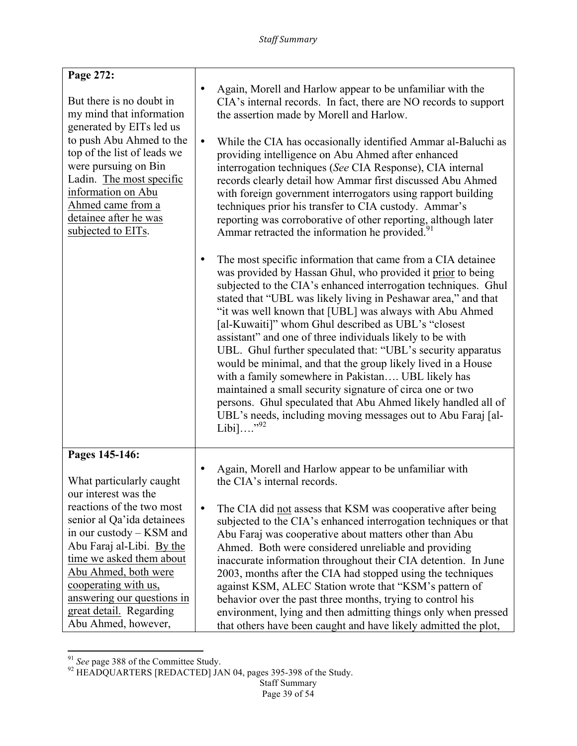| Page 272:                                                                                                                                                                                                                                                                                 |                                                                                                                                                                                                                                                                                                                                                                                                                                                                                                                                                                                                                                                                                                                                                                                                                                                           |
|-------------------------------------------------------------------------------------------------------------------------------------------------------------------------------------------------------------------------------------------------------------------------------------------|-----------------------------------------------------------------------------------------------------------------------------------------------------------------------------------------------------------------------------------------------------------------------------------------------------------------------------------------------------------------------------------------------------------------------------------------------------------------------------------------------------------------------------------------------------------------------------------------------------------------------------------------------------------------------------------------------------------------------------------------------------------------------------------------------------------------------------------------------------------|
| But there is no doubt in<br>my mind that information<br>generated by EITs led us<br>to push Abu Ahmed to the<br>top of the list of leads we<br>were pursuing on Bin<br>Ladin. The most specific<br>information on Abu<br>Ahmed came from a<br>detainee after he was<br>subjected to EITs. | Again, Morell and Harlow appear to be unfamiliar with the<br>$\bullet$<br>CIA's internal records. In fact, there are NO records to support<br>the assertion made by Morell and Harlow.<br>While the CIA has occasionally identified Ammar al-Baluchi as<br>$\bullet$<br>providing intelligence on Abu Ahmed after enhanced<br>interrogation techniques (See CIA Response), CIA internal<br>records clearly detail how Ammar first discussed Abu Ahmed<br>with foreign government interrogators using rapport building<br>techniques prior his transfer to CIA custody. Ammar's<br>reporting was corroborative of other reporting, although later<br>Ammar retracted the information he provided. <sup>91</sup>                                                                                                                                            |
|                                                                                                                                                                                                                                                                                           | The most specific information that came from a CIA detainee<br>was provided by Hassan Ghul, who provided it prior to being<br>subjected to the CIA's enhanced interrogation techniques. Ghul<br>stated that "UBL was likely living in Peshawar area," and that<br>"it was well known that [UBL] was always with Abu Ahmed<br>[al-Kuwaiti]" whom Ghul described as UBL's "closest<br>assistant" and one of three individuals likely to be with<br>UBL. Ghul further speculated that: "UBL's security apparatus<br>would be minimal, and that the group likely lived in a House<br>with a family somewhere in Pakistan UBL likely has<br>maintained a small security signature of circa one or two<br>persons. Ghul speculated that Abu Ahmed likely handled all of<br>UBL's needs, including moving messages out to Abu Faraj [al-<br>Libi]" <sup>92</sup> |
| Pages 145-146:<br>What particularly caught<br>our interest was the                                                                                                                                                                                                                        | Again, Morell and Harlow appear to be unfamiliar with<br>the CIA's internal records.                                                                                                                                                                                                                                                                                                                                                                                                                                                                                                                                                                                                                                                                                                                                                                      |
| reactions of the two most<br>senior al Qa'ida detainees<br>in our custody – KSM and<br>Abu Faraj al-Libi. By the<br>time we asked them about<br>Abu Ahmed, both were<br>cooperating with us,<br>answering our questions in<br>great detail. Regarding<br>Abu Ahmed, however,              | The CIA did not assess that KSM was cooperative after being<br>$\bullet$<br>subjected to the CIA's enhanced interrogation techniques or that<br>Abu Faraj was cooperative about matters other than Abu<br>Ahmed. Both were considered unreliable and providing<br>inaccurate information throughout their CIA detention. In June<br>2003, months after the CIA had stopped using the techniques<br>against KSM, ALEC Station wrote that "KSM's pattern of<br>behavior over the past three months, trying to control his<br>environment, lying and then admitting things only when pressed<br>that others have been caught and have likely admitted the plot,                                                                                                                                                                                              |

<sup>&</sup>lt;u> 1989 - Johann Stein, markin film yn y breninn y breninn y breninn y breninn y breninn y breninn y breninn y b</u>

<sup>&</sup>lt;sup>91</sup> *See* page 388 of the Committee Study.<br><sup>92</sup> HEADQUARTERS [REDACTED] JAN 04, pages 395-398 of the Study.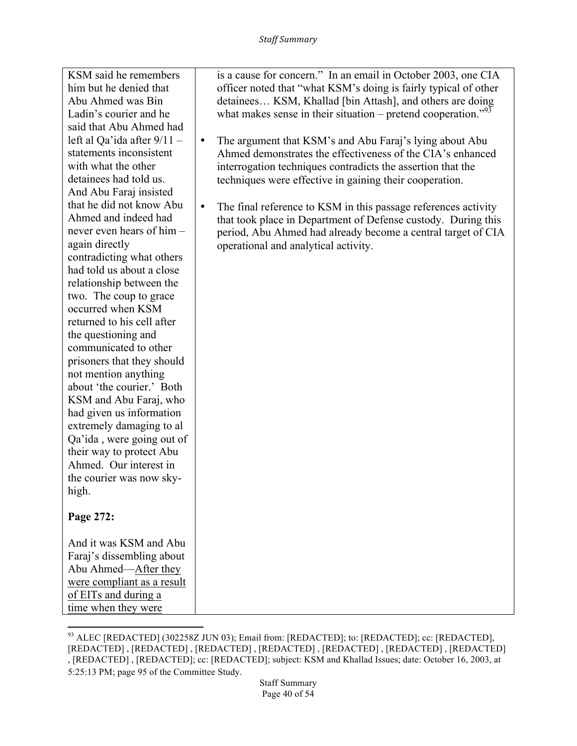| KSM said he remembers<br>him but he denied that<br>Abu Ahmed was Bin<br>Ladin's courier and he<br>said that Abu Ahmed had<br>left al Qa'ida after $9/11$ -<br>statements inconsistent<br>with what the other<br>detainees had told us.<br>And Abu Faraj insisted<br>that he did not know Abu<br>Ahmed and indeed had<br>never even hears of him –<br>again directly<br>contradicting what others<br>had told us about a close<br>relationship between the<br>two. The coup to grace<br>occurred when KSM<br>returned to his cell after<br>the questioning and<br>communicated to other<br>prisoners that they should<br>not mention anything<br>about 'the courier.' Both<br>KSM and Abu Faraj, who<br>had given us information<br>extremely damaging to al<br>Qa'ida, were going out of<br>their way to protect Abu<br>Ahmed. Our interest in<br>the courier was now sky-<br>high.<br>Page 272:<br>And it was KSM and Abu | is a cause for concern." In an email in October 2003, one CIA<br>officer noted that "what KSM's doing is fairly typical of other<br>detainees KSM, Khallad [bin Attash], and others are doing<br>what makes sense in their situation – pretend cooperation." $^{93}$<br>The argument that KSM's and Abu Faraj's lying about Abu<br>$\bullet$<br>Ahmed demonstrates the effectiveness of the CIA's enhanced<br>interrogation techniques contradicts the assertion that the<br>techniques were effective in gaining their cooperation.<br>The final reference to KSM in this passage references activity<br>$\bullet$<br>that took place in Department of Defense custody. During this<br>period, Abu Ahmed had already become a central target of CIA<br>operational and analytical activity. |
|----------------------------------------------------------------------------------------------------------------------------------------------------------------------------------------------------------------------------------------------------------------------------------------------------------------------------------------------------------------------------------------------------------------------------------------------------------------------------------------------------------------------------------------------------------------------------------------------------------------------------------------------------------------------------------------------------------------------------------------------------------------------------------------------------------------------------------------------------------------------------------------------------------------------------|----------------------------------------------------------------------------------------------------------------------------------------------------------------------------------------------------------------------------------------------------------------------------------------------------------------------------------------------------------------------------------------------------------------------------------------------------------------------------------------------------------------------------------------------------------------------------------------------------------------------------------------------------------------------------------------------------------------------------------------------------------------------------------------------|
| Faraj's dissembling about<br>Abu Ahmed—After they                                                                                                                                                                                                                                                                                                                                                                                                                                                                                                                                                                                                                                                                                                                                                                                                                                                                          |                                                                                                                                                                                                                                                                                                                                                                                                                                                                                                                                                                                                                                                                                                                                                                                              |
| were compliant as a result                                                                                                                                                                                                                                                                                                                                                                                                                                                                                                                                                                                                                                                                                                                                                                                                                                                                                                 |                                                                                                                                                                                                                                                                                                                                                                                                                                                                                                                                                                                                                                                                                                                                                                                              |
| of EITs and during a<br>time when they were                                                                                                                                                                                                                                                                                                                                                                                                                                                                                                                                                                                                                                                                                                                                                                                                                                                                                |                                                                                                                                                                                                                                                                                                                                                                                                                                                                                                                                                                                                                                                                                                                                                                                              |

<sup>&</sup>lt;sup>93</sup> ALEC [REDACTED] (302258Z JUN 03); Email from: [REDACTED]; to: [REDACTED]; cc: [REDACTED], [REDACTED] , [REDACTED] , [REDACTED] , [REDACTED] , [REDACTED] , [REDACTED] , [REDACTED] , [REDACTED] , [REDACTED]; cc: [REDACTED]; subject: KSM and Khallad Issues; date: October 16, 2003, at 5:25:13 PM; page 95 of the Committee Study.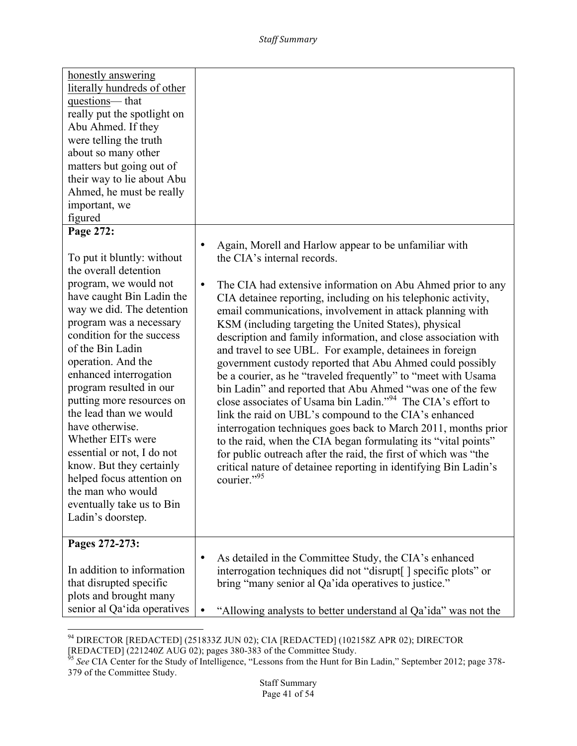| honestly answering<br>literally hundreds of other<br>questions-that<br>really put the spotlight on<br>Abu Ahmed. If they<br>were telling the truth<br>about so many other<br>matters but going out of<br>their way to lie about Abu<br>Ahmed, he must be really<br>important, we<br>figured                                                                                                  |                                                                                                                                                                                                                                                                                                                                                                                                                                                                                                                                                                                                                                                                                                                                                                                                                                                                                                   |
|----------------------------------------------------------------------------------------------------------------------------------------------------------------------------------------------------------------------------------------------------------------------------------------------------------------------------------------------------------------------------------------------|---------------------------------------------------------------------------------------------------------------------------------------------------------------------------------------------------------------------------------------------------------------------------------------------------------------------------------------------------------------------------------------------------------------------------------------------------------------------------------------------------------------------------------------------------------------------------------------------------------------------------------------------------------------------------------------------------------------------------------------------------------------------------------------------------------------------------------------------------------------------------------------------------|
| Page 272:                                                                                                                                                                                                                                                                                                                                                                                    | Again, Morell and Harlow appear to be unfamiliar with<br>$\bullet$                                                                                                                                                                                                                                                                                                                                                                                                                                                                                                                                                                                                                                                                                                                                                                                                                                |
| To put it bluntly: without<br>the overall detention<br>program, we would not<br>have caught Bin Ladin the<br>way we did. The detention<br>program was a necessary<br>condition for the success<br>of the Bin Ladin<br>operation. And the<br>enhanced interrogation<br>program resulted in our<br>putting more resources on<br>the lead than we would<br>have otherwise.<br>Whether EITs were | the CIA's internal records.<br>$\bullet$<br>The CIA had extensive information on Abu Ahmed prior to any<br>CIA detainee reporting, including on his telephonic activity,<br>email communications, involvement in attack planning with<br>KSM (including targeting the United States), physical<br>description and family information, and close association with<br>and travel to see UBL. For example, detainees in foreign<br>government custody reported that Abu Ahmed could possibly<br>be a courier, as he "traveled frequently" to "meet with Usama"<br>bin Ladin" and reported that Abu Ahmed "was one of the few<br>close associates of Usama bin Ladin." <sup>94</sup> The CIA's effort to<br>link the raid on UBL's compound to the CIA's enhanced<br>interrogation techniques goes back to March 2011, months prior<br>to the raid, when the CIA began formulating its "vital points" |
| essential or not, I do not<br>know. But they certainly<br>helped focus attention on<br>the man who would<br>eventually take us to Bin<br>Ladin's doorstep.                                                                                                                                                                                                                                   | for public outreach after the raid, the first of which was "the<br>critical nature of detainee reporting in identifying Bin Ladin's<br>courier." <sup>95</sup>                                                                                                                                                                                                                                                                                                                                                                                                                                                                                                                                                                                                                                                                                                                                    |
| Pages 272-273:                                                                                                                                                                                                                                                                                                                                                                               |                                                                                                                                                                                                                                                                                                                                                                                                                                                                                                                                                                                                                                                                                                                                                                                                                                                                                                   |
| In addition to information<br>that disrupted specific<br>plots and brought many<br>senior al Qa'ida operatives                                                                                                                                                                                                                                                                               | As detailed in the Committee Study, the CIA's enhanced<br>$\bullet$<br>interrogation techniques did not "disrupt" specific plots" or<br>bring "many senior al Qa'ida operatives to justice."<br>"Allowing analysts to better understand al Qa'ida" was not the                                                                                                                                                                                                                                                                                                                                                                                                                                                                                                                                                                                                                                    |

<sup>&</sup>lt;u> 1989 - Johann Stein, markin film yn y breninn y breninn y breninn y breninn y breninn y breninn y breninn y b</u> <sup>94</sup> DIRECTOR [REDACTED] (251833Z JUN 02); CIA [REDACTED] (102158Z APR 02); DIRECTOR

<sup>[</sup>REDACTED] (221240Z AUG 02); pages 380-383 of the Committee Study.<br><sup>95</sup> *See* CIA Center for the Study of Intelligence, "Lessons from the Hunt for Bin Ladin," September 2012; page 378-379 of the Committee Study.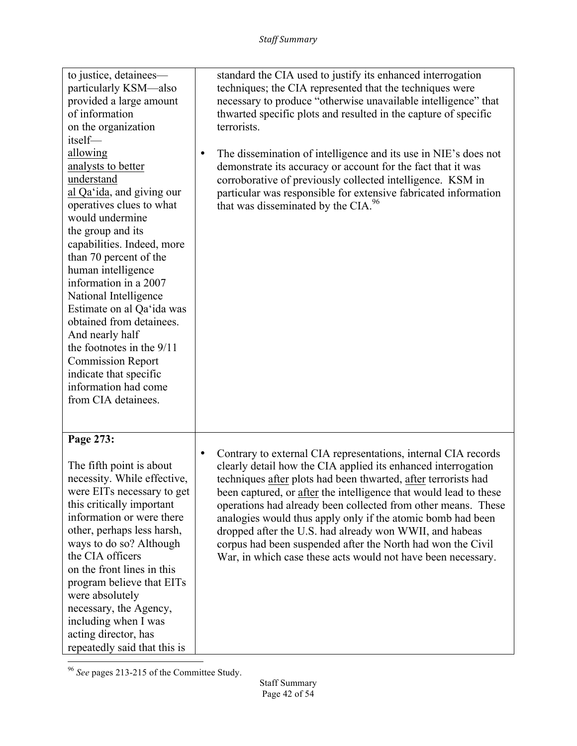| to justice, detainees—<br>particularly KSM—also<br>provided a large amount<br>of information<br>on the organization<br>itself-<br>allowing<br>analysts to better<br>understand<br>al Qa'ida, and giving our<br>operatives clues to what<br>would undermine<br>the group and its<br>capabilities. Indeed, more<br>than 70 percent of the<br>human intelligence<br>information in a 2007<br>National Intelligence<br>Estimate on al Qa'ida was<br>obtained from detainees.<br>And nearly half<br>the footnotes in the $9/11$<br><b>Commission Report</b><br>indicate that specific<br>information had come<br>from CIA detainees. | standard the CIA used to justify its enhanced interrogation<br>techniques; the CIA represented that the techniques were<br>necessary to produce "otherwise unavailable intelligence" that<br>thwarted specific plots and resulted in the capture of specific<br>terrorists.<br>The dissemination of intelligence and its use in NIE's does not<br>$\bullet$<br>demonstrate its accuracy or account for the fact that it was<br>corroborative of previously collected intelligence. KSM in<br>particular was responsible for extensive fabricated information<br>that was disseminated by the CIA. <sup>96</sup> |
|---------------------------------------------------------------------------------------------------------------------------------------------------------------------------------------------------------------------------------------------------------------------------------------------------------------------------------------------------------------------------------------------------------------------------------------------------------------------------------------------------------------------------------------------------------------------------------------------------------------------------------|-----------------------------------------------------------------------------------------------------------------------------------------------------------------------------------------------------------------------------------------------------------------------------------------------------------------------------------------------------------------------------------------------------------------------------------------------------------------------------------------------------------------------------------------------------------------------------------------------------------------|
| Page 273:<br>The fifth point is about<br>necessity. While effective,<br>were EITs necessary to get<br>this critically important<br>information or were there<br>other, perhaps less harsh,<br>ways to do so? Although<br>the CIA officers<br>on the front lines in this<br>program believe that EITs<br>were absolutely<br>necessary, the Agency,<br>including when I was<br>acting director, has<br>repeatedly said that this is                                                                                                                                                                                               | Contrary to external CIA representations, internal CIA records<br>$\bullet$<br>clearly detail how the CIA applied its enhanced interrogation<br>techniques after plots had been thwarted, after terrorists had<br>been captured, or after the intelligence that would lead to these<br>operations had already been collected from other means. These<br>analogies would thus apply only if the atomic bomb had been<br>dropped after the U.S. had already won WWII, and habeas<br>corpus had been suspended after the North had won the Civil<br>War, in which case these acts would not have been necessary.   |

<u> 1989 - Johann Stein, markin film yn y breninn y breninn y breninn y breninn y breninn y breninn y breninn y b</u> <sup>96</sup> See pages 213-215 of the Committee Study.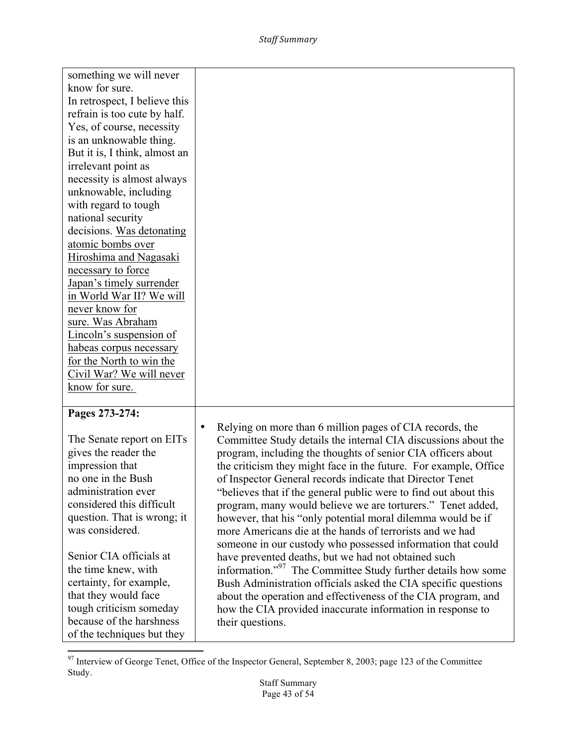| something we will never       |                                                                          |
|-------------------------------|--------------------------------------------------------------------------|
| know for sure.                |                                                                          |
| In retrospect, I believe this |                                                                          |
| refrain is too cute by half.  |                                                                          |
| Yes, of course, necessity     |                                                                          |
| is an unknowable thing.       |                                                                          |
| But it is, I think, almost an |                                                                          |
| irrelevant point as           |                                                                          |
| necessity is almost always    |                                                                          |
| unknowable, including         |                                                                          |
| with regard to tough          |                                                                          |
| national security             |                                                                          |
| decisions. Was detonating     |                                                                          |
| atomic bombs over             |                                                                          |
| Hiroshima and Nagasaki        |                                                                          |
| necessary to force            |                                                                          |
| Japan's timely surrender      |                                                                          |
| in World War II? We will      |                                                                          |
| never know for                |                                                                          |
| sure. Was Abraham             |                                                                          |
| Lincoln's suspension of       |                                                                          |
| habeas corpus necessary       |                                                                          |
| for the North to win the      |                                                                          |
| Civil War? We will never      |                                                                          |
| know for sure.                |                                                                          |
|                               |                                                                          |
| Pages 273-274:                |                                                                          |
|                               | Relying on more than 6 million pages of CIA records, the<br>$\bullet$    |
| The Senate report on EITs     | Committee Study details the internal CIA discussions about the           |
| gives the reader the          | program, including the thoughts of senior CIA officers about             |
| impression that               | the criticism they might face in the future. For example, Office         |
| no one in the Bush            | of Inspector General records indicate that Director Tenet                |
| administration ever           | believes that if the general public were to find out about this          |
| considered this difficult     | program, many would believe we are torturers." Tenet added,              |
| question. That is wrong; it   | however, that his "only potential moral dilemma would be if              |
| was considered.               | more Americans die at the hands of terrorists and we had                 |
|                               | someone in our custody who possessed information that could              |
| Senior CIA officials at       | have prevented deaths, but we had not obtained such                      |
| the time knew, with           | information." <sup>97</sup> The Committee Study further details how some |
| certainty, for example,       | Bush Administration officials asked the CIA specific questions           |
| that they would face          | about the operation and effectiveness of the CIA program, and            |
| tough criticism someday       | how the CIA provided inaccurate information in response to               |
| because of the harshness      | their questions.                                                         |
| of the techniques but they    |                                                                          |

 $97$  Interview of George Tenet, Office of the Inspector General, September 8, 2003; page 123 of the Committee Study.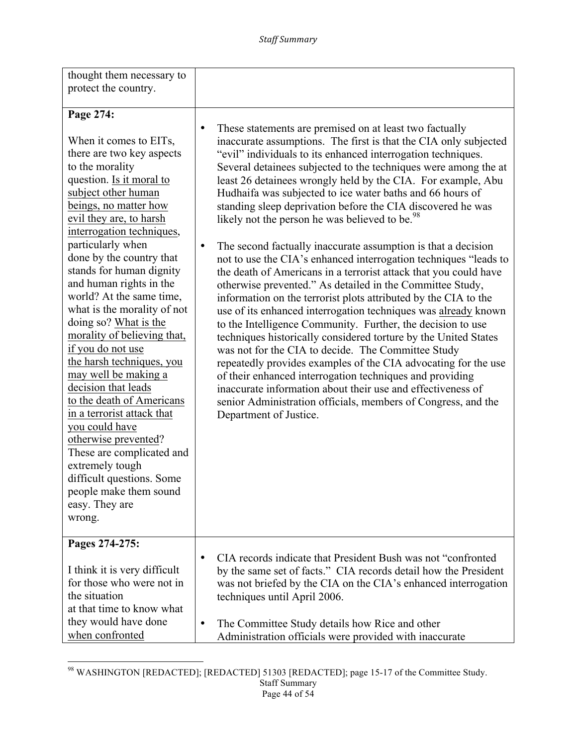| thought them necessary to                                                                                                                                                                                                                                                                                                                                                                                                                                                                                                                                        |                                                                                                                                                                                                                                                                                                                                                                                                                                                                                                                                                                                                                                                                                                                                                                                                                                                                                                      |
|------------------------------------------------------------------------------------------------------------------------------------------------------------------------------------------------------------------------------------------------------------------------------------------------------------------------------------------------------------------------------------------------------------------------------------------------------------------------------------------------------------------------------------------------------------------|------------------------------------------------------------------------------------------------------------------------------------------------------------------------------------------------------------------------------------------------------------------------------------------------------------------------------------------------------------------------------------------------------------------------------------------------------------------------------------------------------------------------------------------------------------------------------------------------------------------------------------------------------------------------------------------------------------------------------------------------------------------------------------------------------------------------------------------------------------------------------------------------------|
| protect the country.                                                                                                                                                                                                                                                                                                                                                                                                                                                                                                                                             |                                                                                                                                                                                                                                                                                                                                                                                                                                                                                                                                                                                                                                                                                                                                                                                                                                                                                                      |
| Page 274:<br>When it comes to EITs,<br>there are two key aspects<br>to the morality                                                                                                                                                                                                                                                                                                                                                                                                                                                                              | These statements are premised on at least two factually<br>$\bullet$<br>inaccurate assumptions. The first is that the CIA only subjected<br>"evil" individuals to its enhanced interrogation techniques.<br>Several detainees subjected to the techniques were among the at                                                                                                                                                                                                                                                                                                                                                                                                                                                                                                                                                                                                                          |
| question. Is it moral to<br>subject other human<br>beings, no matter how<br>evil they are, to harsh<br>interrogation techniques,                                                                                                                                                                                                                                                                                                                                                                                                                                 | least 26 detainees wrongly held by the CIA. For example, Abu<br>Hudhaifa was subjected to ice water baths and 66 hours of<br>standing sleep deprivation before the CIA discovered he was<br>likely not the person he was believed to be. <sup>98</sup>                                                                                                                                                                                                                                                                                                                                                                                                                                                                                                                                                                                                                                               |
| particularly when<br>done by the country that<br>stands for human dignity<br>and human rights in the<br>world? At the same time,<br>what is the morality of not<br>doing so? What is the<br>morality of believing that,<br>if you do not use<br>the harsh techniques, you<br>may well be making a<br>decision that leads<br>to the death of Americans<br>in a terrorist attack that<br>you could have<br>otherwise prevented?<br>These are complicated and<br>extremely tough<br>difficult questions. Some<br>people make them sound<br>easy. They are<br>wrong. | The second factually inaccurate assumption is that a decision<br>$\bullet$<br>not to use the CIA's enhanced interrogation techniques "leads to<br>the death of Americans in a terrorist attack that you could have<br>otherwise prevented." As detailed in the Committee Study,<br>information on the terrorist plots attributed by the CIA to the<br>use of its enhanced interrogation techniques was already known<br>to the Intelligence Community. Further, the decision to use<br>techniques historically considered torture by the United States<br>was not for the CIA to decide. The Committee Study<br>repeatedly provides examples of the CIA advocating for the use<br>of their enhanced interrogation techniques and providing<br>inaccurate information about their use and effectiveness of<br>senior Administration officials, members of Congress, and the<br>Department of Justice. |
| Pages 274-275:<br>I think it is very difficult<br>for those who were not in                                                                                                                                                                                                                                                                                                                                                                                                                                                                                      | CIA records indicate that President Bush was not "confronted"<br>$\bullet$<br>by the same set of facts." CIA records detail how the President<br>was not briefed by the CIA on the CIA's enhanced interrogation                                                                                                                                                                                                                                                                                                                                                                                                                                                                                                                                                                                                                                                                                      |
| the situation<br>at that time to know what<br>they would have done<br>when confronted                                                                                                                                                                                                                                                                                                                                                                                                                                                                            | techniques until April 2006.<br>The Committee Study details how Rice and other<br>Administration officials were provided with inaccurate                                                                                                                                                                                                                                                                                                                                                                                                                                                                                                                                                                                                                                                                                                                                                             |

<sup>&</sup>lt;u> 1989 - Johann Stein, markin film yn y breninn y breninn y breninn y breninn y breninn y breninn y breninn y b</u> <sup>98</sup> WASHINGTON [REDACTED]; [REDACTED] 51303 [REDACTED]; page 15-17 of the Committee Study.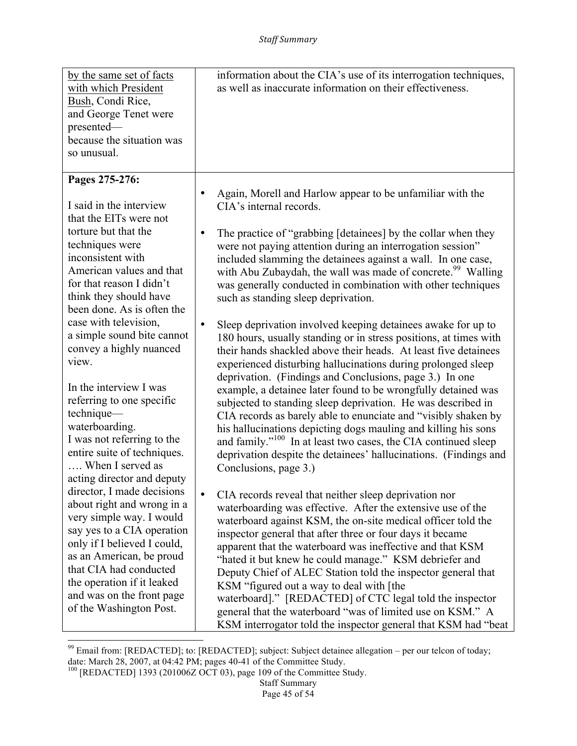| by the same set of facts<br>with which President<br>Bush, Condi Rice,<br>and George Tenet were<br>presented-<br>because the situation was<br>so unusual.                                                                                                                                                                    | information about the CIA's use of its interrogation techniques,<br>as well as inaccurate information on their effectiveness.                                                                                                                                                                                                                                                                                                                                                                                                                                                                                                                                                                                                                                                                |
|-----------------------------------------------------------------------------------------------------------------------------------------------------------------------------------------------------------------------------------------------------------------------------------------------------------------------------|----------------------------------------------------------------------------------------------------------------------------------------------------------------------------------------------------------------------------------------------------------------------------------------------------------------------------------------------------------------------------------------------------------------------------------------------------------------------------------------------------------------------------------------------------------------------------------------------------------------------------------------------------------------------------------------------------------------------------------------------------------------------------------------------|
| Pages 275-276:<br>I said in the interview<br>that the EITs were not<br>torture but that the<br>techniques were<br>inconsistent with<br>American values and that<br>for that reason I didn't<br>think they should have                                                                                                       | Again, Morell and Harlow appear to be unfamiliar with the<br>CIA's internal records.<br>The practice of "grabbing [detainees] by the collar when they<br>$\bullet$<br>were not paying attention during an interrogation session"<br>included slamming the detainees against a wall. In one case,<br>with Abu Zubaydah, the wall was made of concrete. <sup>99</sup> Walling<br>was generally conducted in combination with other techniques<br>such as standing sleep deprivation.                                                                                                                                                                                                                                                                                                           |
| been done. As is often the<br>case with television,<br>a simple sound bite cannot<br>convey a highly nuanced<br>view.<br>In the interview I was<br>referring to one specific<br>technique-<br>waterboarding.<br>I was not referring to the<br>entire suite of techniques.<br>When I served as                               | Sleep deprivation involved keeping detainees awake for up to<br>$\bullet$<br>180 hours, usually standing or in stress positions, at times with<br>their hands shackled above their heads. At least five detainees<br>experienced disturbing hallucinations during prolonged sleep<br>deprivation. (Findings and Conclusions, page 3.) In one<br>example, a detainee later found to be wrongfully detained was<br>subjected to standing sleep deprivation. He was described in<br>CIA records as barely able to enunciate and "visibly shaken by<br>his hallucinations depicting dogs mauling and killing his sons<br>and family." <sup>100</sup> In at least two cases, the CIA continued sleep<br>deprivation despite the detainees' hallucinations. (Findings and<br>Conclusions, page 3.) |
| acting director and deputy<br>director, I made decisions<br>about right and wrong in a<br>very simple way. I would<br>say yes to a CIA operation<br>only if I believed I could,<br>as an American, be proud<br>that CIA had conducted<br>the operation if it leaked<br>and was on the front page<br>of the Washington Post. | $\bullet$<br>CIA records reveal that neither sleep deprivation nor<br>waterboarding was effective. After the extensive use of the<br>waterboard against KSM, the on-site medical officer told the<br>inspector general that after three or four days it became<br>apparent that the waterboard was ineffective and that KSM<br>"hated it but knew he could manage." KSM debriefer and<br>Deputy Chief of ALEC Station told the inspector general that<br>KSM "figured out a way to deal with [the<br>waterboard]." [REDACTED] of CTC legal told the inspector<br>general that the waterboard "was of limited use on KSM." A<br>KSM interrogator told the inspector general that KSM had "beat                                                                                                |

 $\frac{99}{2}$  Email from: [REDACTED]; to: [REDACTED]; subject: Subject detainee allegation – per our telcon of today; date: March 28, 2007, at 04:42 PM; pages 40-41 of the Committee Study.<br><sup>100</sup> [REDACTED] 1393 (201006Z OCT 03), page 109 of the Committee Study.

Staff Summary Page 45 of 54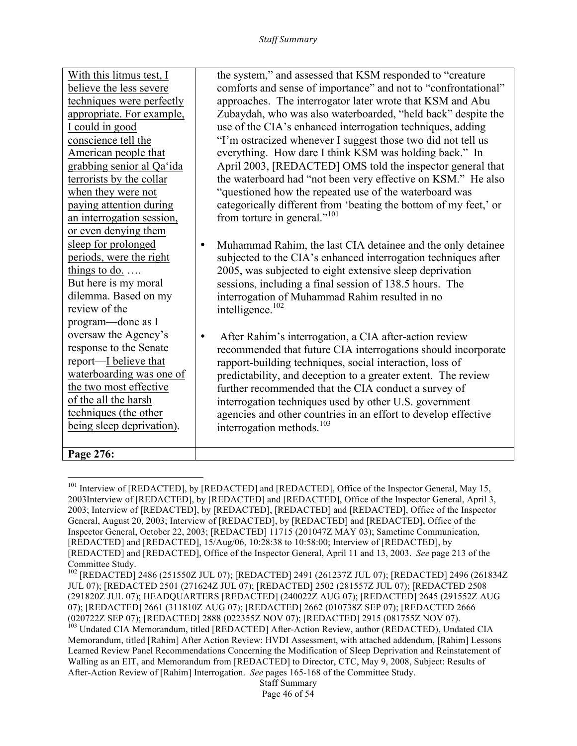| With this litmus test, I  | the system," and assessed that KSM responded to "creature        |
|---------------------------|------------------------------------------------------------------|
| believe the less severe   | comforts and sense of importance" and not to "confrontational"   |
| techniques were perfectly | approaches. The interrogator later wrote that KSM and Abu        |
| appropriate. For example, | Zubaydah, who was also waterboarded, "held back" despite the     |
| I could in good           | use of the CIA's enhanced interrogation techniques, adding       |
| conscience tell the       | "I'm ostracized whenever I suggest those two did not tell us     |
| American people that      | everything. How dare I think KSM was holding back." In           |
| grabbing senior al Qa'ida | April 2003, [REDACTED] OMS told the inspector general that       |
| terrorists by the collar  | the waterboard had "not been very effective on KSM." He also     |
| when they were not        | "questioned how the repeated use of the waterboard was           |
| paying attention during   | categorically different from 'beating the bottom of my feet,' or |
| an interrogation session, | from torture in general." <sup>101</sup>                         |
| or even denying them      |                                                                  |
| sleep for prolonged       | Muhammad Rahim, the last CIA detainee and the only detainee<br>٠ |
| periods, were the right   | subjected to the CIA's enhanced interrogation techniques after   |
| things to do. $\ldots$    | 2005, was subjected to eight extensive sleep deprivation         |
| But here is my moral      | sessions, including a final session of 138.5 hours. The          |
| dilemma. Based on my      | interrogation of Muhammad Rahim resulted in no                   |
| review of the             | intelligence. $102$                                              |
| program-done as I         |                                                                  |
| oversaw the Agency's      | After Rahim's interrogation, a CIA after-action review<br>٠      |
| response to the Senate    | recommended that future CIA interrogations should incorporate    |
| report—I believe that     | rapport-building techniques, social interaction, loss of         |
| waterboarding was one of  | predictability, and deception to a greater extent. The review    |
| the two most effective    | further recommended that the CIA conduct a survey of             |
| of the all the harsh      | interrogation techniques used by other U.S. government           |
| techniques (the other     | agencies and other countries in an effort to develop effective   |
| being sleep deprivation). | interrogation methods. $103$                                     |
|                           |                                                                  |
| Page 276:                 |                                                                  |

<sup>&</sup>lt;sup>101</sup> Interview of [REDACTED], by [REDACTED] and [REDACTED], Office of the Inspector General, May 15, 2003Interview of [REDACTED], by [REDACTED] and [REDACTED], Office of the Inspector General, April 3, 2003; Interview of [REDACTED], by [REDACTED], [REDACTED] and [REDACTED], Office of the Inspector General, August 20, 2003; Interview of [REDACTED], by [REDACTED] and [REDACTED], Office of the Inspector General, October 22, 2003; [REDACTED] 11715 (201047Z MAY 03); Sametime Communication, [REDACTED] and [REDACTED], 15/Aug/06, 10:28:38 to 10:58:00; Interview of [REDACTED], by [REDACTED] and [REDACTED], Office of the Inspector General, April 11 and 13, 2003. *See* page 213 of the Committee Study.

<sup>102</sup> [REDACTED] 2486 (251550Z JUL 07); [REDACTED] 2491 (261237Z JUL 07); [REDACTED] 2496 (261834Z JUL 07); [REDACTED 2501 (271624Z JUL 07); [REDACTED] 2502 (281557Z JUL 07); [REDACTED 2508 (291820Z JUL 07); HEADQUARTERS [REDACTED] (240022Z AUG 07); [REDACTED] 2645 (291552Z AUG 07); [REDACTED] 2661 (311810Z AUG 07); [REDACTED] 2662 (010738Z SEP 07); [REDACTED 2666 (020722Z SEP 07); [REDACTED] 2888 (022355Z NOV 07); [REDACTED] 2915 (081755Z NOV 07). <sup>103</sup> Undated CIA Memorandum, titled [REDACTED] After-Action Review, author (REDACTED), Undated CIA Memorandum, titled [Rahim] After Action Review: HVDI Assessment, with attached addendum, [Rahim] Lessons Learned Review Panel Recommendations Concerning the Modification of Sleep Deprivation and Reinstatement of Walling as an EIT, and Memorandum from [REDACTED] to Director, CTC, May 9, 2008, Subject: Results of After-Action Review of [Rahim] Interrogation. *See* pages 165-168 of the Committee Study.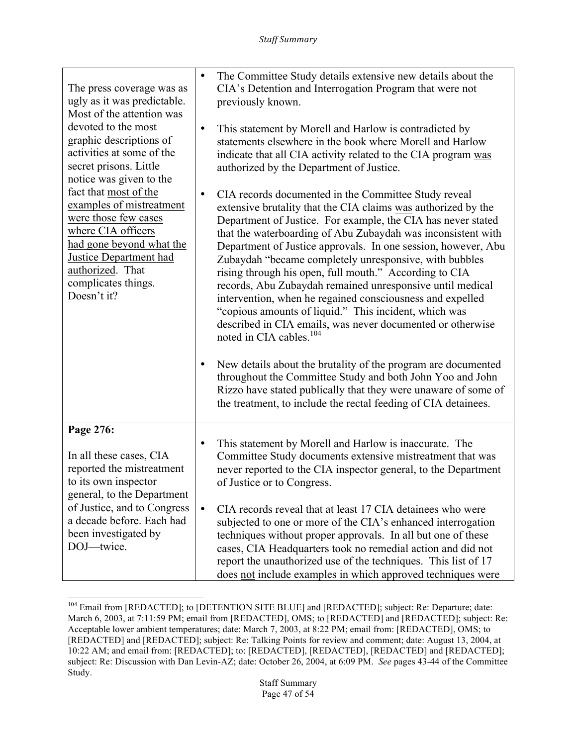| The press coverage was as<br>ugly as it was predictable.<br>Most of the attention was<br>devoted to the most<br>graphic descriptions of<br>activities at some of the<br>secret prisons. Little<br>notice was given to the<br>fact that most of the<br>examples of mistreatment<br>were those few cases<br>where CIA officers<br>had gone beyond what the<br><b>Justice Department had</b><br>authorized. That<br>complicates things.<br>Doesn't it? | The Committee Study details extensive new details about the<br>$\bullet$<br>CIA's Detention and Interrogation Program that were not<br>previously known.<br>This statement by Morell and Harlow is contradicted by<br>$\bullet$<br>statements elsewhere in the book where Morell and Harlow<br>indicate that all CIA activity related to the CIA program was<br>authorized by the Department of Justice.                                                                                                                                                                                                                                                                                                                                        |
|-----------------------------------------------------------------------------------------------------------------------------------------------------------------------------------------------------------------------------------------------------------------------------------------------------------------------------------------------------------------------------------------------------------------------------------------------------|-------------------------------------------------------------------------------------------------------------------------------------------------------------------------------------------------------------------------------------------------------------------------------------------------------------------------------------------------------------------------------------------------------------------------------------------------------------------------------------------------------------------------------------------------------------------------------------------------------------------------------------------------------------------------------------------------------------------------------------------------|
|                                                                                                                                                                                                                                                                                                                                                                                                                                                     | CIA records documented in the Committee Study reveal<br>$\bullet$<br>extensive brutality that the CIA claims was authorized by the<br>Department of Justice. For example, the CIA has never stated<br>that the waterboarding of Abu Zubaydah was inconsistent with<br>Department of Justice approvals. In one session, however, Abu<br>Zubaydah "became completely unresponsive, with bubbles<br>rising through his open, full mouth." According to CIA<br>records, Abu Zubaydah remained unresponsive until medical<br>intervention, when he regained consciousness and expelled<br>"copious amounts of liquid." This incident, which was<br>described in CIA emails, was never documented or otherwise<br>noted in CIA cables. <sup>104</sup> |
|                                                                                                                                                                                                                                                                                                                                                                                                                                                     | New details about the brutality of the program are documented<br>٠<br>throughout the Committee Study and both John Yoo and John<br>Rizzo have stated publically that they were unaware of some of<br>the treatment, to include the rectal feeding of CIA detainees.                                                                                                                                                                                                                                                                                                                                                                                                                                                                             |
| Page 276:<br>In all these cases, CIA<br>reported the mistreatment<br>to its own inspector<br>general, to the Department<br>of Justice, and to Congress<br>a decade before. Each had<br>been investigated by<br>DOJ-twice.                                                                                                                                                                                                                           | This statement by Morell and Harlow is inaccurate. The<br>$\bullet$<br>Committee Study documents extensive mistreatment that was<br>never reported to the CIA inspector general, to the Department<br>of Justice or to Congress.<br>$\bullet$<br>CIA records reveal that at least 17 CIA detainees who were<br>subjected to one or more of the CIA's enhanced interrogation<br>techniques without proper approvals. In all but one of these<br>cases, CIA Headquarters took no remedial action and did not<br>report the unauthorized use of the techniques. This list of 17<br>does not include examples in which approved techniques were                                                                                                     |

<sup>&</sup>lt;u> 1989 - Johann Stein, markin film yn y breninn y breninn y breninn y breninn y breninn y breninn y breninn y b</u> <sup>104</sup> Email from [REDACTED]; to [DETENTION SITE BLUE] and [REDACTED]; subject: Re: Departure; date: March 6, 2003, at 7:11:59 PM; email from [REDACTED], OMS; to [REDACTED] and [REDACTED]; subject: Re: Acceptable lower ambient temperatures; date: March 7, 2003, at 8:22 PM; email from: [REDACTED], OMS; to [REDACTED] and [REDACTED]; subject: Re: Talking Points for review and comment; date: August 13, 2004, at 10:22 AM; and email from: [REDACTED]; to: [REDACTED], [REDACTED], [REDACTED] and [REDACTED]; subject: Re: Discussion with Dan Levin-AZ; date: October 26, 2004, at 6:09 PM. *See* pages 43-44 of the Committee Study.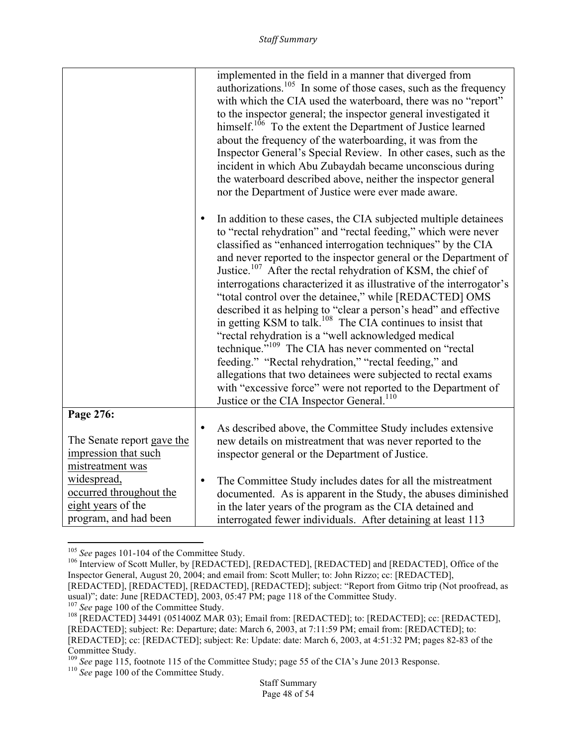|                                                                                                           | implemented in the field in a manner that diverged from<br>authorizations. <sup>105</sup> In some of those cases, such as the frequency<br>with which the CIA used the waterboard, there was no "report"<br>to the inspector general; the inspector general investigated it<br>himself. <sup>106</sup> To the extent the Department of Justice learned<br>about the frequency of the waterboarding, it was from the<br>Inspector General's Special Review. In other cases, such as the<br>incident in which Abu Zubaydah became unconscious during<br>the waterboard described above, neither the inspector general<br>nor the Department of Justice were ever made aware.<br>In addition to these cases, the CIA subjected multiple detainees<br>to "rectal rehydration" and "rectal feeding," which were never<br>classified as "enhanced interrogation techniques" by the CIA<br>and never reported to the inspector general or the Department of<br>Justice. <sup>107</sup> After the rectal rehydration of KSM, the chief of<br>interrogations characterized it as illustrative of the interrogator's<br>"total control over the detainee," while [REDACTED] OMS<br>described it as helping to "clear a person's head" and effective<br>in getting KSM to talk. <sup>108</sup> The CIA continues to insist that<br>"rectal rehydration is a "well acknowledged medical<br>technique." <sup>109</sup> The CIA has never commented on "rectal<br>feeding." "Rectal rehydration," "rectal feeding," and<br>allegations that two detainees were subjected to rectal exams<br>with "excessive force" were not reported to the Department of |
|-----------------------------------------------------------------------------------------------------------|---------------------------------------------------------------------------------------------------------------------------------------------------------------------------------------------------------------------------------------------------------------------------------------------------------------------------------------------------------------------------------------------------------------------------------------------------------------------------------------------------------------------------------------------------------------------------------------------------------------------------------------------------------------------------------------------------------------------------------------------------------------------------------------------------------------------------------------------------------------------------------------------------------------------------------------------------------------------------------------------------------------------------------------------------------------------------------------------------------------------------------------------------------------------------------------------------------------------------------------------------------------------------------------------------------------------------------------------------------------------------------------------------------------------------------------------------------------------------------------------------------------------------------------------------------------------------------------------------------------------------------------------|
|                                                                                                           | Justice or the CIA Inspector General. <sup>110</sup>                                                                                                                                                                                                                                                                                                                                                                                                                                                                                                                                                                                                                                                                                                                                                                                                                                                                                                                                                                                                                                                                                                                                                                                                                                                                                                                                                                                                                                                                                                                                                                                        |
| Page 276:                                                                                                 |                                                                                                                                                                                                                                                                                                                                                                                                                                                                                                                                                                                                                                                                                                                                                                                                                                                                                                                                                                                                                                                                                                                                                                                                                                                                                                                                                                                                                                                                                                                                                                                                                                             |
| The Senate report gave the<br>impression that such                                                        | As described above, the Committee Study includes extensive<br>$\bullet$<br>new details on mistreatment that was never reported to the<br>inspector general or the Department of Justice.                                                                                                                                                                                                                                                                                                                                                                                                                                                                                                                                                                                                                                                                                                                                                                                                                                                                                                                                                                                                                                                                                                                                                                                                                                                                                                                                                                                                                                                    |
| mistreatment was<br>widespread,<br>occurred throughout the<br>eight years of the<br>program, and had been | The Committee Study includes dates for all the mistreatment<br>$\bullet$<br>documented. As is apparent in the Study, the abuses diminished<br>in the later years of the program as the CIA detained and<br>interrogated fewer individuals. After detaining at least 113                                                                                                                                                                                                                                                                                                                                                                                                                                                                                                                                                                                                                                                                                                                                                                                                                                                                                                                                                                                                                                                                                                                                                                                                                                                                                                                                                                     |

 $105$  See pages 101-104 of the Committee Study.

<sup>&</sup>lt;sup>106</sup> Interview of Scott Muller, by [REDACTED], [REDACTED], [REDACTED] and [REDACTED], Office of the Inspector General, August 20, 2004; and email from: Scott Muller; to: John Rizzo; cc: [REDACTED], [REDACTED], [REDACTED], [REDACTED], [REDACTED]; subject: "Report from Gitmo trip (Not proofread, as usual)"; date: June [REDACTED], 2003, 05:47 PM; page 118 of the Committee Study.<br><sup>107</sup> See page 100 of the Committee Study.

<sup>&</sup>lt;sup>108</sup> **[REDACTED]** 34491 (051400Z MAR 03); Email from: [REDACTED]; to: [REDACTED]; cc: [REDACTED], [REDACTED]; subject: Re: Departure; date: March 6, 2003, at 7:11:59 PM; email from: [REDACTED]; to: [REDACTED]; cc: [REDACTED]; subject: Re: Update: date: March 6, 2003, at 4:51:32 PM; pages 82-83 of the Committee Study.

<sup>109</sup> *See* page 115, footnote 115 of the Committee Study; page 55 of the CIA's June 2013 Response. 110 *See* page 100 of the Committee Study.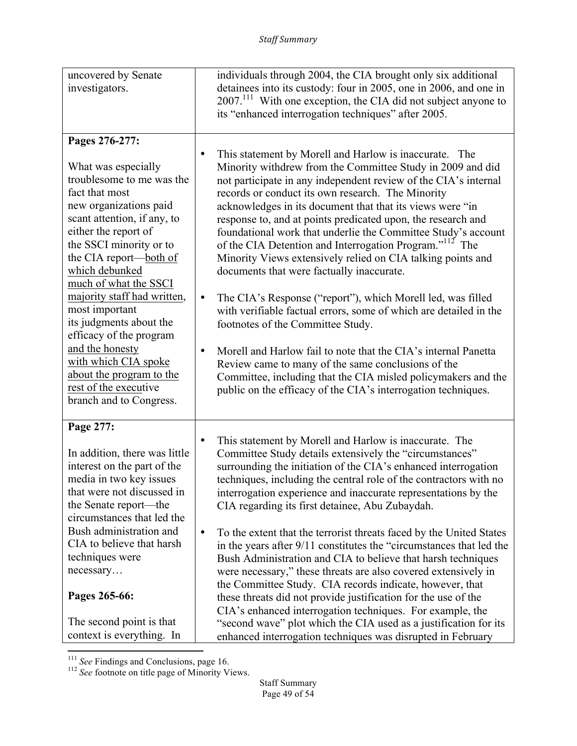| uncovered by Senate<br>investigators.                                                                 | individuals through 2004, the CIA brought only six additional<br>detainees into its custody: four in 2005, one in 2006, and one in<br>$2007$ <sup>111</sup> With one exception, the CIA did not subject anyone to<br>its "enhanced interrogation techniques" after 2005.                                                                                                                                                                                                             |
|-------------------------------------------------------------------------------------------------------|--------------------------------------------------------------------------------------------------------------------------------------------------------------------------------------------------------------------------------------------------------------------------------------------------------------------------------------------------------------------------------------------------------------------------------------------------------------------------------------|
| Pages 276-277:                                                                                        | This statement by Morell and Harlow is inaccurate. The                                                                                                                                                                                                                                                                                                                                                                                                                               |
| What was especially                                                                                   | ٠                                                                                                                                                                                                                                                                                                                                                                                                                                                                                    |
| troublesome to me was the                                                                             | Minority withdrew from the Committee Study in 2009 and did                                                                                                                                                                                                                                                                                                                                                                                                                           |
| fact that most                                                                                        | not participate in any independent review of the CIA's internal                                                                                                                                                                                                                                                                                                                                                                                                                      |
| new organizations paid                                                                                | records or conduct its own research. The Minority                                                                                                                                                                                                                                                                                                                                                                                                                                    |
| scant attention, if any, to                                                                           | acknowledges in its document that that its views were "in                                                                                                                                                                                                                                                                                                                                                                                                                            |
| either the report of                                                                                  | response to, and at points predicated upon, the research and                                                                                                                                                                                                                                                                                                                                                                                                                         |
| the SSCI minority or to                                                                               | foundational work that underlie the Committee Study's account                                                                                                                                                                                                                                                                                                                                                                                                                        |
| the CIA report-both of                                                                                | of the CIA Detention and Interrogation Program." <sup>112</sup> The                                                                                                                                                                                                                                                                                                                                                                                                                  |
| which debunked                                                                                        | Minority Views extensively relied on CIA talking points and                                                                                                                                                                                                                                                                                                                                                                                                                          |
| much of what the SSCI                                                                                 | documents that were factually inaccurate.                                                                                                                                                                                                                                                                                                                                                                                                                                            |
| majority staff had written,                                                                           | The CIA's Response ("report"), which Morell led, was filled                                                                                                                                                                                                                                                                                                                                                                                                                          |
| most important                                                                                        | $\bullet$                                                                                                                                                                                                                                                                                                                                                                                                                                                                            |
| its judgments about the                                                                               | with verifiable factual errors, some of which are detailed in the                                                                                                                                                                                                                                                                                                                                                                                                                    |
| efficacy of the program                                                                               | footnotes of the Committee Study.                                                                                                                                                                                                                                                                                                                                                                                                                                                    |
| and the honesty                                                                                       | Morell and Harlow fail to note that the CIA's internal Panetta                                                                                                                                                                                                                                                                                                                                                                                                                       |
| with which CIA spoke                                                                                  | ٠                                                                                                                                                                                                                                                                                                                                                                                                                                                                                    |
| about the program to the                                                                              | Review came to many of the same conclusions of the                                                                                                                                                                                                                                                                                                                                                                                                                                   |
| rest of the executive                                                                                 | Committee, including that the CIA misled policymakers and the                                                                                                                                                                                                                                                                                                                                                                                                                        |
| branch and to Congress.                                                                               | public on the efficacy of the CIA's interrogation techniques.                                                                                                                                                                                                                                                                                                                                                                                                                        |
| Page 277:                                                                                             | This statement by Morell and Harlow is inaccurate. The                                                                                                                                                                                                                                                                                                                                                                                                                               |
| In addition, there was little                                                                         | $\bullet$                                                                                                                                                                                                                                                                                                                                                                                                                                                                            |
| interest on the part of the                                                                           | Committee Study details extensively the "circumstances"                                                                                                                                                                                                                                                                                                                                                                                                                              |
| media in two key issues                                                                               | surrounding the initiation of the CIA's enhanced interrogation                                                                                                                                                                                                                                                                                                                                                                                                                       |
| that were not discussed in                                                                            | techniques, including the central role of the contractors with no                                                                                                                                                                                                                                                                                                                                                                                                                    |
| the Senate report—the                                                                                 | interrogation experience and inaccurate representations by the                                                                                                                                                                                                                                                                                                                                                                                                                       |
| circumstances that led the                                                                            | CIA regarding its first detainee, Abu Zubaydah.                                                                                                                                                                                                                                                                                                                                                                                                                                      |
| Bush administration and<br>CIA to believe that harsh<br>techniques were<br>necessary<br>Pages 265-66: | To the extent that the terrorist threats faced by the United States<br>$\bullet$<br>in the years after 9/11 constitutes the "circumstances that led the<br>Bush Administration and CIA to believe that harsh techniques<br>were necessary," these threats are also covered extensively in<br>the Committee Study. CIA records indicate, however, that<br>these threats did not provide justification for the use of the<br>CIA's enhanced interrogation techniques. For example, the |
| The second point is that                                                                              | "second wave" plot which the CIA used as a justification for its                                                                                                                                                                                                                                                                                                                                                                                                                     |
| context is everything. In                                                                             | enhanced interrogation techniques was disrupted in February                                                                                                                                                                                                                                                                                                                                                                                                                          |

<sup>&</sup>lt;sup>111</sup> *See* Findings and Conclusions, page 16.<br><sup>112</sup> *See* footnote on title page of Minority Views.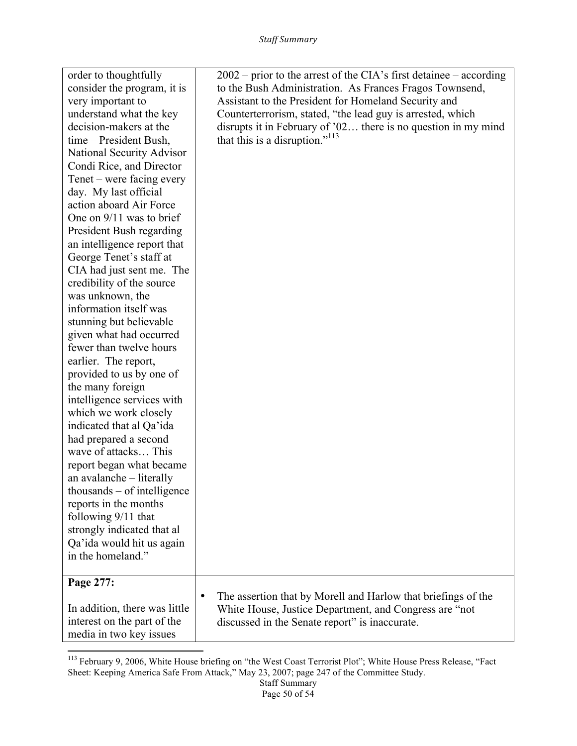| strongly indicated that al<br>Qa'ida would hit us again<br>in the homeland."<br>Page 277:<br>In addition, there was little<br>interest on the part of the                                                                                                                                                                                                                                                                                                                  | The assertion that by Morell and Harlow that briefings of the<br>$\bullet$<br>White House, Justice Department, and Congress are "not<br>discussed in the Senate report" is inaccurate.                                                                |
|----------------------------------------------------------------------------------------------------------------------------------------------------------------------------------------------------------------------------------------------------------------------------------------------------------------------------------------------------------------------------------------------------------------------------------------------------------------------------|-------------------------------------------------------------------------------------------------------------------------------------------------------------------------------------------------------------------------------------------------------|
| fewer than twelve hours<br>earlier. The report,<br>provided to us by one of<br>the many foreign<br>intelligence services with<br>which we work closely<br>indicated that al Qa'ida<br>had prepared a second<br>wave of attacks This<br>report began what became<br>an avalanche – literally<br>$thousands - of intelligence$<br>reports in the months<br>following 9/11 that                                                                                               |                                                                                                                                                                                                                                                       |
| decision-makers at the<br>time – President Bush,<br>National Security Advisor<br>Condi Rice, and Director<br>Tenet – were facing every<br>day. My last official<br>action aboard Air Force<br>One on 9/11 was to brief<br>President Bush regarding<br>an intelligence report that<br>George Tenet's staff at<br>CIA had just sent me. The<br>credibility of the source<br>was unknown, the<br>information itself was<br>stunning but believable<br>given what had occurred | disrupts it in February of '02 there is no question in my mind<br>that this is a disruption." <sup>113</sup>                                                                                                                                          |
| order to thoughtfully<br>consider the program, it is<br>very important to<br>understand what the key                                                                                                                                                                                                                                                                                                                                                                       | $2002$ – prior to the arrest of the CIA's first detainee – according<br>to the Bush Administration. As Frances Fragos Townsend,<br>Assistant to the President for Homeland Security and<br>Counterterrorism, stated, "the lead guy is arrested, which |

<sup>&</sup>lt;sup>113</sup> February 9, 2006, White House briefing on "the West Coast Terrorist Plot"; White House Press Release, "Fact Sheet: Keeping America Safe From Attack," May 23, 2007; page 247 of the Committee Study.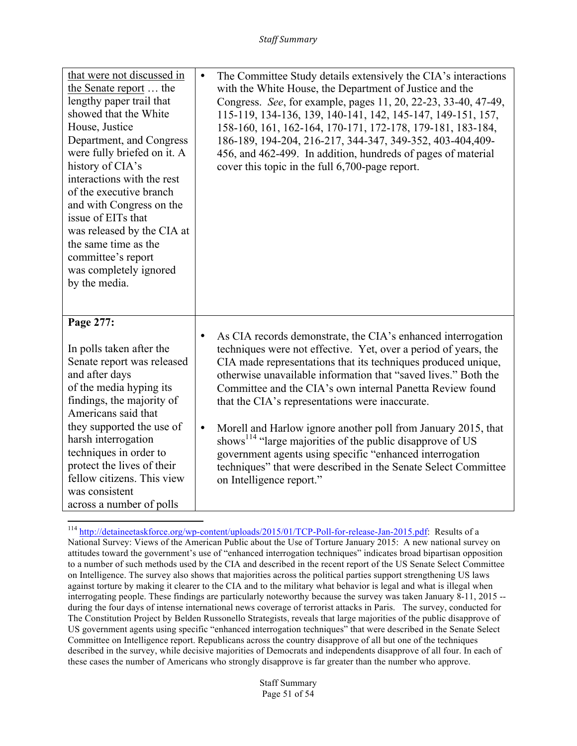| that were not discussed in<br>the Senate report  the<br>lengthy paper trail that<br>showed that the White<br>House, Justice<br>Department, and Congress<br>were fully briefed on it. A<br>history of CIA's<br>interactions with the rest<br>of the executive branch<br>and with Congress on the<br>issue of EITs that<br>was released by the CIA at<br>the same time as the<br>committee's report<br>was completely ignored<br>by the media. | $\bullet$              | The Committee Study details extensively the CIA's interactions<br>with the White House, the Department of Justice and the<br>Congress. See, for example, pages 11, 20, 22-23, 33-40, 47-49,<br>115-119, 134-136, 139, 140-141, 142, 145-147, 149-151, 157,<br>158-160, 161, 162-164, 170-171, 172-178, 179-181, 183-184,<br>186-189, 194-204, 216-217, 344-347, 349-352, 403-404, 409-<br>456, and 462-499. In addition, hundreds of pages of material<br>cover this topic in the full 6,700-page report.                                                                                                                                                                              |
|----------------------------------------------------------------------------------------------------------------------------------------------------------------------------------------------------------------------------------------------------------------------------------------------------------------------------------------------------------------------------------------------------------------------------------------------|------------------------|----------------------------------------------------------------------------------------------------------------------------------------------------------------------------------------------------------------------------------------------------------------------------------------------------------------------------------------------------------------------------------------------------------------------------------------------------------------------------------------------------------------------------------------------------------------------------------------------------------------------------------------------------------------------------------------|
| Page 277:<br>In polls taken after the<br>Senate report was released<br>and after days<br>of the media hyping its<br>findings, the majority of<br>Americans said that<br>they supported the use of<br>harsh interrogation<br>techniques in order to<br>protect the lives of their<br>fellow citizens. This view<br>was consistent<br>across a number of polls                                                                                 | $\bullet$<br>$\bullet$ | As CIA records demonstrate, the CIA's enhanced interrogation<br>techniques were not effective. Yet, over a period of years, the<br>CIA made representations that its techniques produced unique,<br>otherwise unavailable information that "saved lives." Both the<br>Committee and the CIA's own internal Panetta Review found<br>that the CIA's representations were inaccurate.<br>Morell and Harlow ignore another poll from January 2015, that<br>shows <sup>114</sup> "large majorities of the public disapprove of US<br>government agents using specific "enhanced interrogation<br>techniques" that were described in the Senate Select Committee<br>on Intelligence report." |

 <sup>114</sup> http://detaineetaskforce.org/wp-content/uploads/2015/01/TCP-Poll-for-release-Jan-2015.pdf: Results of a National Survey: Views of the American Public about the Use of Torture January 2015:A new national survey on attitudes toward the government's use of "enhanced interrogation techniques" indicates broad bipartisan opposition to a number of such methods used by the CIA and described in the recent report of the US Senate Select Committee on Intelligence. The survey also shows that majorities across the political parties support strengthening US laws against torture by making it clearer to the CIA and to the military what behavior is legal and what is illegal when interrogating people. These findings are particularly noteworthy because the survey was taken January 8-11, 2015 - during the four days of intense international news coverage of terrorist attacks in Paris. The survey, conducted for The Constitution Project by Belden Russonello Strategists, reveals that large majorities of the public disapprove of US government agents using specific "enhanced interrogation techniques" that were described in the Senate Select Committee on Intelligence report. Republicans across the country disapprove of all but one of the techniques described in the survey, while decisive majorities of Democrats and independents disapprove of all four. In each of these cases the number of Americans who strongly disapprove is far greater than the number who approve.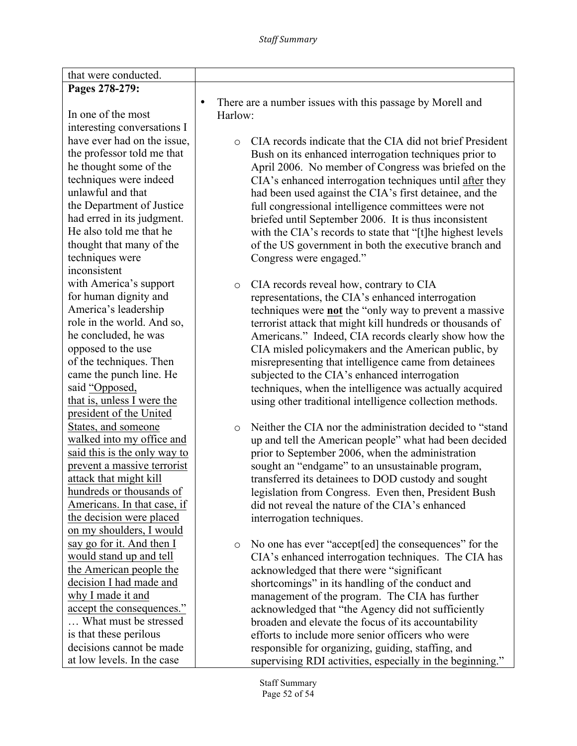| that were conducted.                               |                                                                        |
|----------------------------------------------------|------------------------------------------------------------------------|
| Pages 278-279:                                     |                                                                        |
|                                                    | There are a number issues with this passage by Morell and<br>$\bullet$ |
| In one of the most                                 | Harlow:                                                                |
| interesting conversations I                        |                                                                        |
| have ever had on the issue,                        | CIA records indicate that the CIA did not brief President<br>$\circ$   |
| the professor told me that                         | Bush on its enhanced interrogation techniques prior to                 |
| he thought some of the                             | April 2006. No member of Congress was briefed on the                   |
| techniques were indeed                             | CIA's enhanced interrogation techniques until after they               |
| unlawful and that                                  | had been used against the CIA's first detainee, and the                |
| the Department of Justice                          | full congressional intelligence committees were not                    |
| had erred in its judgment.                         | briefed until September 2006. It is thus inconsistent                  |
| He also told me that he                            | with the CIA's records to state that "[t]he highest levels             |
| thought that many of the                           | of the US government in both the executive branch and                  |
| techniques were                                    | Congress were engaged."                                                |
| inconsistent                                       |                                                                        |
| with America's support                             | CIA records reveal how, contrary to CIA<br>$\circ$                     |
| for human dignity and                              | representations, the CIA's enhanced interrogation                      |
| America's leadership                               | techniques were <b>not</b> the "only way to prevent a massive"         |
| role in the world. And so,                         | terrorist attack that might kill hundreds or thousands of              |
| he concluded, he was                               | Americans." Indeed, CIA records clearly show how the                   |
| opposed to the use                                 | CIA misled policymakers and the American public, by                    |
| of the techniques. Then                            | misrepresenting that intelligence came from detainees                  |
| came the punch line. He                            | subjected to the CIA's enhanced interrogation                          |
| said "Opposed,                                     | techniques, when the intelligence was actually acquired                |
| that is, unless I were the                         | using other traditional intelligence collection methods.               |
| president of the United                            |                                                                        |
| States, and someone                                | Neither the CIA nor the administration decided to "stand"<br>$\circ$   |
| walked into my office and                          | up and tell the American people" what had been decided                 |
| said this is the only way to                       | prior to September 2006, when the administration                       |
| prevent a massive terrorist                        | sought an "endgame" to an unsustainable program,                       |
| attack that might kill<br>hundreds or thousands of | transferred its detainees to DOD custody and sought                    |
| Americans. In that case, if                        | legislation from Congress. Even then, President Bush                   |
| the decision were placed                           | did not reveal the nature of the CIA's enhanced                        |
| on my shoulders, I would                           | interrogation techniques.                                              |
| say go for it. And then I                          | No one has ever "accept [ed] the consequences" for the                 |
| would stand up and tell                            | $\circ$<br>CIA's enhanced interrogation techniques. The CIA has        |
| the American people the                            | acknowledged that there were "significant                              |
| decision I had made and                            | shortcomings" in its handling of the conduct and                       |
| why I made it and                                  | management of the program. The CIA has further                         |
| accept the consequences."                          | acknowledged that "the Agency did not sufficiently                     |
| What must be stressed                              | broaden and elevate the focus of its accountability                    |
| is that these perilous                             | efforts to include more senior officers who were                       |
| decisions cannot be made                           | responsible for organizing, guiding, staffing, and                     |
| at low levels. In the case                         | supervising RDI activities, especially in the beginning."              |

Staff Summary Page 52 of 54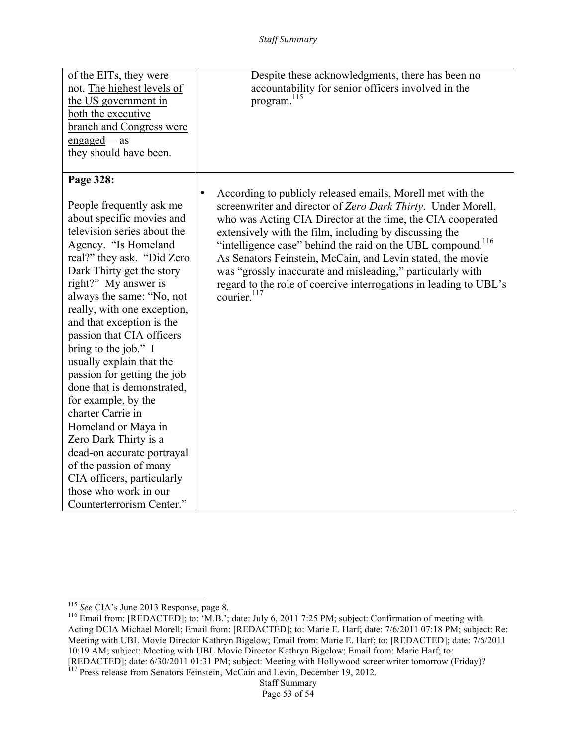| of the EITs, they were<br>not. The highest levels of<br>the US government in<br>both the executive<br>branch and Congress were<br>engaged—as<br>they should have been.<br>Page 328:                                                                                                                                                                                                                      | Despite these acknowledgments, there has been no<br>accountability for senior officers involved in the<br>program. <sup>115</sup>                                                                                                                                                                                                                                                                                                                                                                                                                                       |
|----------------------------------------------------------------------------------------------------------------------------------------------------------------------------------------------------------------------------------------------------------------------------------------------------------------------------------------------------------------------------------------------------------|-------------------------------------------------------------------------------------------------------------------------------------------------------------------------------------------------------------------------------------------------------------------------------------------------------------------------------------------------------------------------------------------------------------------------------------------------------------------------------------------------------------------------------------------------------------------------|
| People frequently ask me<br>about specific movies and<br>television series about the<br>Agency. "Is Homeland<br>real?" they ask. "Did Zero<br>Dark Thirty get the story<br>right?" My answer is<br>always the same: "No, not<br>really, with one exception,<br>and that exception is the<br>passion that CIA officers<br>bring to the job." I<br>usually explain that the<br>passion for getting the job | According to publicly released emails, Morell met with the<br>$\bullet$<br>screenwriter and director of Zero Dark Thirty. Under Morell,<br>who was Acting CIA Director at the time, the CIA cooperated<br>extensively with the film, including by discussing the<br>"intelligence case" behind the raid on the UBL compound. <sup>116</sup><br>As Senators Feinstein, McCain, and Levin stated, the movie<br>was "grossly inaccurate and misleading," particularly with<br>regard to the role of coercive interrogations in leading to UBL's<br>courier. <sup>117</sup> |
| done that is demonstrated,<br>for example, by the<br>charter Carrie in<br>Homeland or Maya in<br>Zero Dark Thirty is a<br>dead-on accurate portrayal<br>of the passion of many<br>CIA officers, particularly<br>those who work in our<br>Counterterrorism Center."                                                                                                                                       |                                                                                                                                                                                                                                                                                                                                                                                                                                                                                                                                                                         |

<sup>&</sup>lt;u> 1989 - Johann Stein, markin film yn y breninn y breninn y breninn y breninn y breninn y breninn y breninn y b</u>

<sup>&</sup>lt;sup>115</sup> See CIA's June 2013 Response, page 8.<br><sup>116</sup> Email from: [REDACTED]; to: 'M.B.'; date: July 6, 2011 7:25 PM; subject: Confirmation of meeting with Acting DCIA Michael Morell; Email from: [REDACTED]; to: Marie E. Harf; date: 7/6/2011 07:18 PM; subject: Re: Meeting with UBL Movie Director Kathryn Bigelow; Email from: Marie E. Harf; to: [REDACTED]; date: 7/6/2011 10:19 AM; subject: Meeting with UBL Movie Director Kathryn Bigelow; Email from: Marie Harf; to: [REDACTED]; date: 6/30/2011 01:31 PM; subject: Meeting with Hollywood screenwriter tomorrow (Friday)?

Staff Summary <sup>117</sup> Press release from Senators Feinstein, McCain and Levin, December 19, 2012.